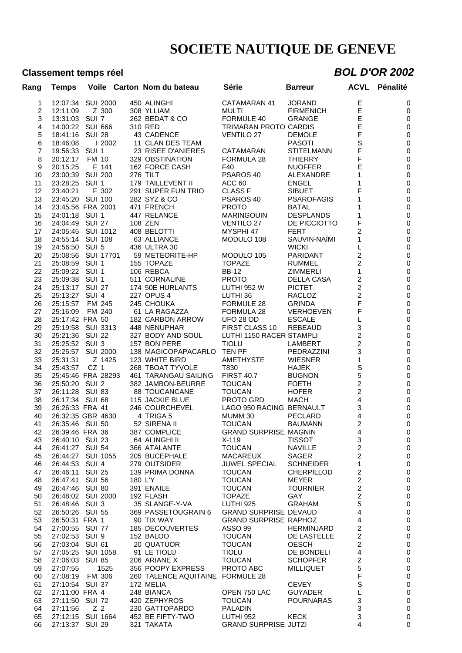## **Classement temps réel** *BOL D'OR 2002*

| Rang     | <b>Temps</b>                       |                  |        | Voile Carton Nom du bateau         | Série                                 | <b>Barreur</b>    | <b>ACVL</b>                               | Pénalité               |
|----------|------------------------------------|------------------|--------|------------------------------------|---------------------------------------|-------------------|-------------------------------------------|------------------------|
| 1        | 12:07:34                           | <b>SUI 2000</b>  |        | 450 ALINGHI                        | CATAMARAN 41                          | <b>JORAND</b>     | Е                                         | 0                      |
| 2        | 12:11:09                           |                  | Z 300  | 308 YLLIAM                         | <b>MULTI</b>                          | <b>FIRMENICH</b>  | E                                         | 0                      |
| 3        | 13:31:03 SUI 7                     |                  |        | 262 BEDAT & CO                     | FORMULE 40                            | <b>GRANGE</b>     | E                                         | 0                      |
| 4        | 14:00:22 SUI 666                   |                  |        | 310 RED                            | TRIMARAN PROTO CARDIS                 |                   | E                                         | $\mathbf 0$            |
| 5        | 18:41:16                           | <b>SUI 28</b>    |        | 43 CADENCE                         | <b>VENTILO 27</b>                     | <b>DEMOLE</b>     | F                                         | $\mathbf 0$            |
| 6        | 18:46:08                           |                  | 12002  | 11 CLAN DES TEAM                   |                                       | <b>PASOTI</b>     | S                                         | $\mathbf 0$            |
| 7        | 19:56:33                           | SUI <sub>1</sub> |        | 23 RISEE D'ANIERES                 | CATAMARAN                             | <b>STITELMANN</b> | F                                         | $\pmb{0}$              |
| 8        | 20:12:17                           | FM 10            |        | 329 OBSTINATION                    | FORMULA 28                            | <b>THIERRY</b>    | F                                         | $\pmb{0}$              |
| 9        | 20:15:25                           | F 141            |        | 162 FORCE CASH                     | F40                                   | <b>NUOFFER</b>    | E                                         | $\pmb{0}$              |
| 10       | 23:00:39 SUI 200                   |                  |        | 276 TILT                           | PSAROS 40                             | ALEXANDRE         | 1                                         | $\mathbf 0$            |
| 11       | 23:28:25                           | SUI <sub>1</sub> |        | 179 TAILLEVENT II                  | ACC 60                                | <b>ENGEL</b>      | 1                                         | $\pmb{0}$              |
| 12       | 23:40:21                           | F 302            |        | 291 SUPER FUN TRIO                 | <b>CLASS F</b>                        | <b>SIBUET</b>     | F                                         | $\mathbf 0$            |
| 13       | 23:45:20 SUI 100                   |                  |        | 282 SYZ & CO                       | PSAROS 40                             | <b>PSAROFAGIS</b> | 1                                         | $\pmb{0}$              |
| 14       | 23:45:56 FRA 2001                  |                  |        | 471 FRENCH                         | <b>PROTO</b>                          | <b>BATAL</b>      | 1                                         | $\pmb{0}$              |
| 15       | 24:01:18 SUI 1                     |                  |        | 447 RELANCE                        | <b>MARINGOUIN</b>                     | <b>DESPLANDS</b>  | 1                                         | $\pmb{0}$              |
| 16       | 24:04:49 SUI 27                    |                  |        | 108 ZEN                            | <b>VENTILO 27</b>                     | DE PICCIOTTO      | F                                         | $\pmb{0}$              |
| 17       | 24:05:45 SUI 1012                  |                  |        | 408 BELOTTI                        | MYSPHI 47                             | <b>FERT</b>       | 2                                         | $\pmb{0}$              |
| 18       | 24:55:14 SUI 108                   |                  |        | 63 ALLIANCE                        | MODULO 108                            | SAUVIN-NAÏMI      | 1                                         | $\pmb{0}$              |
| 19       | 24:56:50                           | SUI 5            |        | 436 ULTRA 30                       |                                       | <b>WICKI</b>      | L                                         | $\mathbf 0$            |
| 20       | 25:08:56 SUI 17701                 |                  |        | 59 METEORITE-HP                    | MODULO 105                            | PARIDANT          | 2                                         | $\pmb{0}$              |
| 21       | 25:08:59 SUI 1                     |                  |        | 155 TOPAZE                         | <b>TOPAZE</b>                         | RUMMEL            | $\overline{c}$                            | $\pmb{0}$              |
| 22       | 25:09:22 SUI 1                     |                  |        | 106 REBCA                          | <b>BB-12</b>                          | <b>ZIMMERLI</b>   | 1                                         | $\pmb{0}$              |
| 23       | 25:09:38 SUI 1                     |                  |        | 511 CORNALINE                      | <b>PROTO</b>                          | DELLA CASA        | $\overline{c}$                            | $\pmb{0}$              |
| 24       | 25:13:17 SUI 27                    |                  |        | 174 50E HURLANTS                   | <b>LUTHI 952 W</b>                    | <b>PICTET</b>     | $\overline{\mathbf{c}}$                   | $\pmb{0}$              |
| 25       | 25:13:27                           | SUI <sub>4</sub> |        | 227 OPUS 4                         | LUTHI 36                              | RACLOZ            | $\overline{c}$                            | $\pmb{0}$              |
| 26       | 25:15:57                           | FM 245           |        | 245 CHOUKA                         | FORMULE 28                            | <b>GRINDA</b>     | F                                         | $\pmb{0}$              |
| 27       | 25:16:09                           | FM 240           |        | 61 LA RAGAZZA                      | FORMULA 28                            | <b>VERHOEVEN</b>  | F                                         | $\pmb{0}$              |
| 28       | 25:17:42 FRA 50                    |                  |        | 182 CARBON ARROW                   | <b>UFO 28 OD</b>                      | <b>ESCALE</b>     | L                                         | $\pmb{0}$              |
| 29       | 25:19:58 SUI 3313                  |                  |        | 448 NENUPHAR                       | FIRST CLASS 10                        | <b>REBEAUD</b>    | 3                                         | $\mathbf 0$            |
| 30       | 25:21:36 SUI 22                    |                  |        | 327 BODY AND SOUL                  | LUTHI 1150 RACER STAMPLI              |                   | $\overline{c}$                            | $\pmb{0}$              |
| 31       | 25:25:52 SUI 3                     |                  |        | 157 BON PERE                       | <b>TIOLU</b>                          | LAMBERT           | $\overline{c}$                            | $\pmb{0}$              |
| 32       | 25:25:57                           | <b>SUI 2000</b>  |        | 138 MAGICOPAPACARLO                | TEN PF                                | <b>PEDRAZZINI</b> | 3                                         | $\pmb{0}$              |
| 33       | 25:31:31                           |                  | Z 1425 | 123 WHITE BIRD                     | AMETHYSTE                             | <b>WIESNER</b>    | 1                                         | $\pmb{0}$              |
| 34       | 25:43:57                           | CZ 1             |        | 268 TBOAT TYVOLE                   | T830                                  | <b>HAJEK</b>      | S                                         | $\pmb{0}$              |
| 35       | 25:45:46 FRA 28293                 |                  |        | 461 TARANGAU SAILING               | <b>FIRST 40.7</b>                     | <b>BUGNON</b>     | 5                                         | $\pmb{0}$              |
| 36       | 25:50:20 SUI 2                     |                  |        | 382 JAMBON-BEURRE                  | <b>TOUCAN</b>                         | <b>FOETH</b>      | $\overline{c}$                            | $\pmb{0}$              |
| 37       | 26:11:28 SUI 83                    |                  |        | <b>88 TOUCANCANE</b>               | <b>TOUCAN</b>                         | <b>HOFER</b>      | $\overline{c}$<br>$\overline{\mathbf{4}}$ | $\pmb{0}$              |
| 38<br>39 | 26:17:34 SUI 68<br>26:26:33 FRA 41 |                  |        | 115 JACKIE BLUE<br>246 COURCHEVEL  | PROTO GRD<br>LAGO 950 RACING BERNAULT | <b>MACH</b>       | 3                                         | $\pmb{0}$<br>$\pmb{0}$ |
| 40       | 26:32:35 GBR 4630                  |                  |        | 4 TRIGA 5                          | MUMM 30                               | PECLARD           | 4                                         | $\mathbf 0$            |
| 41       | 26:35:46 SUI 50                    |                  |        | 52 SIRENA II                       | <b>TOUCAN</b>                         | <b>BAUMANN</b>    | $\overline{c}$                            | $\mathbf 0$            |
| 42       | 26:39:46 FRA 36                    |                  |        | 387 COMPLICE                       | GRAND SURPRISE MAGNIN                 |                   | $\overline{4}$                            | $\mathbf 0$            |
| 43       | 26:40:10 SUI 23                    |                  |        | 64 ALINGHI II                      | $X-119$                               | <b>TISSOT</b>     | 3                                         | 0                      |
| 44       | 26:41:27 SUI 54                    |                  |        | 366 ATALANTE                       | <b>TOUCAN</b>                         | <b>NAVILLE</b>    | 2                                         | 0                      |
| 45       | 26:44:27 SUI 1055                  |                  |        | 205 BUCEPHALE                      | <b>MACAREUX</b>                       | <b>SAGER</b>      | $\overline{c}$                            | $\mathbf 0$            |
| 46       | 26:44:53                           | SUI 4            |        | 279 OUTSIDER                       | JUWEL SPECIAL                         | <b>SCHNEIDER</b>  | 1                                         | $\pmb{0}$              |
| 47       | 26:46:11 SUI 25                    |                  |        | 139 PRIMA DONNA                    | <b>TOUCAN</b>                         | <b>CHERPILLOD</b> | $\overline{\mathbf{c}}$                   | $\pmb{0}$              |
| 48       | 26:47:41                           | <b>SUI 56</b>    |        | 180 L'Y                            | <b>TOUCAN</b>                         | <b>MEYER</b>      | $\overline{\mathbf{c}}$                   | $\mathbf 0$            |
| 49       | 26:47:46 SUI 80                    |                  |        | 391 ENAILE                         | <b>TOUCAN</b>                         | <b>TOURNIER</b>   | $\overline{c}$                            | $\mathbf 0$            |
| 50       | 26:48:02 SUI 2000                  |                  |        | 192 FLASH                          | <b>TOPAZE</b>                         | <b>GAY</b>        | $\overline{c}$                            | 0                      |
| 51       | 26:48:46 SUI 3                     |                  |        | 35 SLANGE-Y-VA                     | LUTHI 925                             | <b>GRAHAM</b>     | 5                                         | $\pmb{0}$              |
| 52       | 26:50:26 SUI 55                    |                  |        | 369 PASSETOUGRAIN 6                | <b>GRAND SURPRISE DEVAUD</b>          |                   | 4                                         | $\pmb{0}$              |
| 53       | 26:50:31 FRA 1                     |                  |        | 90 TIX WAY                         | <b>GRAND SURPRISE RAPHOZ</b>          |                   | 4                                         | $\pmb{0}$              |
| 54       | 27:00:55 SUI 77                    |                  |        | 185 DECOUVERTES                    | ASSO 99                               | <b>HERMINJARD</b> | $\overline{\mathbf{c}}$                   | $\pmb{0}$              |
| 55       | 27:02:53 SUI 9                     |                  |        | 152 BALOO                          | <b>TOUCAN</b>                         | DE LASTELLE       | $\overline{\mathbf{c}}$                   | $\mathbf 0$            |
| 56       | 27:03:04 SUI 61                    |                  |        | 20 QUATUOR                         | <b>TOUCAN</b>                         | <b>OESCH</b>      | $\overline{c}$                            | $\pmb{0}$              |
| 57       | 27:05:25                           | SUI 1058         |        | 91 LE TIOLU                        | <b>TIOLU</b>                          | DE BONDELI        | 4                                         | $\pmb{0}$              |
| 58       | 27:06:03                           | <b>SUI 85</b>    |        | 206 ARIANE X                       | <b>TOUCAN</b>                         | <b>SCHOPFER</b>   | 2                                         | $\pmb{0}$              |
| 59       | 27:07:55                           |                  | 1525   | 356 POOPY EXPRESS                  | PROTO ABC                             | <b>MILLIQUET</b>  | 5                                         | $\mathbf 0$            |
| 60       | 27:08:19                           | FM 306           |        | 260 TALENCE AQUITAINE FORMULE 28   |                                       |                   | F                                         | $\pmb{0}$              |
| 61       | 27:10:54 SUI 37                    |                  |        | 172 MELIA                          |                                       | <b>CEVEY</b>      | S                                         | $\pmb{0}$              |
| 62       | 27:11:00 FRA 4                     |                  |        | 248 BIANCA                         | OPEN 750 LAC                          | <b>GUYADER</b>    | L                                         | $\pmb{0}$              |
| 63       | 27:11:50                           | SUI 72           |        | 420 ZEPHYROS                       | <b>TOUCAN</b>                         | <b>POURNARAS</b>  | 3                                         | $\pmb{0}$              |
| 64<br>65 | 27:11:56<br>27:12:15 SUI 1664      | Z <sub>2</sub>   |        | 230 GATTOPARDO<br>452 BE FIFTY-TWO | <b>PALADIN</b><br>LUTHI 952           | <b>KECK</b>       | 3<br>3                                    | $\pmb{0}$<br>0         |
| 66       | 27:13:37 SUI 29                    |                  |        | 321 TAKATA                         | <b>GRAND SURPRISE JUTZI</b>           |                   | 4                                         | 0                      |
|          |                                    |                  |        |                                    |                                       |                   |                                           |                        |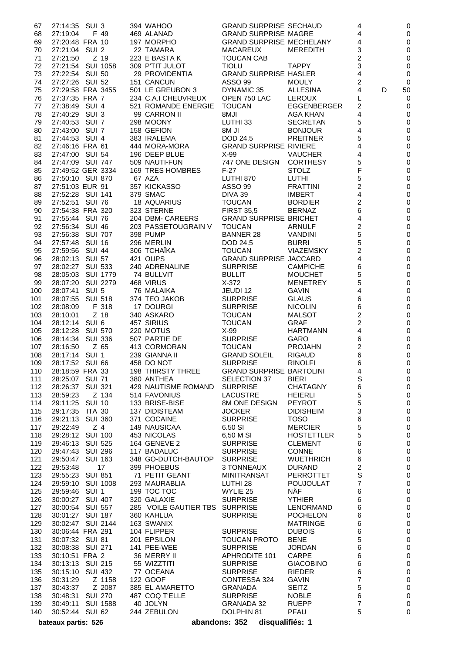| 67  | 27:14:35 SUI 3              | 394 WAHOO                      | <b>GRAND SURPRISE SECHAUD</b>    |                    | 4              |   | 0           |
|-----|-----------------------------|--------------------------------|----------------------------------|--------------------|----------------|---|-------------|
| 68  | F 49<br>27:19:04            | 469 ALANAD                     | <b>GRAND SURPRISE MAGRE</b>      |                    | 4              |   | 0           |
| 69  | 27:20:48 FRA 10             | 197 MORPHO                     | <b>GRAND SURPRISE MECHELANY</b>  |                    | 4              |   | 0           |
| 70  | 27:21:04 SUI 2              | 22 TAMARA                      | MACAREUX                         | MEREDITH           | 3              |   | $\mathbf 0$ |
| 71  | Z 19<br>27:21:50            | 223 E BASTA K                  | <b>TOUCAN CAB</b>                |                    | 2              |   | 0           |
| 72  | 27:21:54 SUI 1058           | 309 P'TIT JULOT                | <b>TIOLU</b>                     | <b>TAPPY</b>       | 3              |   | 0           |
| 73  | 27:22:54 SUI 50             | 29 PROVIDENTIA                 | <b>GRAND SURPRISE HASLER</b>     |                    | 4              |   | 0           |
| 74  | 27:27:26 SUI 52             | 151 CANCUN                     | ASSO 99                          | <b>MOULY</b>       | 2              |   | 0           |
| 75  | 27:29:58 FRA 3455           | 501 LE GREUBON 3               | DYNAMIC 35                       | ALLESINA           | 4              | D | 50          |
| 76  | 27:37:35 FRA 7              | 234 C.A.I CHEUVREUX            | OPEN 750 LAC                     | <b>LEROUX</b>      | L              |   | 0           |
| 77  | 27:38:49 SUI 4              | 521 ROMANDE ENERGIE TOUCAN     |                                  | <b>EGGENBERGER</b> | $\overline{c}$ |   | 0           |
| 78  | 27:40:29 SUI 3              | 99 CARRON II                   | <b>ILM8</b>                      | AGA KHAN           | 4              |   | 0           |
| 79  | 27:40:53 SUI 7              | 298 MOONY                      | LUTHI 33                         | <b>SECRETAN</b>    | 5              |   |             |
|     |                             |                                |                                  |                    |                |   | 0           |
| 80  | 27:43:00 SUI 7              | 158 GEFION                     | <b>IL M8</b>                     | <b>BONJOUR</b>     | 4              |   | 0           |
| 81  | 27:44:53 SUI 4              | 383 IRALEMA                    | DOD 24.5                         | <b>PREITNER</b>    | 5              |   | 0           |
| 82  | 27:46:16 FRA 61             | 444 MORA-MORA                  | <b>GRAND SURPRISE RIVIERE</b>    |                    | 4              |   | $\mathbf 0$ |
| 83  | 27:47:00 SUI 54             | 196 DEEP BLUE                  | $X-99$                           | <b>VAUCHER</b>     | 4              |   | 0           |
| 84  | 27:47:09 SUI 747            | 509 NAUTI-FUN                  | 747 ONE DESIGN CORTHESY          |                    | 5              |   | $\mathbf 0$ |
| 85  | 27:49:52 GER 3334           | 169 TRES HOMBRES               | $F-27$                           | <b>STOLZ</b>       | F              |   | 0           |
| 86  | 27:50:10 SUI 870            | 67 AZA                         | LUTHI 870                        | LUTHI              | 5              |   | 0           |
| 87  | 27:51:03 EUR 91             | 357 KICKASSO                   | ASSO 99                          | <b>FRATTINI</b>    | 2              |   | 0           |
| 88  | 27:52:28 SUI 141            | 379 SMAC                       | DIVA 39                          | <b>IMBERT</b>      | 4              |   | 0           |
| 89  | 27:52:51 SUI 76             | 18 AQUARIUS                    | <b>TOUCAN</b>                    | <b>BORDIER</b>     | 2              |   | 0           |
| 90  | 27:54:38 FRA 320            | 323 STERNE                     | <b>FIRST 35,5</b>                | <b>BERNAZ</b>      | 6              |   | 0           |
| 91  | 27:55:44 SUI 76             | 204 DBM- CAREERS               | <b>GRAND SURPRISE BRICHET</b>    |                    | 4              |   | 0           |
| 92  | 27:56:34 SUI 46             | 203 PASSETOUGRAIN V            | <b>TOUCAN</b>                    | <b>ARNULF</b>      | 2              |   | $\mathbf 0$ |
| 93  | 27:56:38 SUI 707            | 398 PUMP                       | <b>BANNER 28</b>                 | <b>VANDINI</b>     | 5              |   | 0           |
| 94  | 27:57:48 SUI 16             | 296 MERLIN                     | DOD 24.5                         | <b>BURRI</b>       | 5              |   | 0           |
| 95  | 27:59:56 SUI 44             | 306 TCHAÏKA                    | <b>TOUCAN</b>                    | <b>VIAZEMSKY</b>   | 2              |   | $\mathbf 0$ |
| 96  | 28:02:13 SUI 57             | 421 OUPS                       | <b>GRAND SURPRISE JACCARD</b>    |                    | 4              |   | $\mathbf 0$ |
| 97  | 28:02:27 SUI 533            | 240 ADRENALINE                 | <b>SURPRISE</b>                  | <b>CAMPICHE</b>    | 6              |   | 0           |
| 98  | 28:05:03 SUI 1779           | 74 BULLVIT                     | <b>BULLIT</b>                    | <b>MOUCHET</b>     | 5              |   | $\mathbf 0$ |
| 99  | 28:07:20 SUI 2279           | 468 VIRUS                      | X-372                            | <b>MENETREY</b>    | 5              |   | 0           |
| 100 | 28:07:41 SUI 5              | 76 MALAIKA                     | JEUDI 12                         | <b>GAVIN</b>       | 4              |   | 0           |
| 101 | 28:07:55 SUI 518            | 374 TEO JAKOB                  | <b>SURPRISE</b>                  | <b>GLAUS</b>       | 6              |   | 0           |
|     |                             |                                |                                  |                    |                |   |             |
| 102 | F 318<br>28:08:09           | 17 DOURGI                      | <b>SURPRISE</b>                  | <b>NICOLIN</b>     | 6              |   | 0           |
| 103 | $Z$ 18<br>28:10:01          | 340 ASKARO                     | <b>TOUCAN</b>                    | <b>MALSOT</b>      | 2              |   | 0           |
| 104 | 28:12:14 SUI 6              | 457 SIRIUS                     | <b>TOUCAN</b>                    | <b>GRAF</b>        | $\overline{c}$ |   | 0           |
| 105 | 28:12:28<br>SUI 570         | 220 MOTUS                      | $X-99$                           | <b>HARTMANN</b>    | 4              |   | 0           |
| 106 | 28:14:34 SUI 336            | 507 PARTIE DE                  | <b>SURPRISE</b>                  | GARO               | 6              |   | 0           |
| 107 | Z 65<br>28:16:50            | 413 CORMORAN                   | <b>TOUCAN</b>                    | <b>PROJAHN</b>     | 2              |   | 0           |
| 108 | 28:17:14 SUI 1              | 239 GIANNA II                  | <b>GRAND SOLEIL</b>              | <b>RIGAUD</b>      | 6              |   | 0           |
| 109 | 28:17:52 SUI 66             | 458 DO NOT                     | <b>SURPRISE</b>                  | <b>RINOLFI</b>     | 6              |   | 0           |
|     | 110 28:18:59 FRA 33         | 198 THIRSTY THREE              | <b>GRAND SURPRISE BARTOLINI</b>  |                    | 4              |   | $\mathbf 0$ |
| 111 | 28:25:07 SUI 71             | 380 ANTHEA                     | SELECTION 37                     | <b>BIERI</b>       | S              |   | 0           |
| 112 | 28:26:37<br><b>SUI 321</b>  | 429 NAUTISME ROMAND            | <b>SURPRISE</b>                  | <b>CHATAGNY</b>    | 6              |   | 0           |
| 113 | 28:59:23<br>Z 134           | 514 FAVONIUS                   | LACUSTRE                         | <b>HEIERLI</b>     | 5              |   | 0           |
| 114 | 29:11:25<br><b>SUI 10</b>   | 133 BRISE-BISE                 | 8M ONE DESIGN                    | <b>PEYROT</b>      | 5              |   | 0           |
| 115 | 29:17:35<br><b>ITA 30</b>   | <b>137 DIDISTEAM</b>           | <b>JOCKER</b>                    | <b>DIDISHEIM</b>   | 3              |   | 0           |
| 116 | 29:21:13<br><b>SUI 360</b>  | 371 COCAINE                    | <b>SURPRISE</b>                  | <b>TOSO</b>        | 6              |   | 0           |
| 117 | 29:22:49<br>Z <sub>4</sub>  | 149 NAUSICAA                   | 6.50 SI                          | <b>MERCIER</b>     | 5              |   | 0           |
| 118 | <b>SUI 100</b><br>29:28:12  | 453 NICOLAS                    | 6,50 M SI                        | <b>HOSTETTLER</b>  | 5              |   | 0           |
| 119 | <b>SUI 525</b><br>29:46:13  | 164 GENEVE 2                   | <b>SURPRISE</b>                  | <b>CLEMENT</b>     | 6              |   | 0           |
| 120 | 29:47:43<br><b>SUI 296</b>  | 117 BADALUC                    | <b>SURPRISE</b>                  | <b>CONNE</b>       | 6              |   | 0           |
| 121 | 29:50:47<br><b>SUI 163</b>  | 348 GO-DUTCH-BAUTOP            | <b>SURPRISE</b>                  | <b>WUETHRICH</b>   | 6              |   | 0           |
| 122 | 17<br>29:53:48              | 399 PHOEBUS                    | 3 TONNEAUX                       | <b>DURAND</b>      | 2              |   | 0           |
| 123 | <b>SUI 851</b><br>29:55:23  | 71 PETIT GEANT                 | <b>MINITRANSAT</b>               | <b>PERROTTET</b>   | S              |   | 0           |
| 124 | 29:59:10<br><b>SUI 1008</b> | 293 MAURABLIA                  | LUTHI 28                         | <b>POUJOULAT</b>   | 7              |   | 0           |
| 125 | 29:59:46<br>SUI 1           | 199 TOC TOC                    | WYLIE 25                         | <b>NÄF</b>         | 6              |   | 0           |
| 126 | 30:00:27<br><b>SUI 407</b>  | 320 GALAXIE                    | <b>SURPRISE</b>                  | <b>YTHIER</b>      | 6              |   | 0           |
| 127 | 30:00:54<br>SUI 557         | 285 VOILE GAUTIER TBS SURPRISE |                                  | LENORMAND          | 6              |   | 0           |
|     |                             | 360 KAHLUA                     |                                  | <b>POCHELON</b>    |                |   |             |
| 128 | 30:01:27 SUI 187            |                                | <b>SURPRISE</b>                  |                    | 6              |   | 0           |
| 129 | 30:02:47 SUI 2144           | 163 SWANIX                     |                                  | <b>MATRINGE</b>    | 6              |   | 0           |
| 130 | 30:06:44 FRA 291            | 104 FLIPPER                    | <b>SURPRISE</b>                  | <b>DUBOIS</b>      | 6              |   | 0           |
| 131 | 30:07:32 SUI 81             | 201 EPSILON                    | <b>TOUCAN PROTO</b>              | <b>BENE</b>        | 5              |   | 0           |
| 132 | 30:08:38<br>SUI 271         | 141 PEE-WEE                    | <b>SURPRISE</b>                  | <b>JORDAN</b>      | 6              |   | 0           |
| 133 | 30:10:51 FRA 2              | 36 MERRY II                    | <b>APHRODITE 101</b>             | <b>CARPE</b>       | 6              |   | 0           |
| 134 | 30:13:13<br>SUI 215         | 55 WIZZTITI                    | <b>SURPRISE</b>                  | <b>GIACOBINO</b>   | 6              |   | 0           |
| 135 | 30:15:10<br><b>SUI 432</b>  | 77 OCEANA                      | <b>SURPRISE</b>                  | <b>RIEDER</b>      | 6              |   | 0           |
| 136 | Z 1158<br>30:31:29          | 122 GOOF                       | CONTESSA 324                     | <b>GAVIN</b>       | 7              |   | 0           |
| 137 | 30:43:37<br>Z 2087          | 385 EL AMARETTO                | <b>GRANADA</b>                   | <b>SEITZ</b>       | 5              |   | 0           |
| 138 | 30:48:31<br><b>SUI 270</b>  | 487 COQ T'ELLE                 | <b>SURPRISE</b>                  | <b>NOBLE</b>       | 6              |   | 0           |
| 139 | 30:49:11<br><b>SUI 1588</b> | 40 JOLYN                       | <b>GRANADA 32</b>                | <b>RUEPP</b>       | $\overline{7}$ |   | 0           |
| 140 | 30:52:44<br><b>SUI 62</b>   | 244 ZEBULON                    | DOLPHIN 81                       | <b>PFAU</b>        | 5              |   | 0           |
|     | bateaux partis: 526         |                                | abandons: 352<br>disqualifiés: 1 |                    |                |   |             |
|     |                             |                                |                                  |                    |                |   |             |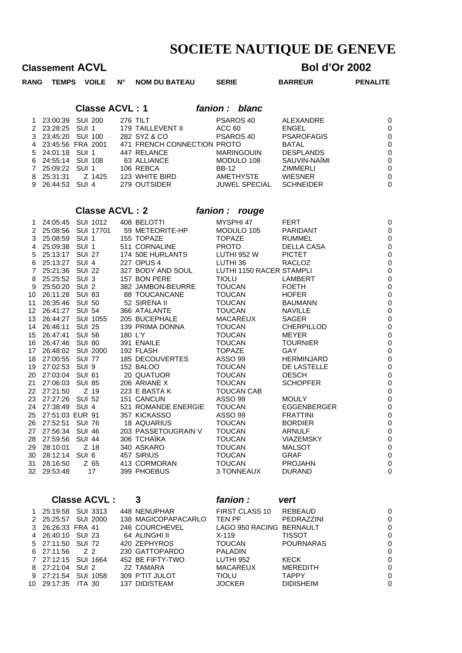# **Classement ACVL Bol d'Or 2002**

| <b>RANG</b> | TEMPS VOILE                                                                         |                | $N^{\circ}$ | <b>NOM DU BATEAU</b>                                                         | <b>SERIE</b>                                    | <b>BARREUR</b>                                                 | <b>PENALITE</b>                                              |
|-------------|-------------------------------------------------------------------------------------|----------------|-------------|------------------------------------------------------------------------------|-------------------------------------------------|----------------------------------------------------------------|--------------------------------------------------------------|
|             |                                                                                     |                |             | <b>Classe ACVL: 1</b>                                                        | fanion : blanc                                  |                                                                |                                                              |
|             | 1 23:00:39 SUI 200<br>2 23:28:25 SUI 1<br>3 23:45:20 SUI 100<br>4 23:45:56 FRA 2001 |                |             | 276 TILT<br>179 TAILLEVENT II<br>282 SYZ & CO<br>471 FRENCH CONNECTION PROTO | PSAROS 40<br>ACC 60<br>PSAROS 40                | ALEXANDRE<br><b>ENGEL</b><br><b>PSAROFAGIS</b><br><b>BATAL</b> | $\mathsf{C}$<br>$\mathsf{C}$<br>$\mathsf{C}$<br>$\mathsf{C}$ |
|             | 5 24:01:18 SUI 1<br>6 24:55:14 SUI 108<br>7 25:09:22 SUI 1                          |                |             | 447 RELANCE<br>63 ALLIANCE<br>106 REBCA                                      | <b>MARINGOUIN</b><br>MODULO 108<br><b>BB-12</b> | <b>DESPLANDS</b><br>SAUVIN-NAÏMI<br><b>ZIMMERLI</b>            | $\mathsf{C}$<br>$\mathsf{C}$<br>$\mathsf{C}$                 |
|             | 9 26:44:53 SUI 4                                                                    |                |             | 123 WHITE BIRD<br>279 OUTSIDER                                               | AMETHYSTE<br>JUWEL SPECIAL                      | <b>WIESNER</b><br><b>SCHNEIDER</b>                             | $\mathsf{C}$<br>$\mathsf{C}$                                 |
|             |                                                                                     |                |             | <b>Classe ACVL: 2</b>                                                        | fanion :<br>rouge                               |                                                                |                                                              |
|             | 1 24:05:45 SUI 1012 408 BELOTTI                                                     |                |             |                                                                              | MYSPHI 47                                       | FERT                                                           | $\mathsf{C}$                                                 |
|             |                                                                                     |                |             | 2 25:08:56 SUI 17701 59 METEORITE-HP                                         | MODULO 105                                      | PARIDANT                                                       | $\mathsf{C}$                                                 |
|             | 3 25:08:59 SUI 1                                                                    |                |             | 155 TOPAZE                                                                   | <b>TOPAZE</b>                                   | RUMMEL                                                         | $\mathsf{C}$                                                 |
|             | 4 25:09:38 SUI 1                                                                    |                |             | 511 CORNALINE                                                                | PROTO                                           | DELLA CASA                                                     | $\mathsf{C}$                                                 |
|             | 5 25:13:17 SUI 27                                                                   |                |             | 174 50E HURLANTS                                                             | LUTHI 952 W                                     | <b>PICTET</b>                                                  | $\mathsf{C}$                                                 |
|             | 6 25:13:27 SUI 4                                                                    |                |             | 227 OPUS 4                                                                   | LUTHI 36                                        | <b>RACLOZ</b>                                                  | $\frac{c}{c}$                                                |
|             | 7 25:21:36 SUI 22                                                                   |                |             | 327 BODY AND SOUL                                                            | LUTHI 1150 RACER STAMPLI                        |                                                                |                                                              |
|             | 8 25:25:52 SUI 3                                                                    |                |             | 157 BON PERE                                                                 | <b>TIOLU</b>                                    | LAMBERT                                                        | $\mathsf{C}$                                                 |
|             | 9 25:50:20 SUI 2                                                                    |                |             | 382 JAMBON-BEURRE                                                            | TOUCAN                                          | <b>FOETH</b>                                                   | $\mathsf{C}$                                                 |
| 11          | 10 26:11:28 SUI 83<br>26:35:46 SUI 50                                               |                |             | <b>88 TOUCANCANE</b><br>52 SIRENA II                                         | <b>TOUCAN</b><br><b>TOUCAN</b>                  | <b>HOFER</b><br><b>BAUMANN</b>                                 | $\frac{c}{c}$                                                |
|             | 12 26:41:27 SUI 54                                                                  |                |             | 366 ATALANTE                                                                 | <b>TOUCAN</b>                                   | <b>NAVILLE</b>                                                 | $\mathsf{C}$                                                 |
|             | 13 26:44:27 SUI 1055                                                                |                |             | 205 BUCEPHALE                                                                | <b>MACAREUX</b>                                 | <b>SAGER</b>                                                   | $\mathsf{C}$                                                 |
|             | 14 26:46:11 SUI 25                                                                  |                |             | 139 PRIMA DONNA                                                              | <b>TOUCAN</b>                                   | CHERPILLOD                                                     | $\mathsf{C}$                                                 |
|             | 15 26:47:41 SUI 56                                                                  |                | 180 L'Y     |                                                                              | <b>TOUCAN</b>                                   | <b>MEYER</b>                                                   | $\mathsf{C}$                                                 |
|             | 16 26:47:46 SUI 80                                                                  |                |             | 391 ENAILE                                                                   | <b>TOUCAN</b>                                   | <b>TOURNIER</b>                                                | $\mathsf{C}$                                                 |
| 17          | 26:48:02 SUI 2000                                                                   |                |             | 192 FLASH                                                                    | <b>TOPAZE</b>                                   | <b>GAY</b>                                                     | $\mathsf{C}$                                                 |
|             | 18 27:00:55 SUI 77                                                                  |                |             | 185 DECOUVERTES                                                              | ASSO 99                                         | <b>HERMINJARD</b>                                              | $\mathsf{C}$                                                 |
|             | 19 27:02:53 SUI 9                                                                   |                |             | 152 BALOO                                                                    | <b>TOUCAN</b>                                   | DE LASTELLE                                                    | $\mathsf{C}$                                                 |
|             | 20 27:03:04 SUI 61                                                                  |                |             | 20 QUATUOR                                                                   | <b>TOUCAN</b>                                   | <b>OESCH</b>                                                   | $\mathsf{C}$                                                 |
| 21          | 27:06:03 SUI 85                                                                     |                |             | 206 ARIANE X                                                                 | <b>TOUCAN</b>                                   | <b>SCHOPFER</b>                                                | $\mathsf{C}$                                                 |
|             | 22 27:21:50                                                                         | Z 19           |             | 223 E BASTA K                                                                | <b>TOUCAN CAB</b>                               |                                                                | $\mathsf{C}$                                                 |
|             | 23 27:27:26 SUI 52                                                                  |                |             | 151 CANCUN                                                                   | ASSO 99                                         | <b>MOULY</b>                                                   | $\mathsf{C}$                                                 |
|             | 24 27:38:49 SUI 4                                                                   |                |             | 521 ROMANDE ENERGIE                                                          | <b>TOUCAN</b>                                   | <b>EGGENBERGER</b>                                             | $\mathsf{C}$                                                 |
|             | 25 27:51:03 EUR 91                                                                  |                |             | 357 KICKASSO                                                                 | <b>ASSO 99</b>                                  | <b>FRATTINI</b>                                                | $\mathsf{C}$                                                 |
|             | 26 27:52:51 SUI 76<br>27 27:56:34 SUI 46                                            |                |             | 18 AQUARIUS<br>203 PASSETOUGRAIN V                                           | <b>TOUCAN</b><br><b>TOUCAN</b>                  | <b>BORDIER</b><br><b>ARNULF</b>                                | $\mathsf{C}$                                                 |
| 28          | 27:59:56                                                                            | <b>SUI 44</b>  |             | 306 TCHAÏKA                                                                  | <b>TOUCAN</b>                                   | <b>VIAZEMSKY</b>                                               | C<br>C                                                       |
| 29.         | 28:10:01                                                                            | Z 18           |             | 340 ASKARO                                                                   | <b>TOUCAN</b>                                   | <b>MALSOT</b>                                                  | C                                                            |
|             | 30 28:12:14                                                                         | SUI 6          |             | 457 SIRIUS                                                                   | <b>TOUCAN</b>                                   | <b>GRAF</b>                                                    | $\mathsf{C}$                                                 |
| 31          | 28:16:50                                                                            | Z 65           |             | 413 CORMORAN                                                                 | <b>TOUCAN</b>                                   | <b>PROJAHN</b>                                                 | C                                                            |
|             | 32 29:53:48                                                                         | 17             |             | 399 PHOEBUS                                                                  | 3 TONNEAUX                                      | <b>DURAND</b>                                                  | C                                                            |
|             | <b>Classe ACVL:</b>                                                                 |                |             | 3                                                                            | fanion :                                        | vert                                                           |                                                              |
|             |                                                                                     |                |             |                                                                              |                                                 |                                                                |                                                              |
| 1.          | 25:19:58 SUI 3313                                                                   |                |             | 448 NENUPHAR                                                                 | FIRST CLASS 10                                  | <b>REBEAUD</b>                                                 | C                                                            |
|             | 2 25:25:57 SUI 2000                                                                 |                |             | 138 MAGICOPAPACARLO                                                          | <b>TEN PF</b>                                   | PEDRAZZINI                                                     | C                                                            |
| 3           | 26:26:33 FRA 41                                                                     |                |             | 246 COURCHEVEL                                                               | LAGO 950 RACING BERNAULT                        |                                                                | C                                                            |
| 4<br>5      | 26:40:10 SUI 23<br>27:11:50                                                         | <b>SUI 72</b>  |             | 64 ALINGHI II<br>420 ZEPHYROS                                                | $X-119$<br><b>TOUCAN</b>                        | <b>TISSOT</b><br><b>POURNARAS</b>                              | C<br>$\mathsf{C}$                                            |
| 6           | 27:11:56                                                                            | Z <sub>2</sub> |             | 230 GATTOPARDO                                                               | <b>PALADIN</b>                                  |                                                                | C                                                            |
| 7           | 27:12:15                                                                            | SUI 1664       |             | 452 BE FIFTY-TWO                                                             | LUTHI 952                                       | <b>KECK</b>                                                    | C                                                            |
| 8           | 27:21:04 SUI 2                                                                      |                |             | 22 TAMARA                                                                    | <b>MACAREUX</b>                                 | <b>MEREDITH</b>                                                | $\mathsf{C}$                                                 |
|             | 9 27:21:54 SUI 1058                                                                 |                |             | 309 P'TIT JULOT                                                              | <b>TIOLU</b>                                    | <b>TAPPY</b>                                                   | C                                                            |

29:17:35 ITA 30 137 DIDISTEAM JOCKER DIDISHEIM 0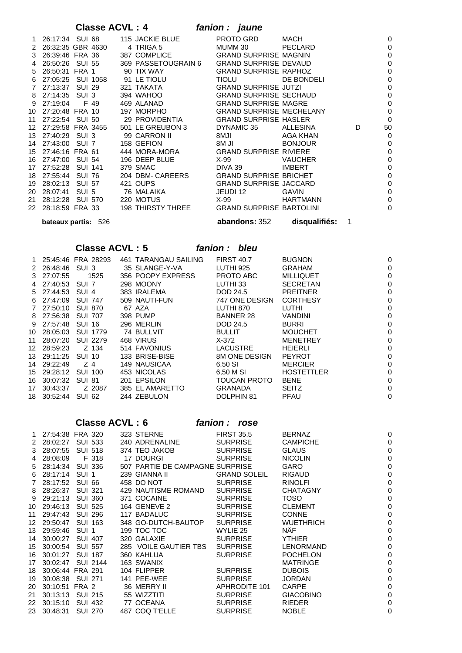## **Classe ACVL : 4** *fanion : jaune*

|              | bateaux partis: 526          |        |  |                                                            | <b>abandons: 352</b>      | disqualifiés: | 1 |             |
|--------------|------------------------------|--------|--|------------------------------------------------------------|---------------------------|---------------|---|-------------|
| 22.          |                              |        |  | 28:18:59 FRA 33 198 THIRSTY THREE GRAND SURPRISE BARTOLINI |                           |               |   | $\mathbf 0$ |
| 21           | 28:12:28 SUI 570             |        |  | 220 MOTUS                                                  | $X-99$                    | HARTMANN      |   | $\mathbf 0$ |
| 20           |                              |        |  | 28:07:41 SUI 5 76 MALAIKA                                  | JEUDI 12                  | <b>GAVIN</b>  |   | 0           |
| 19           | 28:02:13                     | SUI 57 |  | 421 OUPS GRAND SURPRISE JACCARD                            |                           |               |   | $\mathbf 0$ |
|              |                              |        |  | 204 DBM- CAREERS GRAND SURPRISE BRICHET                    |                           |               |   | 0           |
|              | 17 27:52:28 SUI 141          |        |  | 379 SMAC                                                   | DIVA 39                   | IMBERT        |   | 0           |
|              | 16 27:47:00 SUI 54           |        |  | 196 DEEP BLUE X-99                                         |                           | VAUCHER       |   | 0           |
| 15           | 27:46:16 FRA 61              |        |  | 444 MORA-MORA GRAND SURPRISE RIVIERE                       |                           |               |   | $\mathbf 0$ |
|              | 14 27:43:00 SUI 7 158 GEFION |        |  |                                                            | $8M$ JI                   | BONJOUR       |   | $\mathbf 0$ |
|              |                              |        |  | 13 27:40:29 SUI 3 99 CARRON II                             | 8MJI MARAMARKA MWAKA 2012 | AGA KHAN      |   | 0           |
| 12           | 27:29:58 FRA 3455            |        |  | 501 LE GREUBON 3                                           | DYNAMIC 35                | ALLESINA      | D | 50          |
|              |                              |        |  | 11 27:22:54 SUI 50 29 PROVIDENTIA GRAND SURPRISE HASLER    |                           |               |   | $\mathbf 0$ |
|              | 10 27:20:48 FRA 10           |        |  | 197 MORPHO GRAND SURPRISE MECHELANY                        |                           |               |   | $\mathbf 0$ |
| 9            | 27:19:04 F 49                |        |  |                                                            |                           |               |   | 0           |
| 8            | 27:14:35 SUI 3               |        |  |                                                            |                           |               |   | $\mathbf 0$ |
| $\mathbf{7}$ |                              |        |  | 27:13:37 SUI 29 321 TAKATA GRAND SURPRISE JUTZI            |                           |               |   | 0           |
| 6.           |                              |        |  | 27:05:25 SUI 1058 91 LE TIOLU                              | <b>TIOLU</b>              | DE BONDELI    |   | $\mathbf 0$ |
| 5            |                              |        |  | 26:50:31 FRA 1 90 TIX WAY GRAND SURPRISE RAPHOZ            |                           |               |   | $\mathbf 0$ |
| 4            | 26:50:26 SUI 55              |        |  | 369 PASSETOUGRAIN 6    GRAND SURPRISE DEVAUD               |                           |               |   | 0           |
| 3            |                              |        |  | 26:39:46 FRA 36 387 COMPLICE GRAND SURPRISE MAGNIN         |                           |               |   | 0           |
| 2            |                              |        |  | 26:32:35 GBR 4630 4 TRIGA 5                                | MUMM 30                   | PECLARD       |   | 0           |
| 1.           |                              |        |  | 26:17:34 SUI 68 115 JACKIE BLUE                            | PROTO GRD                 | MACH          |   | 0           |

### **Classe ACVL : 5** *fanion : bleu*

|     |          | 25:45:46 FRA 28293 | 461 TARANGAU SAILING | <b>FIRST 40.7</b>    | <b>BUGNON</b>     | 0 |
|-----|----------|--------------------|----------------------|----------------------|-------------------|---|
| 2   | 26:48:46 | SUI 3              | 35 SLANGE-Y-VA       | LUTHI 925            | <b>GRAHAM</b>     | 0 |
| 3   | 27:07:55 | 1525               | 356 POOPY EXPRESS    | PROTO ABC            | <b>MILLIQUET</b>  | 0 |
| 4   | 27:40:53 | SUI 7              | 298 MOONY            | LUTHI 33             | <b>SECRETAN</b>   | 0 |
| 5   | 27:44:53 | SUI 4              | 383 IRALEMA          | DOD 24.5             | <b>PREITNER</b>   | 0 |
| 6.  | 27:47:09 | <b>SUI 747</b>     | 509 NAUTI-FUN        | 747 ONE DESIGN       | <b>CORTHESY</b>   | 0 |
|     | 27:50:10 | <b>SUI 870</b>     | 67 AZA               | LUTHI 870            | LUTHI             | 0 |
| 8   | 27:56:38 | <b>SUI 707</b>     | 398 PUMP             | <b>BANNER 28</b>     | <b>VANDINI</b>    | 0 |
| 9   | 27:57:48 | <b>SUI 16</b>      | 296 MERLIN           | DOD 24.5             | <b>BURRI</b>      | 0 |
| 10  | 28:05:03 | <b>SUI 1779</b>    | 74 BULLVIT           | <b>BULLIT</b>        | <b>MOUCHET</b>    | 0 |
| 11  | 28:07:20 | <b>SUI 2279</b>    | 468 VIRUS            | $X-372$              | <b>MENETREY</b>   | 0 |
| 12. | 28:59:23 | Z 134              | 514 FAVONIUS         | <b>LACUSTRE</b>      | <b>HEIERLI</b>    | 0 |
| 13. | 29:11:25 | <b>SUI 10</b>      | 133 BRISE-BISE       | <b>8M ONE DESIGN</b> | <b>PEYROT</b>     | 0 |
| 14  | 29:22:49 | Z 4                | 149 NAUSICAA         | 6.50 SI              | <b>MERCIER</b>    |   |
| 15  | 29:28:12 | <b>SUI 100</b>     | 453 NICOLAS          | 6.50 M SI            | <b>HOSTETTLER</b> |   |
| 16  | 30:07:32 | <b>SUI 81</b>      | 201 EPSILON          | TOUCAN PROTO         | <b>BENE</b>       |   |
| 17  | 30:43:37 | Z 2087             | 385 EL AMARETTO      | <b>GRANADA</b>       | <b>SEITZ</b>      |   |
| 18  | 30:52:44 | <b>SUI 62</b>      | 244 ZEBULON          | DOLPHIN 81           | <b>PFAU</b>       | 0 |

### **Classe ACVL : 6** *fanion : rose*

| 1. | 27:54:38 FRA 320 |                |                 | 323 STERNE                      | <b>FIRST 35.5</b>   | <b>BERNAZ</b>    | 0 |
|----|------------------|----------------|-----------------|---------------------------------|---------------------|------------------|---|
| 2  | 28:02:27         | <b>SUI 533</b> |                 | 240 ADRENALINE                  | <b>SURPRISE</b>     | <b>CAMPICHE</b>  | 0 |
| 3  | 28:07:55         | <b>SUI 518</b> |                 | 374 TEO JAKOB                   | <b>SURPRISE</b>     | <b>GLAUS</b>     | 0 |
| 4  | 28:08:09         |                | F 318           | 17 DOURGI                       | <b>SURPRISE</b>     | <b>NICOLIN</b>   | 0 |
| 5  | 28:14:34         | <b>SUI 336</b> |                 | 507 PARTIE DE CAMPAGNE SURPRISE |                     | <b>GARO</b>      | 0 |
| 6  | 28:17:14         | SUI 1          |                 | 239 GIANNA II                   | <b>GRAND SOLEIL</b> | <b>RIGAUD</b>    | 0 |
|    | 28:17:52         | <b>SUI 66</b>  |                 | 458 DO NOT                      | <b>SURPRISE</b>     | <b>RINOLFI</b>   | 0 |
| 8  | 28:26:37         | <b>SUI 321</b> |                 | 429 NAUTISME ROMAND             | <b>SURPRISE</b>     | <b>CHATAGNY</b>  | 0 |
| 9  | 29:21:13         | <b>SUI 360</b> |                 | 371 COCAINE                     | <b>SURPRISE</b>     | TOSO             | 0 |
| 10 | 29:46:13         | <b>SUI 525</b> |                 | 164 GENEVE 2                    | <b>SURPRISE</b>     | <b>CLEMENT</b>   | 0 |
| 11 | 29:47:43         | <b>SUI 296</b> |                 | 117 BADALUC                     | <b>SURPRISE</b>     | <b>CONNE</b>     | 0 |
| 12 | 29:50:47         |                | <b>SUI 163</b>  | 348 GO-DUTCH-BAUTOP             | <b>SURPRISE</b>     | <b>WUETHRICH</b> | 0 |
| 13 | 29:59:46         | SUI 1          |                 | 199 TOC TOC                     | WYLIE 25            | NÄF              | 0 |
| 14 | 30:00:27         | <b>SUI 407</b> |                 | 320 GALAXIE                     | <b>SURPRISE</b>     | <b>YTHIER</b>    | 0 |
| 15 | 30:00:54         | <b>SUI 557</b> |                 | 285 VOILE GAUTIER TBS           | SURPRISE            | <b>LENORMAND</b> | 0 |
| 16 | 30:01:27         | <b>SUI 187</b> |                 | 360 KAHLUA                      | <b>SURPRISE</b>     | <b>POCHELON</b>  | 0 |
| 17 | 30:02:47         |                | <b>SUI 2144</b> | 163 SWANIX                      |                     | <b>MATRINGE</b>  | 0 |
| 18 | 30:06:44 FRA 291 |                |                 | 104 FLIPPER                     | <b>SURPRISE</b>     | <b>DUBOIS</b>    | 0 |
| 19 | 30:08:38         | <b>SUI 271</b> |                 | 141 PEE-WEE                     | <b>SURPRISE</b>     | <b>JORDAN</b>    | 0 |
| 20 | 30:10:51         | FRA 2          |                 | 36 MERRY II                     | APHRODITE 101       | <b>CARPE</b>     | 0 |
| 21 | 30:13:13         | SUI 215        |                 | 55 WIZZTITI                     | <b>SURPRISE</b>     | <b>GIACOBINO</b> | 0 |
| 22 | 30:15:10         | <b>SUI 432</b> |                 | 77 OCEANA                       | <b>SURPRISE</b>     | <b>RIEDER</b>    | 0 |
| 23 | 30:48:31         | <b>SUI 270</b> |                 | 487 COQ T'ELLE                  | <b>SURPRISE</b>     | <b>NOBLE</b>     | 0 |
|    |                  |                |                 |                                 |                     |                  |   |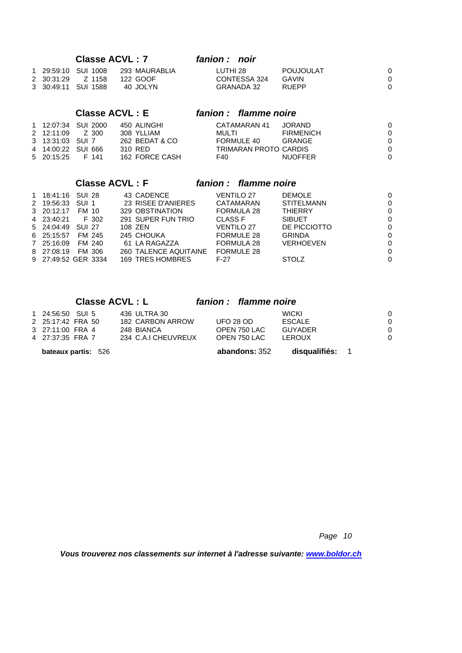### **Classe ACVL : 7** *fanion : noir*

|  | 1 29:59:10 SUI 1008 | 293 MAURABLIA | LUTHI 28     | POUJOULAT |  |
|--|---------------------|---------------|--------------|-----------|--|
|  |                     |               | CONTESSA 324 | GAVIN     |  |
|  | 3 30:49:11 SUI 1588 | 40 JOLYN      | GRANADA 32   | RUEPP     |  |

### **Classe ACVL : E** *fanion : flamme noire*

### **Classe ACVL : F** *fanion : flamme noire*

| 1 18:41:16 SUI 28   |        |        | 43 CADENCE            | <b>VENTILO 27</b> | <b>DEMOLE</b>     | 0        |
|---------------------|--------|--------|-----------------------|-------------------|-------------------|----------|
| 2 19:56:33 SUI 1    |        |        | 23 RISEE D'ANIERES    | CATAMARAN         | <b>STITELMANN</b> | 0        |
| 3 20:12:17          | FM 10  |        | 329 OBSTINATION       | FORMULA 28        | <b>THIERRY</b>    | $\Omega$ |
| 4 23:40:21          |        | F 302  | 291 SUPER FUN TRIO    | CLASS F           | <b>SIBUET</b>     | 0        |
| 5 24:04:49 SUI 27   |        |        | 108 ZEN               | <b>VENTILO 27</b> | DE PICCIOTTO      | 0        |
| 6 25:15:57          |        | FM 245 | 245 CHOUKA            | <b>FORMULE 28</b> | <b>GRINDA</b>     | 0        |
| 7 25:16:09          | FM 240 |        | 61 LA RAGAZZA         | FORMULA 28        | <b>VERHOEVEN</b>  | 0        |
| 8 27:08:19          |        | FM 306 | 260 TALENCE AQUITAINE | FORMULE 28        |                   | $\Omega$ |
| 9 27:49:52 GER 3334 |        |        | 169 TRES HOMBRES      | F-27              | <b>STOLZ</b>      | 0        |

### **Classe ACVL : L** *fanion : flamme noire*

| <b>bateaux partis: 526</b> |                     | abandons: 352 | disqualifiés: |  |
|----------------------------|---------------------|---------------|---------------|--|
| 4 27:37:35 FRA 7           | 234 C.A.I CHEUVREUX | OPEN 750 LAC  | LEROUX        |  |
| 3 27:11:00 FRA 4           | 248 BIANCA          | OPEN 750 LAC  | GUYADER       |  |
| 2 25:17:42 FRA 50          | 182 CARBON ARROW    | LIFO 28 OD.   | <b>ESCALE</b> |  |
| 1 24:56:50 SUI 5           | 436 ULTRA 30        |               | <b>WICKI</b>  |  |

*Page 10*

*Vous trouverez nos classements sur internet à l'adresse suivante: [www.boldor.ch](http://www.boldor.ch/)*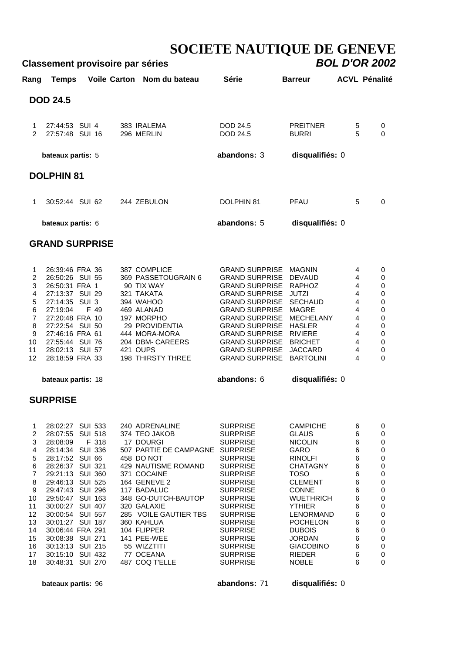## **SOCIETE NAUTIQUE DE GENEVE Classement provisoire par séries** *BOL D'OR 2002*

|                                                                                                    |                                                                                                                                                                                                                                               | olugooniicht proviooni |          | u par acrica                                                                                                                                                                         |                                                                                                                                                                                                                                                                                                                                        |                                                                                                                                                                                    |                                                                       |                                                                                                     |  |
|----------------------------------------------------------------------------------------------------|-----------------------------------------------------------------------------------------------------------------------------------------------------------------------------------------------------------------------------------------------|------------------------|----------|--------------------------------------------------------------------------------------------------------------------------------------------------------------------------------------|----------------------------------------------------------------------------------------------------------------------------------------------------------------------------------------------------------------------------------------------------------------------------------------------------------------------------------------|------------------------------------------------------------------------------------------------------------------------------------------------------------------------------------|-----------------------------------------------------------------------|-----------------------------------------------------------------------------------------------------|--|
| Rang                                                                                               |                                                                                                                                                                                                                                               |                        |          | Temps Voile Carton Nom du bateau                                                                                                                                                     | <b>Série</b>                                                                                                                                                                                                                                                                                                                           | <b>Barreur</b>                                                                                                                                                                     | <b>ACVL Pénalité</b>                                                  |                                                                                                     |  |
|                                                                                                    | <b>DOD 24.5</b>                                                                                                                                                                                                                               |                        |          |                                                                                                                                                                                      |                                                                                                                                                                                                                                                                                                                                        |                                                                                                                                                                                    |                                                                       |                                                                                                     |  |
| $\mathbf{1}$<br>$\mathcal{P}$                                                                      | 27:44:53 SUI 4<br>27:57:48 SUI 16                                                                                                                                                                                                             |                        |          | 383 IRALEMA<br>296 MERLIN                                                                                                                                                            | DOD 24.5<br>DOD 24.5                                                                                                                                                                                                                                                                                                                   | <b>PREITNER</b><br><b>BURRI</b>                                                                                                                                                    | 5<br>5                                                                | 0<br>$\Omega$                                                                                       |  |
|                                                                                                    | bateaux partis: 5                                                                                                                                                                                                                             |                        |          |                                                                                                                                                                                      | abandons: 3                                                                                                                                                                                                                                                                                                                            | disqualifiés: 0                                                                                                                                                                    |                                                                       |                                                                                                     |  |
|                                                                                                    | <b>DOLPHIN 81</b>                                                                                                                                                                                                                             |                        |          |                                                                                                                                                                                      |                                                                                                                                                                                                                                                                                                                                        |                                                                                                                                                                                    |                                                                       |                                                                                                     |  |
| $\mathbf 1$                                                                                        | 30:52:44 SUI 62                                                                                                                                                                                                                               |                        |          | 244 ZEBULON                                                                                                                                                                          | DOLPHIN 81                                                                                                                                                                                                                                                                                                                             | PFAU                                                                                                                                                                               | 5                                                                     | $\Omega$                                                                                            |  |
|                                                                                                    | bateaux partis: 6                                                                                                                                                                                                                             |                        |          |                                                                                                                                                                                      | abandons: 5                                                                                                                                                                                                                                                                                                                            | disqualifiés: 0                                                                                                                                                                    |                                                                       |                                                                                                     |  |
|                                                                                                    |                                                                                                                                                                                                                                               | <b>GRAND SURPRISE</b>  |          |                                                                                                                                                                                      |                                                                                                                                                                                                                                                                                                                                        |                                                                                                                                                                                    |                                                                       |                                                                                                     |  |
| 1<br>$\overline{c}$<br>3<br>$\overline{4}$<br>5<br>6<br>$\overline{7}$<br>8<br>9<br>10<br>11<br>12 | 26:39:46 FRA 36<br>26:50:26 SUI 55<br>26:50:31 FRA 1<br>27:13:37 SUI 29<br>27:14:35 SUI 3<br>27:19:04<br>27:20:48 FRA 10<br>27:22:54 SUI 50<br>27:46:16 FRA 61<br>27:55:44 SUI 76<br>28:02:13 SUI 57<br>28:18:59 FRA 33<br>bateaux partis: 18 | F 49                   | 421 OUPS | 387 COMPLICE<br>369 PASSETOUGRAIN 6<br>90 TIX WAY<br>321 TAKATA<br>394 WAHOO<br>469 ALANAD<br>197 MORPHO<br>29 PROVIDENTIA<br>444 MORA-MORA<br>204 DBM- CAREERS<br>198 THIRSTY THREE | <b>GRAND SURPRISE</b><br><b>GRAND SURPRISE</b><br><b>GRAND SURPRISE</b><br><b>GRAND SURPRISE</b><br><b>GRAND SURPRISE</b><br><b>GRAND SURPRISE</b><br><b>GRAND SURPRISE</b><br><b>GRAND SURPRISE HASLER</b><br><b>GRAND SURPRISE RIVIERE</b><br><b>GRAND SURPRISE</b><br><b>GRAND SURPRISE</b><br><b>GRAND SURPRISE</b><br>abandons: 6 | MAGNIN<br><b>DEVAUD</b><br><b>RAPHOZ</b><br><b>JUTZI</b><br><b>SECHAUD</b><br><b>MAGRE</b><br>MECHELANY<br><b>BRICHET</b><br><b>JACCARD</b><br><b>BARTOLINI</b><br>disqualifiés: 0 | 4<br>4<br>4<br>4<br>$\overline{4}$<br>4<br>4<br>4<br>4<br>4<br>4<br>4 | 0<br>0<br>0<br>$\mathbf 0$<br>$\pmb{0}$<br>$\mathbf 0$<br>0<br>$\pmb{0}$<br>0<br>0<br>0<br>$\Omega$ |  |
|                                                                                                    | <b>SURPRISE</b>                                                                                                                                                                                                                               |                        |          |                                                                                                                                                                                      |                                                                                                                                                                                                                                                                                                                                        |                                                                                                                                                                                    |                                                                       |                                                                                                     |  |
|                                                                                                    |                                                                                                                                                                                                                                               |                        |          |                                                                                                                                                                                      |                                                                                                                                                                                                                                                                                                                                        |                                                                                                                                                                                    |                                                                       |                                                                                                     |  |

|                   | 28:02:27         | SUI 533        |       | 240 ADRENALINE         | <b>SURPRISE</b> | <b>CAMPICHE</b>  | 6 | 0        |
|-------------------|------------------|----------------|-------|------------------------|-----------------|------------------|---|----------|
| 2                 | 28:07:55 SUI 518 |                |       | 374 TEO JAKOB          | <b>SURPRISE</b> | <b>GLAUS</b>     | 6 | 0        |
| 3                 | 28:08:09         |                | F 318 | 17 DOURGI              | <b>SURPRISE</b> | <b>NICOLIN</b>   | 6 | 0        |
| 4                 | 28:14:34 SUI 336 |                |       | 507 PARTIE DE CAMPAGNE | <b>SURPRISE</b> | GARO             | 6 | 0        |
| 5                 | 28:17:52 SUI 66  |                |       | 458 DO NOT             | <b>SURPRISE</b> | <b>RINOLFI</b>   | 6 | 0        |
| 6                 | 28:26:37 SUI 321 |                |       | 429 NAUTISME ROMAND    | <b>SURPRISE</b> | <b>CHATAGNY</b>  | 6 | 0        |
|                   | 29:21:13 SUI 360 |                |       | 371 COCAINE            | <b>SURPRISE</b> | <b>TOSO</b>      | 6 | $\Omega$ |
| 8                 | 29:46:13 SUI 525 |                |       | 164 GENEVE 2           | <b>SURPRISE</b> | <b>CLEMENT</b>   | 6 | 0        |
| 9                 | 29:47:43         | SUI 296        |       | 117 BADALUC            | <b>SURPRISE</b> | <b>CONNE</b>     | 6 | $\Omega$ |
| 10                | 29:50:47         | SUI 163        |       | 348 GO-DUTCH-BAUTOP    | <b>SURPRISE</b> | <b>WUETHRICH</b> | 6 | 0        |
| 11                | 30:00:27         | <b>SUI 407</b> |       | 320 GALAXIE            | <b>SURPRISE</b> | <b>YTHIER</b>    | 6 | 0        |
| $12 \overline{ }$ | 30:00:54         | <b>SUI 557</b> |       | 285 VOILE GAUTIER TBS  | <b>SURPRISE</b> | LENORMAND        | 6 | 0        |
| 13                | 30:01:27         | <b>SUI 187</b> |       | 360 KAHLUA             | <b>SURPRISE</b> | <b>POCHELON</b>  | 6 | $\Omega$ |
| 14                | 30:06:44 FRA 291 |                |       | 104 FLIPPER            | <b>SURPRISE</b> | <b>DUBOIS</b>    | 6 | 0        |
| 15                | 30:08:38 SUI 271 |                |       | 141 PEE-WEE            | <b>SURPRISE</b> | <b>JORDAN</b>    | 6 | 0        |
| 16                | 30:13:13 SUI 215 |                |       | 55 WIZZTITI            | <b>SURPRISE</b> | <b>GIACOBINO</b> | 6 | 0        |
| 17                | 30:15:10 SUI 432 |                |       | 77 OCEANA              | <b>SURPRISE</b> | <b>RIEDER</b>    | 6 | 0        |
| 18                | 30:48:31         | <b>SUI 270</b> |       | 487 COQ T'ELLE         | <b>SURPRISE</b> | <b>NOBLE</b>     | 6 | 0        |
|                   |                  |                |       |                        |                 |                  |   |          |

 **bateaux partis:** 96 **abandons:** 71 **disqualifiés:** 0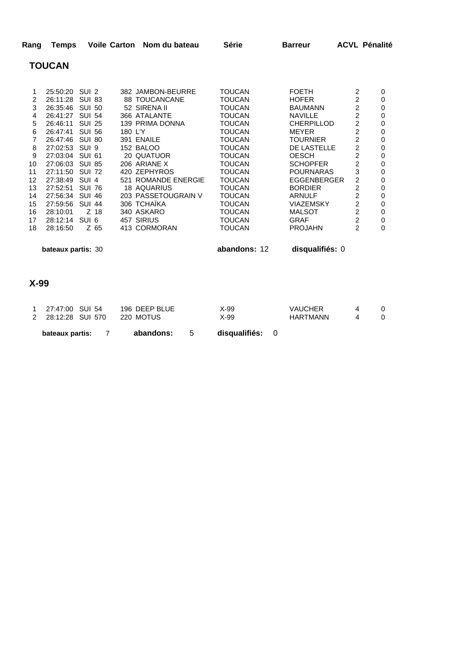| Rang |               | Temps Voile Carton Nom du bateau | Série | <b>Barreur</b> | <b>ACVL Pénalité</b> |
|------|---------------|----------------------------------|-------|----------------|----------------------|
|      | <b>TOUCAN</b> |                                  |       |                |                      |

|    | 25:50:20        | SUL <sub>2</sub> | 382 JAMBON-BEURRE   | TOUCAN | <b>FOFTH</b>      | 2 | 0 |
|----|-----------------|------------------|---------------------|--------|-------------------|---|---|
| 2  | 26:11:28 SUI 83 |                  | 88 TOUCANCANE       | TOUCAN | <b>HOFER</b>      |   | 0 |
| 3  | 26:35:46        | <b>SUI 50</b>    | 52 SIRENA II        | TOUCAN | <b>BAUMANN</b>    |   | 0 |
| 4  | 26:41:27        | <b>SUI 54</b>    | 366 ATALANTE        | TOUCAN | <b>NAVILLE</b>    | 2 | 0 |
| 5  | 26:46:11        | <b>SUI 25</b>    | 139 PRIMA DONNA     | TOUCAN | <b>CHERPILLOD</b> | 2 | 0 |
| 6  | 26:47:41        | <b>SUI 56</b>    | 180 L'Y             | TOUCAN | <b>MEYER</b>      | 2 | 0 |
|    | 26:47:46        | <b>SUI 80</b>    | 391 ENAILE          | TOUCAN | TOURNIER          |   | 0 |
| 8  | 27:02:53        | SUI <sub>9</sub> | <b>152 BALOO</b>    | TOUCAN | DE LASTELLE       | 2 | 0 |
| 9  | 27:03:04        | <b>SUL 61</b>    | 20 QUATUOR          | TOUCAN | <b>OESCH</b>      | 2 | 0 |
| 10 | 27:06:03        | <b>SUI 85</b>    | 206 ARIANE X        | TOUCAN | <b>SCHOPFER</b>   | 2 | 0 |
| 11 | 27:11:50        | <b>SUI 72</b>    | 420 ZEPHYROS        | TOUCAN | <b>POURNARAS</b>  | 3 | 0 |
| 12 | 27:38:49        | SUI <sub>4</sub> | 521 ROMANDE ENERGIE | TOUCAN | EGGENBERGER       | 2 | 0 |
| 13 | 27:52:51        | <b>SUI 76</b>    | 18 AQUARIUS         | TOUCAN | <b>BORDIER</b>    | 2 | 0 |
| 14 | 27:56:34        | <b>SUI 46</b>    | 203 PASSETOUGRAIN V | TOUCAN | ARNULF            | 2 | 0 |
| 15 | 27:59:56        | <b>SUI 44</b>    | 306 TCHAIKA         | TOUCAN | VIAZEMSKY         | 2 | 0 |
| 16 | 28:10:01        | Z 18             | 340 ASKARO          | TOUCAN | <b>MALSOT</b>     | 2 | 0 |
| 17 | 28:12:14        | SUI 6            | 457 SIRIUS          | TOUCAN | GRAF              | 2 | 0 |
| 18 | 28:16:50        | Z 65             | 413 CORMORAN        | TOUCAN | <b>PROJAHN</b>    | 2 | 0 |
|    |                 |                  |                     |        |                   |   |   |

 **bateaux partis:** 30 **abandons:** 12 **disqualifiés:** 0

### **X-99**

|        | bateaux partis:    |  | abandons:     | disqualifiés: 0 |                 |  |
|--------|--------------------|--|---------------|-----------------|-----------------|--|
|        | 2 28:12:28 SUI 570 |  | 220 MOTUS     | X-99            | <b>HARTMANN</b> |  |
| $\sim$ | 27:47:00 SUI 54    |  | 196 DEEP BLUE | X-99            | <b>VAUCHER</b>  |  |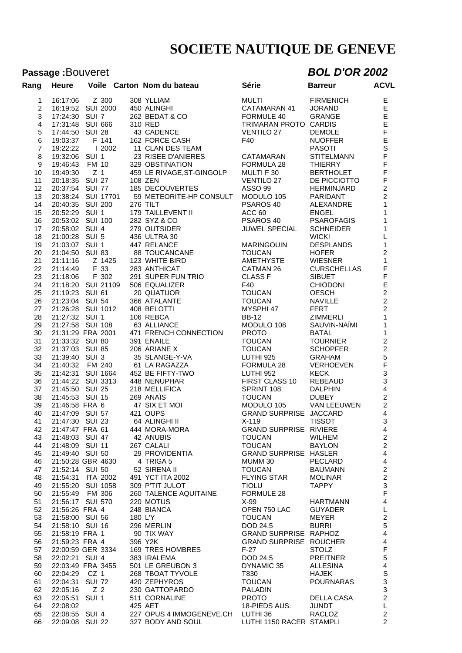# Passage :Bouveret **BOL D'OR 2002**

| Rang             | <b>Heure</b>       |        |                     | Voile Carton Nom du bateau                                   | Série                    | <b>Barreur</b>    | <b>ACVL</b>                     |
|------------------|--------------------|--------|---------------------|--------------------------------------------------------------|--------------------------|-------------------|---------------------------------|
| 1                | 16:17:06           | Z 300  |                     | 308 YLLIAM                                                   | MULTI                    | <b>FIRMENICH</b>  | E                               |
| $\overline{c}$   | 16:19:52 SUI 2000  |        |                     | 450 ALINGHI                                                  | CATAMARAN 41             | JORAND            |                                 |
| 3                | 17:24:30 SUI 7     |        |                     | 262 BEDAT & CO                                               | FORMULE 40               | GRANGE            |                                 |
| 4                | 17:31:48 SUI 666   |        |                     | 310 RED                                                      | TRIMARAN PROTO CARDIS    |                   | E<br>E<br>E<br>E                |
| 5                | 17:44:50 SUI 28    |        |                     | 43 CADENCE                                                   | <b>VENTILO 27</b>        | <b>DEMOLE</b>     |                                 |
|                  | 19:03:37 F 141     |        |                     |                                                              |                          |                   |                                 |
| 6                |                    |        |                     | 162 FORCE CASH                                               | F40                      | <b>NUOFFER</b>    |                                 |
| $\overline{7}$   | 19:22:22   2002    |        |                     | 11 CLAN DES TEAM                                             |                          | <b>PASOTI</b>     | F<br>E<br>S<br>F                |
| 8                | 19:32:06 SUI 1     |        |                     | 23 RISEE D'ANIERES                                           | CATAMARAN                | STITELMANN        |                                 |
| $\boldsymbol{9}$ | 19:46:43 FM 10     |        |                     | 329 OBSTINATION                                              | FORMULA 28               | <b>THIERRY</b>    | F<br>F                          |
| 10               | 19:49:30 Z 1       |        |                     | 459 LE RIVAGE, ST-GINGOLP                                    | MULTI F 30               | <b>BERTHOLET</b>  | $\bar{\mathsf{F}}$              |
| 11               | 20:18:35 SUI 27    |        |                     | 108 ZEN                                                      | <b>VENTILO 27</b>        | DE PICCIOTTO      |                                 |
| 12               | 20:37:54 SUI 77    |        |                     | 185 DECOUVERTES                                              | <b>ASSO 99</b>           | HERMINJARD        | $\overline{2}$                  |
| 13               |                    |        |                     | 20:38:24 SUI 17701 59 METEORITE-HP CONSULT                   | MODULO 105               | PARIDANT          | $\overline{2}$                  |
| 14               | 20:40:35 SUI 200   |        |                     | 276 TILT                                                     | PSAROS 40                | ALEXANDRE         | $\mathbf{1}$                    |
| 15               | 20:52:29 SUI 1     |        |                     | 179 TAILLEVENT II                                            | ACC 60                   | <b>ENGEL</b>      | $\mathbf{1}$                    |
| 16               | 20:53:02 SUI 100   |        |                     | 282 SYZ & CO                                                 | PSAROS 40                | <b>PSAROFAGIS</b> | $\mathbf{1}$                    |
| 17               | 20:58:02 SUI 4     |        |                     | 279 OUTSIDER                                                 | <b>JUWEL SPECIAL</b>     | <b>SCHNEIDER</b>  | $\mathbf{1}$                    |
| 18               | 21:00:28 SUI 5     |        |                     | 436 ULTRA 30                                                 |                          | <b>WICKI</b>      | $\mathsf L$                     |
| 19               | 21:03:07 SUI 1     |        |                     | 447 RELANCE                                                  | <b>MARINGOUIN</b>        | <b>DESPLANDS</b>  | $\mathbf{1}$                    |
| 20               | 21:04:50 SUI 83    |        |                     | 88 TOUCANCANE                                                | <b>TOUCAN</b>            | <b>HOFER</b>      | $\overline{c}$                  |
| 21               | 21:11:16           | Z 1425 |                     | 123 WHITE BIRD                                               | AMETHYSTE                | <b>WIESNER</b>    | $\mathbf{1}$                    |
| 22               | 21:14:49 F 33      |        |                     | 283 ANTHICAT                                                 | CATMAN 26                | CURSCHELLAS       | $\mathsf F$                     |
| 23               | 21:18:06 F 302     |        |                     | 291 SUPER FUN TRIO                                           | <b>CLASS F</b>           | <b>SIBUET</b>     | $\mathsf F$                     |
| 24               | 21:18:20 SUI 21109 |        |                     | 506 EQUALIZER                                                | F40                      | <b>CHIODONI</b>   | $\frac{E}{2}$                   |
| 25               | 21:19:23 SUI 61    |        |                     | 20 QUATUOR                                                   | TOUCAN                   | <b>OESCH</b>      |                                 |
| 26               | 21:23:04 SUI 54    |        |                     | 366 ATALANTE                                                 | <b>TOUCAN</b>            | NAVILLE           | $\overline{2}$                  |
| 27               | 21:26:28 SUI 1012  |        |                     | 408 BELOTTI                                                  | MYSPHI 47                | <b>FERT</b>       | $\overline{2}$                  |
| 28               | 21:27:32 SUI 1     |        |                     | 106 REBCA                                                    | <b>BB-12</b>             | ZIMMERLI          | $\mathbf{1}$                    |
| 29               | 21:27:58 SUI 108   |        |                     | 63 ALLIANCE                                                  | MODULO 108               | SAUVIN-NAÏMI      | $\mathbf{1}$                    |
| 30               | 21:31:29 FRA 2001  |        |                     | 471 FRENCH CONNECTION                                        | <b>PROTO</b>             | <b>BATAL</b>      | $\mathbf{1}$                    |
| 31               | 21:33:32 SUI 80    |        |                     | 391 ENAILE                                                   | TOUCAN                   | <b>TOURNIER</b>   | $\frac{2}{2}$                   |
| 32               | 21:37:03 SUI 85    |        |                     | 206 ARIANE X                                                 | TOUCAN                   | <b>SCHOPFER</b>   |                                 |
| 33               | 21:39:40 SUI 3     |        |                     | 35 SLANGE-Y-VA                                               | LUTHI 925                | <b>GRAHAM</b>     | 5                               |
| 34               | 21:40:32 FM 240    |        |                     | 61 LA RAGAZZA                                                | FORMULA 28               | VERHOEVEN         | $\mathsf F$                     |
| 35               | 21:42:31 SUI 1664  |        |                     | 452 BE FIFTY-TWO                                             | <b>LUTHI 952</b>         | <b>KECK</b>       | $\mathbf{3}$                    |
| 36               | 21:44:22 SUI 3313  |        |                     | 448 NENUPHAR                                                 | FIRST CLASS 10           | REBEAUD           | $\overline{3}$                  |
| 37               | 21:45:50 SUI 25    |        |                     | 218 MELLIFICA                                                | SPRINT 108               | <b>DALPHIN</b>    | $\overline{4}$                  |
| 38               | 21:45:53 SUI 15    |        |                     | 269 ANAIS                                                    | <b>TOUCAN</b>            | <b>DUBEY</b>      | $\overline{2}$                  |
| 39               | 21:46:58 FRA 6     |        |                     | 47 SIX ET MOI                                                | MODULO 105               | VAN LEEUWEN       | $\overline{2}$                  |
| 40               | 21:47:09 SUI 57    |        |                     | 421 OUPS                                                     | GRAND SURPRISE JACCARD   |                   | $\overline{4}$                  |
| 41               | 21:47:30 SUI 23    |        |                     | 64 ALINGHI II                                                | $X-119$                  | <b>TISSOT</b>     | $\mathbf{3}$                    |
|                  |                    |        |                     | 42  21:47:47  FRA  61  444  MORA-MORA                        | GRAND SURPRISE RIVIERE   |                   | $\overline{4}$                  |
| 43               |                    |        |                     | 21:48:03 SUI 47 42 ANUBIS                                    | TOUCAN                   | WILHEM            | $\overline{2}$                  |
| 44               |                    |        |                     | 21:48:09 SUI 11 267 CALALI<br>21:49:40 SUI 50 29 PROVIDENTIA | <b>TOUCAN</b>            | <b>BAYLON</b>     | 2 <sup>1</sup>                  |
| 45               |                    |        |                     |                                                              | GRAND SURPRISE HASLER    |                   | $\overline{4}$                  |
| 46               | 21:50:28 GBR 4630  |        |                     | 4 TRIGA 5                                                    | MUMM 30                  | PECLARD           | $\overline{4}$                  |
| 47               | 21:52:14 SUI 50    |        |                     | 52 SIRENA II                                                 | <b>TOUCAN</b>            | BAUMANN           | $\overline{2}$                  |
| 48               |                    |        |                     | 21:52:14 SUI JU<br>21:54:31 ITA 2002 491 YCT ITA 2002        | <b>FLYING STAR</b>       | MOLINAR           | $\overline{2}$                  |
| 49               | 21:55:20 SUI 1058  |        |                     | 309 P'TIT JULOT                                              | <b>TIOLU</b>             | TAPPY             | $\frac{3}{F}$                   |
| 50               | 21:55:49 FM 306    |        |                     | <b>260 TALENCE AQUITAINE</b>                                 | <b>FORMULE 28</b>        |                   |                                 |
| 51               | 21:56:17 SUI 570   |        |                     | 220 MOTUS                                                    |                          | HARTMANN          | $\overline{4}$                  |
| 52               | 21:56:26 FRA 4     |        | 248 BIAI<br>180 L'Y | 248 BIANCA                                                   |                          |                   | $\mathsf{L}$                    |
| 53               | 21:58:00 SUI 56    |        |                     |                                                              |                          |                   | $\overline{c}$                  |
| 54               | 21:58:10 SUI 16    |        |                     | 296 MERLIN                                                   | <b>DOD 24.5</b>          | <b>BURRI</b>      | $5\,$                           |
| 55               | 21:58:19 FRA 1     |        |                     | $90$ TIX WAY<br>396 Y2K                                      | GRAND SURPRISE RAPHOZ    |                   | $\overline{4}$                  |
| 56               | 21:59:23 FRA 4     |        |                     |                                                              | GRAND SURPRISE ROUCHER   |                   | $\overline{4}$                  |
| 57               |                    |        |                     | 22:00:59 GER 3334 169 TRES HOMBRES                           | F-27                     | <b>STOLZ</b>      | $\frac{\mathsf{F}}{\mathsf{5}}$ |
| 58               | 22:02:21 SUI 4     |        |                     | 383 IRALEMA                                                  | <b>DOD 24.5</b>          | PREITNER          |                                 |
| 59               | 22:03:49 FRA 3455  |        |                     |                                                              | DYNAMIC 35               | <b>ALLESINA</b>   | $\overline{4}$                  |
| 60               | 22:04:29 CZ 1      |        |                     | 501 LE GREUBON 3<br>268 TBOAT TYVOLE                         | T830 <b>Tag</b>          | HAJEK             | $\mathsf S$                     |
| 61               | 22:04:31 SUI 72    |        |                     | 420 ZEPHYROS                                                 | <b>TOUCAN</b>            | POURNARAS         | $\sqrt{3}$                      |
| 62               | 22:05:16 Z 2       |        |                     | 230 GATTOPARDO                                               | PALADIN                  |                   | $\mathbf{3}$                    |
| 63               | 22:05:51 SUI 1     |        |                     | 511 CORNALINE                                                | PROTO DELLA CASA         |                   | $\overline{2}$                  |
| 64               | 22:08:02           |        |                     | 425 AET                                                      | 18-PIEDS AUS. JUNDT      |                   | L                               |
| 65               |                    |        |                     | 22:08:55 SUI 4 227 OPUS 4 IMMOGENEVE.CH LUTHI 36             |                          | RACLOZ            | $\overline{2}$                  |
| 66               |                    |        |                     | 22:09:08 SUI 22 327 BODY AND SOUL                            | LUTHI 1150 RACER STAMPLI |                   | $\overline{2}$                  |
|                  |                    |        |                     |                                                              |                          |                   |                                 |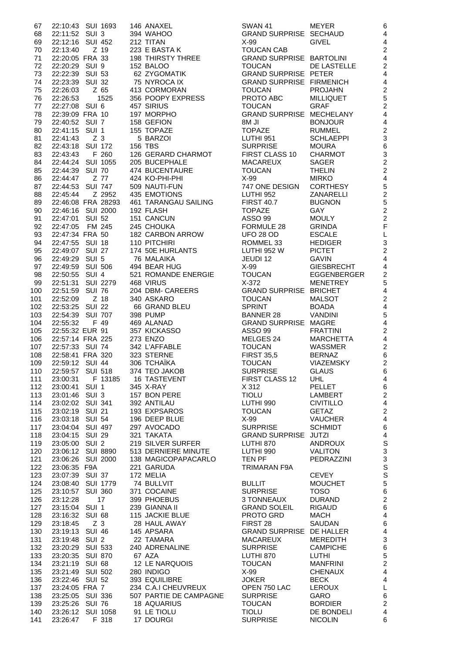| 67         | 22:10:43 SUI 1693                   | 146 ANAXEL               | <b>SWAN 41</b>                                | <b>MEYER</b>                        | 6                                |
|------------|-------------------------------------|--------------------------|-----------------------------------------------|-------------------------------------|----------------------------------|
| 68         | 22:11:52 SUI 3                      | 394 WAHOO                | GRAND SURPRISE SECHAUD                        |                                     | $\overline{4}$                   |
| 69         | 22:12:16 SUI 452                    | 212 TITAN                | $X-99$                                        | <b>GIVEL</b>                        | $\overline{4}$                   |
| 70         | 22:13:40 Z 19                       | 223 E BASTA K            | <b>TOUCAN CAB</b>                             |                                     | $\overline{2}$                   |
| 71         | 22:20:05 FRA 33                     | 198 THIRSTY THREE        | <b>GRAND SURPRISE BARTOLINI</b>               |                                     | $\overline{4}$                   |
| 72         | 22:20:29 SUI 9                      | 152 BALOO                | <b>TOUCAN</b>                                 | DE LASTELLE                         | $\overline{c}$                   |
| 73         | 22:22:39 SUI 53                     | 62 ZYGOMATIK             | <b>GRAND SURPRISE PETER</b>                   |                                     | $\overline{4}$                   |
| 74         | 22:23:39 SUI 32                     | 75 NYROCA IX             | <b>GRAND SURPRISE FIRMENICH</b>               |                                     | $\overline{4}$                   |
| 75         | 22:26:03<br>Z 65                    | 413 CORMORAN             | <b>TOUCAN</b>                                 | <b>PROJAHN</b>                      | $\overline{c}$                   |
| 76         | 1525<br>22:26:53                    | 356 POOPY EXPRESS        | PROTO ABC                                     | <b>MILLIQUET</b>                    | 5                                |
| 77         | 22:27:08 SUI 6                      | 457 SIRIUS               | <b>TOUCAN</b>                                 | <b>GRAF</b>                         | $\overline{c}$                   |
| 78         | 22:39:09 FRA 10                     | 197 MORPHO               | GRAND SURPRISE MECHELANY                      |                                     | $\overline{4}$                   |
| 79         | 22:40:52 SUI 7                      | 158 GEFION               | 8M JI                                         | <b>BONJOUR</b>                      | $\overline{\mathcal{L}}$         |
| 80         | 22:41:15 SUI 1                      | 155 TOPAZE               | <b>TOPAZE</b>                                 | <b>RUMMEL</b>                       | $\overline{c}$                   |
| 81         | Z <sub>3</sub><br>22:41:43          | 5 BARZOI                 | LUTHI 951                                     | <b>SCHLAEPPI</b>                    | 3                                |
| 82         | 22:43:18 SUI 172                    | <b>156 TBS</b>           | <b>SURPRISE</b>                               | <b>MOURA</b>                        | 6                                |
| 83         | F 260<br>22:43:43                   | 126 GERARD CHARMOT       | FIRST CLASS 10                                | <b>CHARMOT</b>                      | 3                                |
| 84         | 22:44:24 SUI 1055                   | 205 BUCEPHALE            | <b>MACAREUX</b>                               | SAGER                               | $\overline{c}$                   |
| 85         | 22:44:39 SUI 70                     | 474 BUCENTAURE           | <b>TOUCAN</b>                                 | <b>THELIN</b>                       | $\overline{c}$                   |
| 86         | Z 77<br>22:44:47                    | 424 KO-PHI-PHI           | $X-99$                                        | <b>MIRKO</b>                        | $\overline{4}$                   |
| 87         | 22:44:53 SUI 747                    | 509 NAUTI-FUN            | 747 ONE DESIGN                                | <b>CORTHESY</b>                     | 5                                |
| 88         | 22:45:44<br>Z 2952                  | 435 EMOTIONS             | <b>LUTHI 952</b>                              | ZANARELLI                           | $\overline{c}$                   |
| 89         | 22:46:08 FRA 28293                  | 461 TARANGAU SAILING     | <b>FIRST 40.7</b>                             | <b>BUGNON</b>                       | 5                                |
| 90         | 22:46:16 SUI 2000                   | 192 FLASH                | <b>TOPAZE</b>                                 | <b>GAY</b>                          | $\overline{c}$                   |
| 91         | 22:47:01 SUI 52                     | 151 CANCUN               | ASSO 99                                       | <b>MOULY</b>                        | $\overline{c}$                   |
| 92         | 22:47:05 FM 245                     | 245 CHOUKA               | <b>FORMULE 28</b>                             | <b>GRINDA</b>                       | $\overline{F}$                   |
| 93         | 22:47:34 FRA 50                     | 182 CARBON ARROW         | <b>UFO 28 OD</b>                              | <b>ESCALE</b>                       | $\overline{\mathsf{L}}%$         |
| 94         | 22:47:55 SUI 18                     | 110 PITCHIRI             | ROMMEL 33                                     | <b>HEDIGER</b>                      | 3                                |
| 95         | 22:49:07 SUI 27                     | 174 50E HURLANTS         | <b>LUTHI 952 W</b>                            | <b>PICTET</b>                       | $\overline{c}$                   |
| 96         | 22:49:29 SUI 5                      | 76 MALAIKA               | JEUDI 12                                      | <b>GAVIN</b>                        | $\overline{4}$                   |
| 97         | 22:49:59 SUI 506                    | 494 BEAR HUG             | X-99                                          | <b>GIESBRECHT</b>                   | $\overline{4}$                   |
| 98         | 22:50:55 SUI 4                      | 521 ROMANDE ENERGIE      | <b>TOUCAN</b>                                 | <b>EGGENBERGER</b>                  | $\overline{c}$                   |
| 99         | 22:51:31 SUI 2279                   | 468 VIRUS                | $X-372$                                       | <b>MENETREY</b>                     | 5                                |
| 100        | 22:51:59 SUI 76                     | 204 DBM- CAREERS         | <b>GRAND SURPRISE BRICHET</b>                 |                                     | $\overline{4}$                   |
| 101        | Z 18<br>22:52:09                    | 340 ASKARO               | <b>TOUCAN</b>                                 | <b>MALSOT</b>                       | $\overline{c}$                   |
| 102        | 22:53:25 SUI 22                     | 66 GRAND BLEU            | <b>SPRINT</b>                                 | <b>BOADA</b>                        | $\overline{4}$                   |
| 103        | 22:54:39 SUI 707                    | 398 PUMP                 | <b>BANNER 28</b>                              | <b>VANDINI</b>                      | 5                                |
| 104        | 22:55:32<br>F 49                    | 469 ALANAD               | <b>GRAND SURPRISE MAGRE</b><br><b>ASSO 99</b> |                                     | $\overline{4}$<br>$\overline{c}$ |
| 105<br>106 | 22:55:32 EUR 91<br>22:57:14 FRA 225 | 357 KICKASSO<br>273 ENZO | MELGES 24                                     | <b>FRATTINI</b><br><b>MARCHETTA</b> | $\overline{4}$                   |
| 107        | 22:57:33 SUI 74                     | 342 L'AFFABLE            | <b>TOUCAN</b>                                 | WASSMER                             | $\overline{c}$                   |
| 108        | 22:58:41 FRA 320                    | 323 STERNE               | <b>FIRST 35,5</b>                             | <b>BERNAZ</b>                       | $6\phantom{1}6$                  |
| 109        | 22:59:12 SUI 44                     | 306 TCHAÏKA              | <b>TOUCAN</b>                                 | <b>VIAZEMSKY</b>                    | $\overline{c}$                   |
| 110        | 22:59:57 SUI 518                    | 374 TEO JAKOB            | <b>SURPRISE</b>                               | <b>GLAUS</b>                        | 6                                |
| 111        | F 13185<br>23:00:31                 | <b>16 TASTEVENT</b>      | FIRST CLASS 12                                | <b>UHL</b>                          | $\overline{\mathcal{A}}$         |
| 112        | 23:00:41 SUI 1                      | 345 X-RAY                | X 312                                         | <b>PELLET</b>                       | 6                                |
| 113        | 23:01:46 SUI 3                      | 157 BON PERE             | <b>TIOLU</b>                                  | LAMBERT                             | $\overline{c}$                   |
| 114        | 23:02:02 SUI 341                    | 392 ANTILAU              | LUTHI 990                                     | <b>CIVITILLO</b>                    | $\overline{\mathcal{L}}$         |
| 115        | 23:02:19 SUI 21                     | 193 EXPSAROS             | <b>TOUCAN</b>                                 | <b>GETAZ</b>                        | $\overline{c}$                   |
| 116        | 23:03:18 SUI 54                     | 196 DEEP BLUE            | X-99                                          | <b>VAUCHER</b>                      | $\overline{\mathcal{L}}$         |
| 117        | 23:04:04 SUI 497                    | 297 AVOCADO              | <b>SURPRISE</b>                               | <b>SCHMIDT</b>                      | 6                                |
| 118        | 23:04:15 SUI 29                     | 321 TAKATA               | <b>GRAND SURPRISE JUTZI</b>                   |                                     | $\overline{\mathcal{L}}$         |
| 119        | 23:05:00 SUI 2                      | 219 SILVER SURFER        | LUTHI 870                                     | <b>ANDROUX</b>                      | S                                |
| 120        | 23:06:12 SUI 8890                   | 513 DERNIERE MINUTE      | <b>LUTHI 990</b>                              | <b>VALITON</b>                      | 3                                |
| 121        | 23:06:26 SUI 2000                   | 138 MAGICOPAPACARLO      | TEN PF                                        | PEDRAZZINI                          | 3                                |
| 122        | 23:06:35 F9A                        | 221 GARUDA               | TRIMARAN F9A                                  |                                     | S                                |
| 123        | 23:07:39 SUI 37                     | 172 MELIA                |                                               | <b>CEVEY</b>                        | S                                |
| 124        | 23:08:40 SUI 1779                   | 74 BULLVIT               | <b>BULLIT</b>                                 | <b>MOUCHET</b>                      | 5                                |
| 125        | 23:10:57 SUI 360                    | 371 COCAINE              | <b>SURPRISE</b>                               | <b>TOSO</b>                         | 6                                |
| 126        | 17<br>23:12:28                      | 399 PHOEBUS              | 3 TONNEAUX                                    | <b>DURAND</b>                       | $\overline{c}$                   |
| 127        | 23:15:04 SUI 1                      | 239 GIANNA II            | <b>GRAND SOLEIL</b>                           | <b>RIGAUD</b>                       | $6\phantom{1}6$                  |
| 128        | 23:16:32 SUI 68                     | 115 JACKIE BLUE          | PROTO GRD                                     | <b>MACH</b>                         | $\overline{4}$                   |
| 129        | Z <sub>3</sub><br>23:18:45          | 28 HAUL AWAY             | FIRST 28                                      | SAUDAN                              | 6                                |
| 130        | 23:19:13 SUI 46                     | 145 APSARA               | GRAND SURPRISE DE HALLER                      |                                     | $\overline{\mathcal{A}}$         |
| 131        | 23:19:48 SUI 2                      | 22 TAMARA                | <b>MACAREUX</b>                               | <b>MEREDITH</b>                     | 3                                |
| 132        | 23:20:29 SUI 533                    | 240 ADRENALINE           | <b>SURPRISE</b>                               | <b>CAMPICHE</b>                     | $6\phantom{1}6$                  |
| 133        | <b>SUI 870</b><br>23:20:35          | 67 AZA                   | LUTHI 870                                     | <b>LUTHI</b>                        | 5                                |
| 134        | 23:21:19 SUI 68                     | 12 LE NARQUOIS           | <b>TOUCAN</b>                                 | <b>MANFRINI</b>                     | $\overline{c}$                   |
| 135        | 23:21:49 SUI 502                    | 280 INDIGO               | X-99                                          | <b>CHENAUX</b>                      | $\overline{4}$                   |
| 136        | 23:22:46 SUI 52                     | 393 EQUILIBRE            | <b>JOKER</b>                                  | <b>BECK</b>                         | $\overline{4}$                   |
| 137        | 23:24:05 FRA 7                      | 234 C.A.I CHEUVREUX      | OPEN 750 LAC                                  | <b>LEROUX</b>                       | L                                |
| 138        | 23:25:05 SUI 336                    | 507 PARTIE DE CAMPAGNE   | <b>SURPRISE</b>                               | GARO                                | $6\phantom{1}6$                  |
| 139        | 23:25:26 SUI 76                     | 18 AQUARIUS              | <b>TOUCAN</b>                                 | <b>BORDIER</b>                      | $\overline{c}$                   |
| 140        | 23:26:12 SUI 1058                   | 91 LE TIOLU              | <b>TIOLU</b>                                  | DE BONDELI                          | $\overline{\mathcal{A}}$         |
| 141        | 23:26:47 F 318                      | 17 DOURGI                | <b>SURPRISE</b>                               | <b>NICOLIN</b>                      | $6\phantom{1}6$                  |

| <b>VAN 41</b>                      | <b>MEYER</b>                      |
|------------------------------------|-----------------------------------|
| AND SURPRISE                       | SECHAUD                           |
| 99.                                | GIVEL                             |
| UCAN CAB<br>AND SURPRISE BARTOLINI |                                   |
| <b>UCAN</b>                        | <b>DE LASTELLE</b>                |
| AND SURPRISE PETER                 |                                   |
| AND SURPRISE FIRMENICH             |                                   |
| <b>UCAN</b>                        | <b>PROJAHN</b>                    |
| OTO ABC                            | <b>MILLIQUET</b>                  |
| <b>UCAN</b>                        | GRAF                              |
| AND SURPRISE MECHELANY             |                                   |
| I JI<br><b>PAZE</b>                | <b>BONJOUR</b>                    |
| THI 951                            | <b>RUMMEL</b><br><b>SCHLAEPPI</b> |
| IRPRISE                            | MOURA                             |
| <b>RST CLASS 10</b>                | CHARMOT                           |
| <b>\CAREUX</b>                     | <b>SAGER</b>                      |
| <b>UCAN</b>                        | THELIN                            |
| 99                                 | MIRKO I                           |
| 7 ONE DESIGN                       | <b>CORTHESY</b>                   |
| THI 952                            | ZANARELLI                         |
| २ST 40.7<br><b>PAZE</b>            | <b>BUGNON</b><br>GAY              |
| SO 99                              | MOULY                             |
| RMULE 28                           | <b>GRINDA</b>                     |
| O 28 OD                            | <b>ESCALE</b>                     |
| MMEL 33                            | <b>HEDIGER</b>                    |
| THI 952 W                          | <b>PICTET</b>                     |
| UDI 12                             | <b>GAVIN</b>                      |
| 99                                 | <b>GIESBRECHT</b>                 |
| <b>UCAN</b>                        | <b>EGGENBERGER</b>                |
| 372<br>RAND SURPRISE BRICHET       | <b>MENETREY</b>                   |
| UCAN                               | <b>MALSOT</b>                     |
| 'RINT                              | <b>BOADA</b>                      |
| NNER 28.                           | <b>VANDINI</b>                    |
| AND SURPRISE MAGRE                 |                                   |
| SO 99                              | <b>FRATTINI</b>                   |
| LGES 24                            | MARCHETTA                         |
| <b>UCAN</b>                        | <b>WASSMER</b>                    |
| <b>RST 35,5</b><br><b>UCAN</b>     | <b>BERNAZ</b><br><b>VIAZEMSKY</b> |
| <b>IRPRISE</b>                     | GLAUS                             |
| २ST CLASS 12                       | UHL                               |
| 312                                | <b>PELLET</b>                     |
| JLU                                | LAMBERT                           |
| THI 990                            | <b>CIVITILLO</b>                  |
| <b>UCAN</b>                        | <b>GETAZ</b>                      |
| 99.                                | <b>VAUCHER</b>                    |
| <b>IRPRISE</b><br>AND SURPRISE     | <b>SCHMIDT</b><br>JUTZI           |
| <b>THI 870</b>                     | <b>ANDROUX</b>                    |
| THI 990                            | <b>VALITON</b>                    |
| N PF                               | <b>PEDRAZZINI</b>                 |
| <b>IMARAN F9A</b>                  |                                   |
|                                    | <b>CEVEY</b>                      |
| ILLIT                              | <b>MOUCHET</b>                    |
| <b>RPRISE</b>                      | TOSO                              |
| ONNEAUX<br>AND SOLEIL              | <b>DURAND</b><br>RIGAUD           |
| OTO GRD                            | MACH                              |
| २ST 28                             | SAUDAN                            |
| AND SURPRISE DE HALLER             |                                   |
| <b>CAREUX</b>                      | <b>MEREDITH</b>                   |
| <b>IRPRISE</b>                     | <b>CAMPICHE</b>                   |
| THI 870                            | LUTHI                             |
| <b>UCAN</b>                        | <b>MANFRINI</b>                   |
| 99                                 | <b>CHENAUX</b>                    |
| <b>KER</b><br>PEN 750 LAC          | <b>BECK</b><br><b>LEROUX</b>      |
| IRPRISE                            | GARO                              |
| <b>UCAN</b>                        | <b>BORDIER</b>                    |
| JLU                                | DE BONDELI                        |
| <b>RPRISE</b>                      | <b>NICOLIN</b>                    |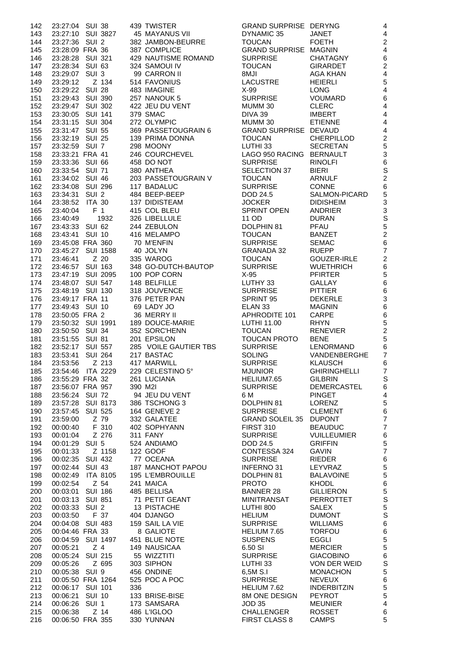| 142        | 23:27:04 SUI 38                     |                         |     | 439 TWISTER                       | <b>GRAND SURPRISE DERYNG</b>           |                                      | 4                                |
|------------|-------------------------------------|-------------------------|-----|-----------------------------------|----------------------------------------|--------------------------------------|----------------------------------|
| 143        | 23:27:10 SUI 3827                   |                         |     | 45 MAYANUS VII                    | DYNAMIC 35                             | <b>JANET</b>                         | $\overline{4}$                   |
| 144        | 23:27:36 SUI 2                      |                         |     | 382 JAMBON-BEURRE<br>387 COMPLICE | <b>TOUCAN</b><br>GRAND SURPRISE MAGNIN | <b>FOETH</b>                         | $\overline{c}$<br>$\overline{4}$ |
| 145<br>146 | 23:28:09 FRA 36<br>23:28:28 SUI 321 |                         |     | 429 NAUTISME ROMAND               | <b>SURPRISE</b>                        | <b>CHATAGNY</b>                      | 6                                |
| 147        | 23:28:34 SUI 63                     |                         |     | 324 SAMOUI IV                     | <b>TOUCAN</b>                          | <b>GIRARDET</b>                      | $\overline{c}$                   |
| 148        | 23:29:07 SUI 3                      |                         |     | 99 CARRON II                      | <b>ILM8</b>                            | AGA KHAN                             | $\overline{\mathcal{A}}$         |
| 149        | 23:29:12                            | Z 134                   |     | 514 FAVONIUS                      | <b>LACUSTRE</b>                        | <b>HEIERLI</b>                       | 5                                |
| 150        | 23:29:22 SUI 28                     |                         |     | 483 IMAGINE                       | $X-99$                                 | <b>LONG</b>                          | $\overline{4}$                   |
| 151        | 23:29:43 SUI 390                    |                         |     | 257 NANOUK 5                      | <b>SURPRISE</b>                        | <b>VOUMARD</b>                       | $6\phantom{1}6$                  |
| 152        | 23:29:47 SUI 302                    |                         |     | 422 JEU DU VENT                   | MUMM 30                                | <b>CLERC</b>                         | $\overline{4}$                   |
| 153        | 23:30:05 SUI 141                    |                         |     | 379 SMAC                          | DIVA 39                                | <b>IMBERT</b>                        | $\overline{4}$                   |
| 154        | 23:31:15                            | SUI 304                 |     | 272 OLYMPIC                       | MUMM 30                                | <b>ETIENNE</b>                       | $\overline{4}$                   |
| 155        | 23:31:47 SUI 55                     |                         |     | 369 PASSETOUGRAIN 6               | GRAND SURPRISE DEVAUD                  |                                      | $\overline{4}$                   |
| 156<br>157 | 23:32:19 SUI 25<br>23:32:59 SUI 7   |                         |     | 139 PRIMA DONNA<br>298 MOONY      | <b>TOUCAN</b><br>LUTHI <sub>33</sub>   | <b>CHERPILLOD</b><br><b>SECRETAN</b> | $\overline{c}$<br>5              |
| 158        | 23:33:21 FRA 41                     |                         |     | 246 COURCHEVEL                    | LAGO 950 RACING BERNAULT               |                                      | 3                                |
| 159        | 23:33:36 SUI 66                     |                         |     | 458 DO NOT                        | <b>SURPRISE</b>                        | <b>RINOLFI</b>                       | $6\phantom{a}$                   |
| 160        | 23:33:54 SUI 71                     |                         |     | 380 ANTHEA                        | SELECTION 37                           | <b>BIERI</b>                         | S                                |
| 161        | 23:34:02                            | SUI 46                  |     | 203 PASSETOUGRAIN V               | <b>TOUCAN</b>                          | <b>ARNULF</b>                        | $\overline{c}$                   |
| 162        | 23:34:08 SUI 296                    |                         |     | 117 BADALUC                       | <b>SURPRISE</b>                        | <b>CONNE</b>                         | $6\phantom{1}6$                  |
| 163        | 23:34:31                            | SUI <sub>2</sub>        |     | 484 BEEP-BEEP                     | DOD 24.5                               | SALMON-PICARD                        | 5                                |
| 164        | 23:38:52                            | <b>ITA 30</b>           |     | 137 DIDISTEAM                     | <b>JOCKER</b>                          | <b>DIDISHEIM</b>                     | 3                                |
| 165        | 23:40:04                            | F <sub>1</sub>          |     | 415 COL BLEU                      | <b>SPRINT OPEN</b>                     | <b>ANDRIER</b>                       | 3                                |
| 166        | 23:40:49                            | 1932                    |     | 326 LIBELLULE                     | 11 OD                                  | <b>DURAN</b>                         | S                                |
| 167        | 23:43:33 SUI 62                     |                         |     | 244 ZEBULON                       | DOLPHIN 81                             | PFAU                                 | 5                                |
| 168        | 23:43:41                            | <b>SUI 10</b>           |     | 416 MELAMPO                       | <b>TOUCAN</b>                          | <b>BANZET</b>                        | $\overline{c}$                   |
| 169        | 23:45:08 FRA 360                    |                         |     | 70 M'ENFIN                        | <b>SURPRISE</b>                        | <b>SEMAC</b>                         | $6\phantom{a}$<br>$\overline{7}$ |
| 170<br>171 | 23:45:27 SUI 1588<br>23:46:41       | Z 20                    |     | 40 JOLYN<br>335 WAROG             | <b>GRANADA 32</b><br><b>TOUCAN</b>     | <b>RUEPP</b><br><b>GOUZER-IRLE</b>   | $\overline{c}$                   |
| 172        | 23:46:57 SUI 163                    |                         |     | 348 GO-DUTCH-BAUTOP               | <b>SURPRISE</b>                        | <b>WUETHRICH</b>                     | $6\phantom{1}6$                  |
| 173        | 23:47:19 SUI 2095                   |                         |     | 100 POP CORN                      | $X-95$                                 | <b>PFIRTER</b>                       | 5                                |
| 174        | 23:48:07 SUI 547                    |                         |     | 148 BELFILLE                      | LUTHY 33                               | GALLAY                               | $6\phantom{a}$                   |
| 175        | 23:48:19 SUI 130                    |                         |     | 318 JOUVENCE                      | <b>SURPRISE</b>                        | <b>PITTIER</b>                       | $\,6$                            |
| 176        | 23:49:17 FRA 11                     |                         |     | 376 PETER PAN                     | SPRINT 95                              | <b>DEKERLE</b>                       | 3                                |
| 177        | 23:49:43 SUI 10                     |                         |     | 69 LADY JO                        | ELAN <sub>33</sub>                     | <b>MAGNIN</b>                        | $6\phantom{1}6$                  |
| 178        | 23:50:05 FRA 2                      |                         |     | 36 MERRY II                       | APHRODITE 101                          | CARPE                                | $\,6$                            |
| 179        | 23:50:32 SUI 1991                   |                         |     | 189 DOUCE-MARIE                   | LUTHI 11.00                            | <b>RHYN</b>                          | 5                                |
| 180        | 23:50:50 SUI 34                     |                         |     | 352 SORC'HENN                     | <b>TOUCAN</b>                          | <b>RENEVIER</b>                      | $\overline{2}$                   |
| 181        | 23:51:55 SUI 81                     |                         |     | 201 EPSILON                       | <b>TOUCAN PROTO</b>                    | <b>BENE</b>                          | 5                                |
| 182        | 23:52:17                            | <b>SUI 557</b>          |     | 285 VOILE GAUTIER TBS             | <b>SURPRISE</b>                        | LENORMAND                            | 6                                |
| 183<br>184 | 23:53:41<br>23:53:56                | <b>SUI 264</b><br>Z 213 |     | 217 BASTAC<br>417 MARWILL         | <b>SOLING</b><br><b>SURPRISE</b>       | VANDENBERGHE<br><b>KLAUSCH</b>       | $\overline{7}$<br>6              |
| 185        |                                     | 23:54:46 ITA 2229       |     | 229 CELESTINO 5°                  | <b>MJUNIOR</b>                         | <b>GHIRINGHELLI</b>                  | $\overline{7}$                   |
| 186        | 23:55:29 FRA 32                     |                         |     | 261 LUCIANA                       | HELIUM7.65                             | <b>GILBRIN</b>                       | S                                |
| 187        | 23:56:07 FRA 957                    |                         |     | 390 M2I                           | <b>SURPRISE</b>                        | DEMERCASTEL                          | 6                                |
| 188        | 23:56:24 SUI 72                     |                         |     | 94 JEU DU VENT                    | 6 M                                    | <b>PINGET</b>                        | $\overline{4}$                   |
| 189        | 23:57:28 SUI 8173                   |                         |     | 386 TSCHONG 3                     | DOLPHIN 81                             | LORENZ                               | 5                                |
| 190        | 23:57:45 SUI 525                    |                         |     | <b>164 GENEVE 2</b>               | <b>SURPRISE</b>                        | <b>CLEMENT</b>                       | $\,6$                            |
| 191        | 23:59:00                            | Z 79                    |     | 332 GALATEE<br>402 SOPHYANN       | GRAND SOLEIL 35 DUPONT                 |                                      | $\overline{7}$                   |
| 192        | 00:00:40                            | F 310                   |     |                                   | <b>FIRST 310</b>                       | <b>BEAUDUC</b>                       | $\overline{7}$                   |
| 193        | 00:01:04                            | Z 276                   |     | 311 FANY                          | <b>SURPRISE</b>                        | VUILLEUMIER                          | 6                                |
| 194        | 00:01:29 SUI 5                      |                         |     | 524 ANDIAMO                       | DOD 24.5                               | <b>GRIFFIN</b>                       | 5<br>$\overline{7}$              |
| 195<br>196 | 00:01:33<br>00:02:35 SUI 432        | Z 1158                  |     | 122 GOOF<br>77 OCEANA             | CONTESSA 324<br><b>SURPRISE</b>        | GAVIN<br><b>RIEDER</b>               | $\,6$                            |
| 197        | 00:02:44 SUI 43                     |                         |     | 187 MANCHOT PAPOU                 | <b>INFERNO 31</b>                      | LEYVRAZ                              | $\overline{5}$                   |
| 198        | 00:02:49                            | <b>ITA 8105</b>         |     | 195 L'EMBROUILLE                  | DOLPHIN 81                             | <b>BALAVOINE</b>                     | 5                                |
| 199        | 00:02:54                            | Z 54                    |     | 241 MAICA                         | <b>PROTO</b>                           | <b>KHODL</b>                         | $\,6$                            |
| 200        | 00:03:01 SUI 186                    |                         |     | 485 BELLISA                       | <b>BANNER 28</b>                       | GILLIERON                            | 5                                |
| 201        | 00:03:13 SUI 851                    |                         |     | 71 PETIT GEANT                    | MINITRANSAT                            | PERROTTET                            | S                                |
| 202        | 00:03:33 SUI 2                      |                         |     | 13 PISTACHE                       | LUTHI 800                              | SALEX                                | 5                                |
| 203        | 00:03:50                            | F 37                    |     | 404 DJANGO                        | <b>HELIUM</b>                          | <b>DUMONT</b>                        | S                                |
| 204        | 00:04:08 SUI 483                    |                         |     | 159 SAIL LA VIE                   | <b>SURPRISE</b>                        | WILLIAMS                             | 6                                |
| 205        | 00:04:46 FRA 33                     |                         |     | 8 GALIOTE                         | HELIUM 7.65                            | <b>TORFOU</b>                        | $6\phantom{1}6$                  |
| 206        | 00:04:59 SUI 1497                   |                         |     | 451 BLUE NOTE<br>149 NAUSICAA     | <b>SUSPENS</b>                         | <b>EGGLI</b>                         | 5                                |
| 207<br>208 | 00:05:21<br>00:05:24 SUI 215        | Z <sub>4</sub>          |     | 55 WIZZTITI                       | 6.50 SI<br><b>SURPRISE</b>             | MERCIER<br><b>GIACOBINO</b>          | 5<br>$6\phantom{1}6$             |
| 209        | 00:05:26                            | Z 695                   |     | 303 SIPHON                        | LUTHI 33                               | VON DER WEID                         | S                                |
| 210        | 00:05:38 SUI 9                      |                         |     | 456 ONDINE                        | 6,5M S.I                               | <b>MONACHON</b>                      | 5                                |
| 211        | 00:05:50 FRA 1264                   |                         |     | 525 POC A POC                     | <b>SURPRISE</b>                        | <b>NEVEUX</b>                        | $\,6$                            |
| 212        | 00:06:17 SUI 101                    |                         | 336 |                                   | HELIUM 7.62                            | <b>INDERBITZIN</b>                   | 5                                |
| 213        | 00:06:21 SUI 10                     |                         |     | 133 BRISE-BISE                    | 8M ONE DESIGN                          | <b>PEYROT</b>                        | 5                                |
| 214        | 00:06:26 SUI 1                      |                         |     | 173 SAMSARA                       | JOD 35                                 | <b>MEUNIER</b>                       | $\overline{4}$                   |
| 215        | 00:06:38                            | Z 14                    |     | 486 L'IGLOO                       | CHALLENGER ROSSET                      |                                      | 6                                |
| 216        |                                     | 00:06:50 FRA 355        |     | 330 YUNNAN                        | FIRST CLASS 8 CAMPS                    |                                      | 5                                |

| 142 | 23:27:04 SUI 38  |                   |     | 439 TWISTER           | <b>GRAND SURPRISE DERYNG</b> |                     | 4                         |
|-----|------------------|-------------------|-----|-----------------------|------------------------------|---------------------|---------------------------|
| 143 |                  | 23:27:10 SUI 3827 |     | <b>45 MAYANUS VII</b> | DYNAMIC 35                   | JANET               | $\overline{\mathbf{4}}$   |
| 144 | 23:27:36 SUI 2   |                   |     | 382 JAMBON-BEURRE     | <b>TOUCAN</b>                | <b>FOETH</b>        | $\boldsymbol{2}$          |
| 145 | 23:28:09 FRA 36  |                   |     | 387 COMPLICE          | GRAND SURPRISE MAGNIN        |                     | $\overline{4}$            |
|     |                  |                   |     |                       |                              |                     |                           |
| 146 | 23:28:28 SUI 321 |                   |     | 429 NAUTISME ROMAND   | <b>SURPRISE</b>              | <b>CHATAGNY</b>     | $\,6$                     |
| 147 | 23:28:34 SUI 63  |                   |     | 324 SAMOUI IV         | <b>TOUCAN</b>                | <b>GIRARDET</b>     | $\overline{c}$            |
| 148 | 23:29:07 SUI 3   |                   |     | 99 CARRON II          | 8MJI                         | AGA KHAN            | $\overline{\mathbf{4}}$   |
| 149 | 23:29:12         | Z 134             |     | 514 FAVONIUS          | <b>LACUSTRE</b>              | <b>HEIERLI</b>      | 5                         |
| 150 | 23:29:22 SUI 28  |                   |     | 483 IMAGINE           | $X-99$                       | <b>LONG</b>         | $\overline{4}$            |
| 151 |                  | 23:29:43 SUI 390  |     | 257 NANOUK 5          | <b>SURPRISE</b>              | <b>VOUMARD</b>      | $\,6\,$                   |
|     |                  |                   |     |                       |                              |                     |                           |
| 152 | 23:29:47 SUI 302 |                   |     | 422 JEU DU VENT       | MUMM 30                      | <b>CLERC</b>        | $\overline{4}$            |
| 153 | 23:30:05 SUI 141 |                   |     | 379 SMAC              | DIVA 39                      | <b>IMBERT</b>       | $\overline{4}$            |
| 154 | 23:31:15 SUI 304 |                   |     | 272 OLYMPIC           | MUMM 30                      | <b>ETIENNE</b>      | $\overline{4}$            |
| 155 | 23:31:47 SUI 55  |                   |     | 369 PASSETOUGRAIN 6   | <b>GRAND SURPRISE DEVAUD</b> |                     | $\overline{\mathbf{4}}$   |
| 156 | 23:32:19 SUI 25  |                   |     | 139 PRIMA DONNA       | <b>TOUCAN</b>                | CHERPILLOD          | $\overline{c}$            |
| 157 | 23:32:59 SUI 7   |                   |     | 298 MOONY             | LUTHI 33                     | <b>SECRETAN</b>     | 5                         |
|     |                  |                   |     |                       |                              |                     |                           |
| 158 | 23:33:21 FRA 41  |                   |     | 246 COURCHEVEL        | LAGO 950 RACING BERNAULT     |                     | 3                         |
| 159 | 23:33:36 SUI 66  |                   |     | 458 DO NOT            | <b>SURPRISE</b>              | <b>RINOLFI</b>      | $\,6$                     |
| 160 | 23:33:54 SUI 71  |                   |     | 380 ANTHEA            | SELECTION 37                 | <b>BIERI</b>        | S                         |
| 161 | 23:34:02 SUI 46  |                   |     | 203 PASSETOUGRAIN V   | <b>TOUCAN</b>                | <b>ARNULF</b>       | $\overline{2}$            |
| 162 |                  | 23:34:08 SUI 296  |     | 117 BADALUC           | <b>SURPRISE</b>              | <b>CONNE</b>        | $\,6$                     |
| 163 | 23:34:31 SUI 2   |                   |     | 484 BEEP-BEEP         | DOD 24.5                     | SALMON-PICARD       | 5                         |
|     |                  | <b>ITA 30</b>     |     | 137 DIDISTEAM         | <b>JOCKER</b>                | <b>DIDISHEIM</b>    | 3                         |
| 164 | 23:38:52         |                   |     |                       |                              |                     |                           |
| 165 | 23:40:04         | F <sub>1</sub>    |     | 415 COL BLEU          | <b>SPRINT OPEN</b>           | ANDRIER             | $\frac{3}{S}$             |
| 166 | 23:40:49         | 1932              |     | 326 LIBELLULE         | 11 OD                        | <b>DURAN</b>        |                           |
| 167 | 23:43:33 SUI 62  |                   |     | 244 ZEBULON           | DOLPHIN 81                   | PFAU                | 5                         |
| 168 | 23:43:41 SUI 10  |                   |     | 416 MELAMPO           | <b>TOUCAN</b>                | <b>BANZET</b>       | $\overline{a}$            |
| 169 |                  | 23:45:08 FRA 360  |     | 70 M'ENFIN            | <b>SURPRISE</b>              | <b>SEMAC</b>        | $\,6\,$                   |
| 170 |                  | 23:45:27 SUI 1588 |     | 40 JOLYN              | <b>GRANADA 32</b>            | <b>RUEPP</b>        | $\overline{7}$            |
|     |                  |                   |     |                       |                              |                     |                           |
| 171 | 23:46:41         | Z 20              |     | 335 WAROG             | <b>TOUCAN</b>                | GOUZER-IRLE         | $\overline{c}$            |
| 172 | 23:46:57 SUI 163 |                   |     | 348 GO-DUTCH-BAUTOP   | <b>SURPRISE</b>              | <b>WUETHRICH</b>    | $\,6$                     |
| 173 |                  | 23:47:19 SUI 2095 |     | 100 POP CORN          | $X-95$                       | <b>PFIRTER</b>      | 5                         |
| 174 |                  | 23:48:07 SUI 547  |     | 148 BELFILLE          | LUTHY 33                     | <b>GALLAY</b>       | $\,6$                     |
| 175 |                  | 23:48:19 SUI 130  |     | 318 JOUVENCE          | <b>SURPRISE</b>              | <b>PITTIER</b>      | $\,6$                     |
| 176 | 23:49:17 FRA 11  |                   |     | 376 PETER PAN         | SPRINT 95                    | <b>DEKERLE</b>      | $\ensuremath{\mathsf{3}}$ |
| 177 | 23:49:43 SUI 10  |                   |     | 69 LADY JO            | ELAN <sub>33</sub>           | <b>MAGNIN</b>       | $\,6$                     |
| 178 | 23:50:05 FRA 2   |                   |     | 36 MERRY II           | APHRODITE 101                | <b>CARPE</b>        | $6\phantom{a}$            |
|     |                  |                   |     |                       |                              |                     |                           |
| 179 |                  | 23:50:32 SUI 1991 |     | 189 DOUCE-MARIE       | LUTHI 11.00                  | <b>RHYN</b>         | $\overline{5}$            |
| 180 | 23:50:50 SUI 34  |                   |     | 352 SORC'HENN         | <b>TOUCAN</b>                | <b>RENEVIER</b>     | $\overline{c}$            |
| 181 | 23:51:55 SUI 81  |                   |     | 201 EPSILON           | <b>TOUCAN PROTO</b>          | <b>BENE</b>         | 5                         |
| 182 |                  | 23:52:17 SUI 557  |     | 285 VOILE GAUTIER TBS | <b>SURPRISE</b>              | <b>LENORMAND</b>    | 6                         |
| 183 | 23:53:41         | <b>SUI 264</b>    |     | 217 BASTAC            | <b>SOLING</b>                | VANDENBERGHE        | $\overline{7}$            |
| 184 | 23:53:56         | Z 213             |     | 417 MARWILL           | <b>SURPRISE</b>              | <b>KLAUSCH</b>      | 6                         |
| 185 | 23:54:46         | ITA 2229          |     | 229 CELESTINO 5°      | <b>MJUNIOR</b>               | <b>GHIRINGHELLI</b> | 7                         |
| 186 | 23:55:29 FRA 32  |                   |     | 261 LUCIANA           | HELIUM7.65                   | <b>GILBRIN</b>      | S                         |
| 187 |                  | 23:56:07 FRA 957  |     | 390 M2I               | <b>SURPRISE</b>              | DEMERCASTEL         | 6                         |
|     |                  |                   |     |                       |                              |                     |                           |
| 188 | 23:56:24 SUI 72  |                   |     | 94 JEU DU VENT        | 6 M                          | <b>PINGET</b>       | $\overline{4}$            |
| 189 |                  | 23:57:28 SUI 8173 |     | 386 TSCHONG 3         | DOLPHIN 81                   | LORENZ              | 5                         |
| 190 | 23:57:45         | <b>SUI 525</b>    |     | 164 GENEVE 2          | <b>SURPRISE</b>              | <b>CLEMENT</b>      | $\,6$                     |
| 191 | 23:59:00         | Z 79              |     | 332 GALATEE           | <b>GRAND SOLEIL 35</b>       | <b>DUPONT</b>       | $\boldsymbol{7}$          |
| 192 | 00:00:40         | F 310             |     | 402 SOPHYANN          | <b>FIRST 310</b>             | <b>BEAUDUC</b>      | $\overline{7}$            |
| 193 | 00:01:04         | Z 276             |     | <b>311 FANY</b>       | <b>SURPRISE</b>              | <b>VUILLEUMIER</b>  | $\,6$                     |
| 194 | 00:01:29 SUI 5   |                   |     | 524 ANDIAMO           | DOD 24.5                     | <b>GRIFFIN</b>      | 5                         |
| 195 | 00:01:33         | Z 1158            |     | 122 GOOF              | CONTESSA 324                 | <b>GAVIN</b>        | $\overline{7}$            |
|     |                  |                   |     |                       |                              |                     |                           |
| 196 | 00:02:35 SUI 432 |                   |     | 77 OCEANA             | <b>SURPRISE</b>              | <b>RIEDER</b>       | $\,6$                     |
| 197 | 00:02:44 SUI 43  |                   |     | 187 MANCHOT PAPOU     | <b>INFERNO 31</b>            | LEYVRAZ             | $\sqrt{5}$                |
| 198 | 00:02:49         | <b>ITA 8105</b>   |     | 195 L'EMBROUILLE      | DOLPHIN 81                   | <b>BALAVOINE</b>    | $\sqrt{5}$                |
| 199 | 00:02:54         | Z 54              |     | 241 MAICA             | <b>PROTO</b>                 | <b>KHODL</b>        | $\,6\,$                   |
| 200 | 00:03:01         | <b>SUI 186</b>    |     | 485 BELLISA           | <b>BANNER 28</b>             | <b>GILLIERON</b>    | $\sqrt{5}$                |
| 201 | 00:03:13 SUI 851 |                   |     | 71 PETIT GEANT        | <b>MINITRANSAT</b>           | <b>PERROTTET</b>    | S                         |
| 202 | 00:03:33         | SUI <sub>2</sub>  |     | 13 PISTACHE           | LUTHI 800                    | <b>SALEX</b>        | $\sqrt{5}$                |
|     |                  |                   |     |                       |                              |                     | S                         |
| 203 | 00:03:50         | F 37              |     | 404 DJANGO            | <b>HELIUM</b>                | <b>DUMONT</b>       |                           |
| 204 |                  | 00:04:08 SUI 483  |     | 159 SAIL LA VIE       | <b>SURPRISE</b>              | <b>WILLIAMS</b>     | $\,6\,$                   |
| 205 | 00:04:46 FRA 33  |                   |     | 8 GALIOTE             | HELIUM 7.65                  | <b>TORFOU</b>       | $\,6$                     |
| 206 |                  | 00:04:59 SUI 1497 |     | 451 BLUE NOTE         | <b>SUSPENS</b>               | <b>EGGLI</b>        | $\frac{5}{5}$             |
| 207 | 00:05:21         | Z <sub>4</sub>    |     | 149 NAUSICAA          | 6.50 SI                      | <b>MERCIER</b>      |                           |
| 208 | 00:05:24 SUI 215 |                   |     | 55 WIZZTITI           | <b>SURPRISE</b>              | <b>GIACOBINO</b>    | $6\phantom{1}6$           |
| 209 | 00:05:26         | Z 695             |     | 303 SIPHON            | LUTHI 33                     | VON DER WEID        | S                         |
|     |                  |                   |     |                       |                              |                     |                           |
| 210 | 00:05:38 SUI 9   |                   |     | 456 ONDINE            | 6,5M S.I                     | <b>MONACHON</b>     | 5                         |
| 211 |                  | 00:05:50 FRA 1264 |     | 525 POC A POC         | <b>SURPRISE</b>              | <b>NEVEUX</b>       | $6\phantom{1}6$           |
| 212 | 00:06:17 SUI 101 |                   | 336 |                       | HELIUM 7.62                  | <b>INDERBITZIN</b>  | $\overline{5}$            |
| 213 | 00:06:21         | <b>SUI 10</b>     |     | 133 BRISE-BISE        | 8M ONE DESIGN                | <b>PEYROT</b>       | 5                         |
| 214 | 00:06:26 SUI 1   |                   |     | 173 SAMSARA           | <b>JOD 35</b>                | <b>MEUNIER</b>      | $\overline{\mathbf{4}}$   |
| 215 | 00:06:38         | $Z$ 14            |     | 486 L'IGLOO           | <b>CHALLENGER</b>            | <b>ROSSET</b>       | 6                         |
|     |                  |                   |     |                       |                              |                     |                           |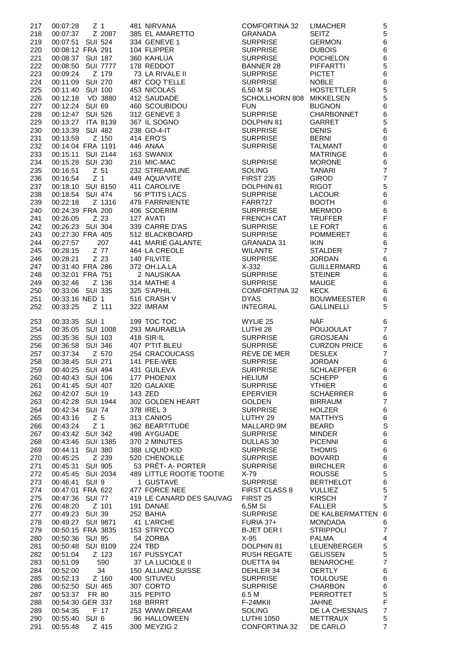| 217        | 00:07:28                             | Z <sub>1</sub>    | 481 NIRVANA                       | <b>COMFORTINA 32</b>               | <b>LIMACHER</b>                    | 5                        |
|------------|--------------------------------------|-------------------|-----------------------------------|------------------------------------|------------------------------------|--------------------------|
| 218        | 00:07:37                             | Z 2087            | 385 EL AMARETTO                   | <b>GRANADA</b>                     | <b>SEITZ</b>                       | 5                        |
| 219        | 00:07:51 SUI 524                     |                   | 334 GENEVE 1                      | <b>SURPRISE</b>                    | <b>GERMON</b>                      | $6\phantom{a}$           |
| 220        | 00:08:12 FRA 291                     |                   | 104 FLIPPER                       | <b>SURPRISE</b>                    | <b>DUBOIS</b>                      | $\,6$                    |
| 221        | 00:08:37 SUI 187                     |                   | 360 KAHLUA                        | <b>SURPRISE</b>                    | <b>POCHELON</b>                    | $\,6$                    |
| 222        | 00:08:50                             | <b>SUI 7777</b>   | 178 REDDOT                        | <b>BANNER 28</b>                   | <b>PIFFARTTI</b>                   | 5                        |
| 223        | 00:09:24                             | Z 179             | 73 LA RIVALE II                   | <b>SURPRISE</b>                    | <b>PICTET</b>                      | $6\phantom{1}6$          |
| 224        | 00:11:09 SUI 270                     |                   | 487 COQ T'ELLE                    | <b>SURPRISE</b>                    | <b>NOBLE</b>                       | $6\phantom{1}6$          |
| 225        | 00:11:40 SUI 100                     |                   | 453 NICOLAS                       | 6,50 M SI                          | <b>HOSTETTLER</b>                  | 5                        |
| 226        |                                      | 00:12:18 VD 3880  | 412 SAUDADE                       | SCHOLLHORN 808 MIKKELSEN           |                                    | 5                        |
| 227        | 00:12:24 SUI 69                      |                   | 460 SCOUBIDOU                     | <b>FUN</b>                         | <b>BUGNON</b>                      | 6                        |
| 228        | 00:12:47 SUI 526                     |                   | 312 GENEVE 3                      | <b>SURPRISE</b>                    | <b>CHARBONNET</b>                  | $6\phantom{1}6$          |
| 229        |                                      | 00:13:27 ITA 8139 | 367 IL SOGNO                      | DOLPHIN 81                         | <b>GARRET</b>                      | 5                        |
| 230        | 00:13:39 SUI 482                     |                   | 238 GO-4-IT                       | <b>SURPRISE</b>                    | <b>DENIS</b>                       | $6\phantom{1}6$          |
| 231        | 00:13:59                             | Z 150             | 414 ERO'S                         | <b>SURPRISE</b>                    | <b>BERNI</b>                       | $\,6$                    |
| 232        | 00:14:04 FRA 1191                    |                   | 446 ANAA                          | <b>SURPRISE</b>                    | <b>TALMANT</b>                     | $\,6$                    |
| 233        |                                      | 00:15:11 SUI 2144 | 163 SWANIX                        |                                    | <b>MATRINGE</b>                    | $\,6$                    |
| 234        | 00:15:28 SUI 230                     |                   | 216 MIC-MAC                       | <b>SURPRISE</b>                    | <b>MORONE</b>                      | $6\phantom{1}6$          |
| 235        | 00:16:51 Z 51                        |                   | 232 STREAMLINE                    | <b>SOLING</b>                      | <b>TANARI</b>                      | $\overline{7}$           |
| 236        | 00:16:54                             | Z <sub>1</sub>    | 449 AQUA'VITE                     | <b>FIRST 235</b>                   | <b>GIROD</b>                       | $\overline{7}$           |
| 237        |                                      | 00:18:10 SUI 8150 | 411 CAROLIVE                      | DOLPHIN 81                         | <b>RIGOT</b>                       | 5                        |
| 238        | 00:18:54 SUI 474                     |                   | 56 P'TITS LACS                    | <b>SURPRISE</b>                    | <b>LACOUR</b>                      | $6\phantom{1}6$          |
| 239        | 00:22:18                             | Z 1316            | 479 FARRNIENTE                    | FARR727                            | <b>BOOTH</b>                       | $\,6$                    |
| 240        | 00:24:39 FRA 200                     |                   | 406 SODERIM                       | <b>SURPRISE</b>                    | <b>MERMOD</b><br><b>TRUFFER</b>    | $\,6$<br>$\overline{F}$  |
| 241        | 00:26:05                             | Z 23              | 127 AVATI                         | <b>FRENCH CAT</b>                  |                                    | $6\phantom{1}6$          |
| 242        | 00:26:23 SUI 304<br>00:27:30 FRA 405 |                   | 339 CARRE D'AS<br>512 BLACKBOARD  | <b>SURPRISE</b><br><b>SURPRISE</b> | LE FORT<br><b>POMMERET</b>         |                          |
| 243<br>244 | 00:27:57                             | 207               | 441 MARIE GALANTE                 | <b>GRANADA 31</b>                  | <b>IKIN</b>                        | $\,6$<br>$6\phantom{1}6$ |
| 245        | 00:28:15                             | Z 77              | 464 LA CREOLE                     | <b>WILANTE</b>                     | <b>STALDER</b>                     | $\overline{7}$           |
| 246        | 00:28:21                             | Z 23              | 140 FILVITE                       | <b>SURPRISE</b>                    | <b>JORDAN</b>                      | $6\phantom{1}6$          |
| 247        | 00:31:40 FRA 286                     |                   | 372 OH.LA.LA                      | $X-332$                            | <b>GUILLERMARD</b>                 | $\,6$                    |
| 248        | 00:32:01 FRA 751                     |                   | 2 NAUSIKAA                        | <b>SURPRISE</b>                    | <b>STEINER</b>                     | 6                        |
| 249        | 00:32:46                             | Z 136             | 314 MATHE 4                       | <b>SURPRISE</b>                    | <b>MAUGE</b>                       | $6\phantom{1}6$          |
| 250        | 00:33:06 SUI 335                     |                   | 325 S'APHIL                       | <b>COMFORTINA 32</b>               | <b>KECK</b>                        | $\,6$                    |
| 251        | 00:33:16 NED 1                       |                   | 516 CRASH V                       | <b>DYAS</b>                        | <b>BOUWMEESTER</b>                 | $\,6$                    |
| 252        | 00:33:25                             | Z 111             | 322 IMRAM                         | <b>INTEGRAL</b>                    | <b>GALLINELLI</b>                  | 5                        |
|            |                                      |                   |                                   |                                    |                                    |                          |
| 253        | 00:33:35 SUI 1                       |                   | 199 TOC TOC                       | WYLIE 25                           | <b>NÄF</b>                         | 6                        |
| 254        |                                      | 00:35:05 SUI 1008 | 293 MAURABLIA                     | LUTHI 28                           | <b>POUJOULAT</b>                   | $\overline{7}$           |
| 255        | 00:35:36 SUI 103                     |                   | 418 SIR-IL                        | <b>SURPRISE</b>                    | <b>GROSJEAN</b>                    | 6                        |
| 256        | 00:36:58                             | <b>SUI 346</b>    | 407 P'TIT BLEU                    | <b>SURPRISE</b>                    | <b>CURZON PRICE</b>                | $\,6$                    |
| 257        | 00:37:34                             | Z 570             | 254 CRACOUCASS                    | REVE DE MER                        | <b>DESLEX</b>                      | $\overline{7}$           |
| 258        | 00:38:45 SUI 271                     |                   | 141 PEE-WEE                       | <b>SURPRISE</b>                    | <b>JORDAN</b>                      | $6\phantom{1}6$          |
| 259        | 00:40:25 SUI 494                     |                   | 431 GUILEVA                       | <b>SURPRISE</b>                    | <b>SCHLAEPFER</b>                  | 6                        |
| 260        | 00:40:43 SUI 106                     |                   | 177 PHOENIX                       | HELIUM                             | <b>SCHEPP</b>                      | $\,6$                    |
| 261        | 00:41:45 SUI 407                     |                   | 320 GALAXIE<br>143 ZED            | <b>SURPRISE</b>                    | <b>YTHIER</b>                      | $6\phantom{1}6$          |
| 262        | 00:42:07 SUI 19                      |                   | 302 GOLDEN HEART                  | <b>EPERVIER</b><br><b>GOLDEN</b>   | <b>SCHAERRER</b><br><b>BIRRAUM</b> | $\,6$<br>$\overline{7}$  |
| 263<br>264 | 00:42:34 SUI 74                      | 00:42:28 SUI 1944 | 378 IREL 3                        | <b>SURPRISE</b>                    | <b>HOLZER</b>                      | $6\phantom{1}6$          |
| 265        | 00:43:16                             | Z <sub>5</sub>    | 313 CANIOS                        | LUTHY 29                           | <b>MATTHYS</b>                     | $\,6$                    |
| 266        | 00:43:24                             | Z <sub>1</sub>    | 362 BEARTITUDE                    | MALLARD 9M                         | <b>BEARD</b>                       | S                        |
| 267        | 00:43:42 SUI 342                     |                   | 498 AYGUADE                       | <b>SURPRISE</b>                    | MINDER                             | $\,6$                    |
| 268        |                                      | 00:43:46 SUI 1385 | 370 2 MINUTES                     | DULLAS 30                          | <b>PICENNI</b>                     | $\,6$                    |
| 269        | 00:44:11 SUI 380                     |                   | 388 LIQUID KID                    | <b>SURPRISE</b>                    | <b>THOMIS</b>                      | $\,6$                    |
| 270        |                                      |                   | 520 CHENOILLE                     | <b>SURPRISE</b>                    | <b>BOVARD</b>                      | $\,6$                    |
| 271        | 00:45:31 SUI 905                     |                   | 53 PRÊT- A- PORTER                | <b>SURPRISE</b>                    | <b>BIRCHLER</b>                    | $\,6$                    |
| 272        |                                      | 00:45:45 SUI 2034 | 489 LITTLE ROOTIE TOOTIE          | X-79                               | <b>ROUSSE</b>                      | 5                        |
| 273        | 00:46:41 SUI 9                       |                   | 1 GUSTAVE                         | <b>SURPRISE</b>                    | <b>BERTHELOT</b>                   | $\,6$                    |
| 274        | 00:47:01 FRA 622                     |                   | 477 FORCE NEE                     | <b>FIRST CLASS 8</b>               | <b>VULLIEZ</b>                     | 5                        |
| 275        | 00:47:36 SUI 77                      |                   | 419 LE CANARD DES SAUVAG          | FIRST 25                           | <b>KIRSCH</b>                      | $\overline{7}$           |
| 276        |                                      |                   | 191 DANAE                         | 6,5M SI                            | <b>FALLER</b>                      | 5                        |
| 277        | 00:49:23 SUI 39                      |                   | 252 BAHIA                         | <b>SURPRISE</b>                    | DE KALBERMATTEN 6                  |                          |
| 278        | 00:49:27 SUI 9871                    |                   | 41 L'ARCHE                        | FURIA 37+                          | <b>MONDADA</b>                     | 6                        |
| 279        |                                      | 00:50:15 FRA 3835 | 153 STRYCO                        | <b>B-JET DER I</b>                 | <b>STRIPPOLI</b>                   | $\overline{7}$           |
| 280        | 00:50:36 SUI 95                      |                   | 54 ZORBA                          | X-95                               | PALMA                              | 4                        |
| 281        |                                      | 00:50:48 SUI 8109 | 224 TBD                           | DOLPHIN 81                         | LEUENBERGER                        | 5                        |
| 282        | 00:51:04                             | Z 123             | 167 PUSSYCAT                      | <b>RUSH REGATE</b>                 | <b>GELISSEN</b>                    | 5                        |
| 283        | 00:51:09                             | 590               | 37 LA LUCIOLE II                  | DUETTA 94                          | <b>BENAROCHE</b>                   | $\overline{7}$           |
| 284        | 00:52:00                             | 34                | 150 ALLIANZ SUISSE<br>400 SITUVEU | DEHLER 34                          | <b>OERTLY</b>                      | $\,6$                    |
| 285        | 00:52:13                             | Z 160             |                                   | <b>SURPRISE</b>                    | <b>TOULOUSE</b>                    | $\,6$                    |
| 286        | 00:52:50 SUI 465                     |                   | 307 CORTO                         | <b>SURPRISE</b>                    | <b>CHARBON</b>                     | $\,6\,$                  |
| 287        | 00:53:37 FR 80                       |                   | 315 PEPITO                        | 6.5 M                              | PERROTTET                          | 5                        |
| 288        | 00:54:30 GER 337                     |                   | 168 BRRRT                         | F-24MKII                           | <b>JAHNE</b>                       | $\mathsf F$              |
| 289        | 00:54:35                             | F 17              | 253 WWW.DREAM                     | SOLING                             | DE LA CHESNAIS                     | $\overline{7}$           |
| 290        | 00:55:40 SUI 6                       |                   | 96 HALLOWEEN                      | <b>LUTHI 1050</b>                  | <b>METTRAUX</b>                    | 5                        |
| 291        |                                      |                   | 300 MEYZIG 2                      | CONFORTINA 32 DE CARLO             |                                    | $\overline{7}$           |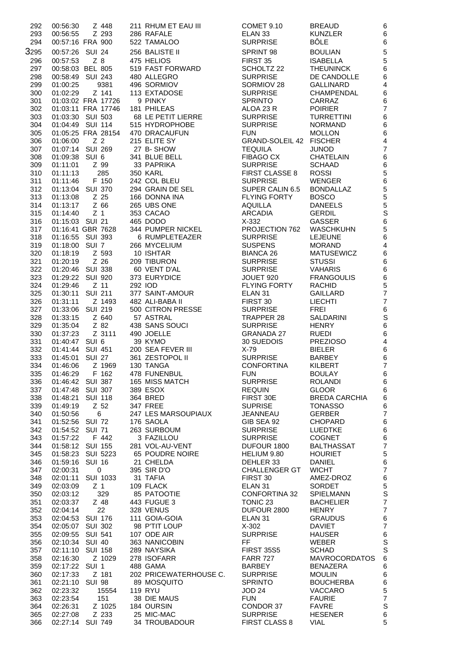| 292  | 00:56:30        | Z 448              | 211 RHUM ET EAU III    | COMET 9.10              | <b>BREAUD</b>        | $\,6\,$                 |
|------|-----------------|--------------------|------------------------|-------------------------|----------------------|-------------------------|
| 293  | 00:56:55        | Z 293              | 286 RAFALE             | ELAN <sub>33</sub>      | <b>KUNZLER</b>       | $\,6$                   |
| 294  |                 | 00:57:16 FRA 900   | 522 TAMALOO            | <b>SURPRISE</b>         | <b>BÔLE</b>          | $\,6$                   |
| 3295 | 00:57:26 SUI 24 |                    | 256 BALISTE II         | SPRINT 98               | <b>BOULIAN</b>       | $\sqrt{5}$              |
|      |                 |                    |                        |                         |                      |                         |
| 296  | 00:57:53        | $Z$ 8              | 475 HELIOS             | FIRST 35                | <b>ISABELLA</b>      | $\mathbf 5$             |
| 297  |                 | 00:58:03 BEL 805   | 519 FAST FORWARD       | SCHOLTZ 22              | <b>THEUNINCK</b>     | $\,6$                   |
| 298  |                 | 00:58:49 SUI 243   | 480 ALLEGRO            | <b>SURPRISE</b>         | DE CANDOLLE          | $\,6$                   |
| 299  | 01:00:25        | 9381               | 496 SORMIOV            | SORMIOV 28              | <b>GALLINARD</b>     | $\overline{\mathbf{4}}$ |
| 300  | 01:02:29        | Z 141              | 113 EXTADOSE           | <b>SURPRISE</b>         | <b>CHAMPENDAL</b>    | $\,6$                   |
| 301  |                 | 01:03:02 FRA 17726 | 9 PINKY                | <b>SPRINTO</b>          | CARRAZ               | $\,6$                   |
| 302  |                 | 01:03:11 FRA 17746 | 181 PHILEAS            | ALOA 23 R               | <b>POIRIER</b>       | $\overline{7}$          |
| 303  |                 | 01:03:30 SUI 503   | 68 LE PETIT LIERRE     | <b>SURPRISE</b>         | <b>TURRETTINI</b>    | $\,6$                   |
| 304  |                 | 01:04:49 SUI 114   | 515 HYDROPHOBE         | <b>SURPRISE</b>         | <b>NORMAND</b>       | $\,6$                   |
| 305  |                 | 01:05:25 FRA 28154 | 470 DRACAUFUN          | <b>FUN</b>              | <b>MOLLON</b>        | $\,6$                   |
| 306  | 01:06:00        | Z <sub>2</sub>     | 215 ELITE SY           | GRAND-SOLEIL 42 FISCHER |                      | $\overline{\mathbf{4}}$ |
| 307  |                 | 01:07:14 SUI 269   | 27 B-SHOW              | <b>TEQUILA</b>          | <b>JUNOD</b>         | $\overline{7}$          |
| 308  | 01:09:38 SUI 6  |                    | 341 BLUE BELL          | <b>FIBAGO CX</b>        | <b>CHATELAIN</b>     | $\,6$                   |
| 309  | 01:11:01        | Z 99               | 33 PAPRIKA             | <b>SURPRISE</b>         | <b>SCHAAD</b>        | $\,$ 6 $\,$             |
| 310  | 01:11:13        | 285                | <b>350 KARL</b>        | <b>FIRST CLASSE 8</b>   | <b>ROSSI</b>         | $\sqrt{5}$              |
| 311  | 01:11:46        | F 150              | 242 COL BLEU           | <b>SURPRISE</b>         | <b>WENGER</b>        |                         |
| 312  |                 | 01:13:04 SUI 370   | 294 GRAIN DE SEL       | SUPER CALIN 6.5         | <b>BONDALLAZ</b>     | 6<br>5                  |
| 313  | 01:13:08        | Z 25               | 166 DONNA INA          | <b>FLYING FORTY</b>     | <b>BOSCO</b>         | $\overline{5}$          |
| 314  | 01:13:17        | Z 66               | 265 UBS ONE            | <b>AQUILLA</b>          | <b>DANEELS</b>       |                         |
| 315  | 01:14:40        | Z <sub>1</sub>     | 353 CACAO              | <b>ARCADIA</b>          | <b>GERDIL</b>        | $\frac{5}{S}$           |
| 316  | 01:15:03 SUI 21 |                    | 465 DODO               | $X-332$                 | <b>GASSER</b>        | $\,$ 6 $\,$             |
| 317  |                 | 01:16:41 GBR 7628  | 344 PUMPER NICKEL      | PROJECTION 762          | <b>WASCHKUHN</b>     | $\overline{5}$          |
| 318  |                 | 01:16:55 SUI 393   | 6 RUMPLETEAZER         | <b>SURPRISE</b>         | <b>LEJEUNE</b>       | $\,6$                   |
| 319  | 01:18:00 SUI 7  |                    | 266 MYCELIUM           | <b>SUSPENS</b>          | <b>MORAND</b>        | $\overline{\mathbf{4}}$ |
|      |                 |                    |                        |                         |                      | $\,6$                   |
| 320  | 01:18:19        | Z 593              | 10 ISHTAR              | <b>BIANCA 26</b>        | <b>MATUSEWICZ</b>    |                         |
| 321  | 01:20:19        | $Z$ 26             | 209 TIBURON            | <b>SURPRISE</b>         | <b>STUSSI</b>        | $\,6$                   |
| 322  |                 | 01:20:46 SUI 338   | 60 VENT D'AL           | <b>SURPRISE</b>         | <b>VAHARIS</b>       | $\,6$                   |
| 323  | 01:29:22        | <b>SUI 920</b>     | 373 EURYDICE           | JOUET 920               | <b>FRANGOULIS</b>    | $\,6$                   |
| 324  | 01:29:46        | Z 11               | 292 IOD                | <b>FLYING FORTY</b>     | <b>RACHID</b>        | $\overline{5}$          |
| 325  | 01:30:11        | <b>SUI 211</b>     | 377 SAINT-AMOUR        | ELAN <sub>31</sub>      | <b>GAILLARD</b>      | $\overline{7}$          |
| 326  | 01:31:11        | Z 1493             | 482 ALI-BABA II        | FIRST 30                | <b>LIECHTI</b>       | $\overline{7}$          |
| 327  | 01:33:06        | <b>SUI 219</b>     | 500 CITRON PRESSE      | <b>SURPRISE</b>         | <b>FREI</b>          | $\,6$                   |
| 328  | 01:33:15        | Z 640              | 57 ASTRAL              | TRAPPER 28              | SALDARINI            | S                       |
| 329  | 01:35:04        | Z 82               | 438 SANS SOUCI         | <b>SURPRISE</b>         | <b>HENRY</b>         | $\,6\,$                 |
| 330  | 01:37:23        | Z 3111             | 490 JOELLE             | <b>GRANADA 27</b>       | <b>RUEDI</b>         | $\,6$                   |
| 331  | 01:40:47 SUI 6  |                    | 39 KYMO                | 30 SUEDOIS              | <b>PREZIOSO</b>      | $\overline{\mathbf{4}}$ |
| 332  | 01:41:44        | <b>SUI 451</b>     | 200 SEA FEVER III      | $X-79$                  | <b>BIELER</b>        | $\,6$                   |
| 333  | 01:45:01        | <b>SUI 27</b>      | 361 ZESTOPOL II        | <b>SURPRISE</b>         | <b>BARBEY</b>        | $\,6\,$                 |
| 334  | 01:46:06        | Z 1969             | 130 TANGA              | <b>CONFORTINA</b>       | <b>KILBERT</b>       | $\overline{7}$          |
| 335  | 01:46:29        | F 162              | 478 FUNENBUL           | <b>FUN</b>              | <b>BOULAY</b>        | $\,6$                   |
| 336  |                 | 01:46:42 SUI 387   | 165 MISS MATCH         | <b>SURPRISE</b>         | <b>ROLANDI</b>       | 6                       |
| 337  |                 | 01:47:48 SUI 307   | 389 ESOX               | <b>REQUIN</b>           | <b>GLOOR</b>         | $\,6$                   |
| 338  | 01:48:21        | <b>SUI 118</b>     | 364 BRED               | FIRST 30E               | <b>BREDA CARCHIA</b> | $\,6$                   |
| 339  | 01:49:19        | Z 52               | 347 FREE               | <b>SUPRISE</b>          | <b>TONASSO</b>       | $\,6$                   |
| 340  | 01:50:56        | 6                  | 247 LES MARSOUPIAUX    | JEANNEAU                | <b>GERBER</b>        | $\overline{\mathbf{7}}$ |
| 341  | 01:52:56 SUI 72 |                    | 176 SAOLA              | GIB SEA 92              | <b>CHOPARD</b>       | $\,6$                   |
| 342  | 01:54:52        | <b>SUI 71</b>      | 263 SURBOUM            | <b>SURPRISE</b>         | LUEDTKE              | $\,6\,$                 |
| 343  | 01:57:22        | F 442              | 3 FAZILLOU             | <b>SURPRISE</b>         | <b>COGNET</b>        | $\,6$                   |
| 344  | 01:58:12        | <b>SUI 155</b>     | 281 VOL-AU-VENT        | DUFOUR 1800             | <b>BALTHASSAT</b>    | $\overline{\mathbf{7}}$ |
| 345  | 01:58:23        | <b>SUI 5223</b>    | 65 POUDRE NOIRE        | HELIUM 9.80             | <b>HOURIET</b>       | $\sqrt{5}$              |
|      |                 |                    |                        |                         |                      | $\,6\,$                 |
| 346  | 01:59:16        | <b>SUI 16</b>      | 21 CHELDA              | DEHLER 33               | <b>DANIEL</b>        | $\boldsymbol{7}$        |
| 347  | 02:00:31        | $\pmb{0}$          | 395 SIR D'O            | <b>CHALLENGER GT</b>    | <b>WICHT</b>         |                         |
| 348  | 02:01:11        | <b>SUI 1033</b>    | 31 TAFIA               | FIRST 30                | AMEZ-DROZ            | 6<br>5<br>S             |
| 349  | 02:03:09        | Z <sub>1</sub>     | 109 FLACK              | ELAN <sub>31</sub>      | <b>SORDET</b>        |                         |
| 350  | 02:03:12        | 329                | 85 PATOOTIE            | <b>CONFORTINA 32</b>    | SPIELMANN            |                         |
| 351  | 02:03:37        | Z 48               | 443 FUGUE 3            | TONIC <sub>23</sub>     | <b>BACHELIER</b>     | $\overline{\mathbf{7}}$ |
| 352  | 02:04:14        | 22                 | 328 VENUS              | DUFOUR 2800             | <b>HENRY</b>         | $\overline{7}$          |
| 353  |                 | 02:04:53 SUI 176   | 111 GOIA-GOIA          | ELAN <sub>31</sub>      | <b>GRAUDUS</b>       | $\,6$                   |
| 354  |                 | 02:05:07 SUI 302   | 98 P'TIT LOUP          | $X-302$                 | <b>DAVIET</b>        | $\boldsymbol{7}$        |
| 355  | 02:09:55        | <b>SUI 541</b>     | 107 ODE AIR            | <b>SURPRISE</b>         | <b>HAUSER</b>        | $\,6$                   |
| 356  | 02:10:34        | <b>SUI 40</b>      | 363 NANICOBIN          | FF                      | <b>WEBER</b>         | S                       |
| 357  | 02:11:10        | <b>SUI 158</b>     | 289 NAYSIKA            | <b>FIRST 35S5</b>       | <b>SCHAD</b>         | S                       |
| 358  | 02:16:30        | Z 1029             | 278 ISOFARR            | <b>FARR 727</b>         | <b>MAVROCORDATOS</b> | $\,6\,$                 |
| 359  | 02:17:22        | SUI <sub>1</sub>   | 488 GAMA               | <b>BARBEY</b>           | <b>BENAZERA</b>      | $\,6$                   |
| 360  | 02:17:33        | Z 181              | 202 PRICEWATERHOUSE C. | <b>SURPRISE</b>         | <b>MOULIN</b>        | $\,6$                   |
| 361  | 02:21:10 SUI 98 |                    | 89 MOSQUITO            | <b>SPRINTO</b>          | <b>BOUCHERBA</b>     | $\,6$                   |
| 362  | 02:23:32        | 15554              | <b>119 RYU</b>         | <b>JOD 24</b>           | <b>VACCARO</b>       |                         |
| 363  | 02:23:54        | 151                | 38 DIE MAUS            | <b>FUN</b>              | <b>FAURIE</b>        | $\frac{5}{7}$           |
| 364  | 02:26:31        | Z 1025             | 184 OURSIN             | CONDOR 37               | <b>FAVRE</b>         | $\mathsf S$             |
| 365  | 02:27:08        | Z 233              | 25 MIC-MAC             | <b>SURPRISE</b>         | <b>HESENER</b>       | $\,6$                   |
| 366  | 02:27:14        | <b>SUI 749</b>     | 34 TROUBADOUR          | <b>FIRST CLASS 8</b>    | <b>VIAL</b>          | 5                       |
|      |                 |                    |                        |                         |                      |                         |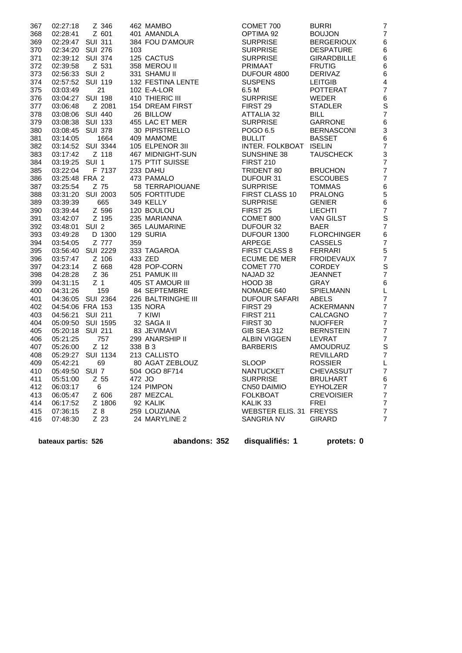| 367 | 02:27:18         | Z 346             | 462 MAMBO          | COMET 700               | <b>BURRI</b>       | $\overline{7}$  |
|-----|------------------|-------------------|--------------------|-------------------------|--------------------|-----------------|
| 368 | 02:28:41         | Z 601             | 401 AMANDLA        | OPTIMA 92               | <b>BOUJON</b>      | $\overline{7}$  |
| 369 | 02:29:47 SUI 311 |                   | 384 FOU D'AMOUR    | <b>SURPRISE</b>         | <b>BERGERIOUX</b>  | $6\phantom{a}$  |
| 370 | 02:34:20 SUI 276 |                   | 103                | <b>SURPRISE</b>         | <b>DESPATURE</b>   | 6               |
| 371 | 02:39:12 SUI 374 |                   | 125 CACTUS         | <b>SURPRISE</b>         | <b>GIRARDBILLE</b> | 6               |
| 372 | 02:39:58         | Z 531             | 358 MEROU II       | <b>PRIMAAT</b>          | <b>FRUTIG</b>      | 6               |
| 373 | 02:56:33 SUI 2   |                   | 331 SHAMU II       | DUFOUR 4800             | <b>DERIVAZ</b>     | 6               |
| 374 | 02:57:52 SUI 119 |                   | 132 FESTINA LENTE  | <b>SUSPENS</b>          | <b>LEITGIB</b>     | 4               |
| 375 | 03:03:49         | 21                | 102 E-A-LOR        | 6.5 M                   | <b>POTTERAT</b>    | $\overline{7}$  |
| 376 | 03:04:27         | <b>SUI 198</b>    | 410 THIERIC III    | <b>SURPRISE</b>         | WEDER              | 6               |
| 377 | 03:06:48         | Z 2081            | 154 DREAM FIRST    | FIRST 29                | <b>STADLER</b>     | S               |
| 378 | 03:08:06 SUI 440 |                   | 26 BILLOW          | <b>ATTALIA 32</b>       | <b>BILL</b>        | 7               |
| 379 | 03:08:38 SUI 133 |                   | 455 LAC ET MER     | <b>SURPRISE</b>         | <b>GARRONE</b>     | 6               |
| 380 | 03:08:45 SUI 378 |                   | 30 PIPISTRELLO     | POGO 6.5                | <b>BERNASCONI</b>  | 3               |
| 381 | 03:14:05         | 1664              | 409 MAMOME         | <b>BULLIT</b>           | <b>BASSET</b>      | 6               |
| 382 |                  | 03:14:52 SUI 3344 | 105 ELPENOR 3II    | INTER. FOLKBOAT ISELIN  |                    | 7               |
| 383 | 03:17:42         | Z 118             | 467 MIDNIGHT-SUN   | SUNSHINE 38             | <b>TAUSCHECK</b>   | 3               |
| 384 | 03:19:25 SUI 1   |                   | 175 P'TIT SUISSE   | <b>FIRST 210</b>        |                    | 7               |
| 385 | 03:22:04         | F 7137            | 233 DAHU           | TRIDENT 80              | <b>BRUCHON</b>     | 7               |
| 386 | 03:25:48 FRA 2   |                   | 473 PAMALO         | DUFOUR 31               | <b>ESCOUBES</b>    | 7               |
| 387 | 03:25:54         | Z 75              | 58 TERRAPIOUANE    | <b>SURPRISE</b>         | <b>TOMMAS</b>      | $6\phantom{1}6$ |
| 388 |                  | 03:31:20 SUI 2003 | 505 FORTITUDE      | FIRST CLASS 10          | <b>PRALONG</b>     | 5               |
| 389 | 03:39:39         | 665               | 349 KELLY          | <b>SURPRISE</b>         | <b>GENIER</b>      | 6               |
| 390 | 03:39:44         | Z 596             | 120 BOULOU         | FIRST <sub>25</sub>     | <b>LIECHTI</b>     | $\overline{7}$  |
| 391 | 03:42:07         | Z 195             | 235 MARIANNA       | COMET 800               | <b>VAN GILST</b>   | S               |
| 392 | 03:48:01 SUI 2   |                   | 365 LAUMARINE      | DUFOUR 32               | <b>BAER</b>        | $\overline{7}$  |
| 393 | 03:49:28         | D 1300            | 129 SURIA          | DUFOUR 1300             | <b>FLORCHINGER</b> | $6\phantom{1}6$ |
| 394 | 03:54:05         | Z 777             | 359                | <b>ARPEGE</b>           | <b>CASSELS</b>     | 7               |
| 395 |                  | 03:56:40 SUI 2229 | 333 TAGAROA        | <b>FIRST CLASS 8</b>    | <b>FERRARI</b>     | 5               |
| 396 | 03:57:47         | Z 106             | 433 ZED            | ECUME DE MER            | <b>FROIDEVAUX</b>  | 7               |
| 397 | 04:23:14         | Z 668             | 428 POP-CORN       | COMET 770               | <b>CORDEY</b>      | S               |
| 398 | 04:28:28         | Z 36              | 251 PAMUK III      | NAJAD 32                | <b>JEANNET</b>     | $\overline{7}$  |
| 399 | 04:31:15         | Z <sub>1</sub>    | 405 ST AMOUR III   | HOOD 38                 | GRAY               | 6               |
| 400 | 04:31:26         | 159               | 84 SEPTEMBRE       | NOMADE 640              | <b>SPIELMANN</b>   | L               |
| 401 |                  | 04:36:05 SUI 2364 | 226 BALTRINGHE III | <b>DUFOUR SAFARI</b>    | ABELS              | $\overline{7}$  |
| 402 | 04:54:06 FRA 153 |                   | 135 NORA           | FIRST 29                | <b>ACKERMANN</b>   | $\overline{7}$  |
| 403 | 04:56:21 SUI 211 |                   | 7 KIWI             | <b>FIRST 211</b>        | CALCAGNO           | 7               |
| 404 |                  | 05:09:50 SUI 1595 | 32 SAGA II         | FIRST 30                | <b>NUOFFER</b>     | $\overline{7}$  |
| 405 | 05:20:18 SUI 211 |                   | 83 JEVIMAVI        | <b>GIB SEA 312</b>      | <b>BERNSTEIN</b>   | 7               |
| 406 | 05:21:25         | 757               | 299 ANARSHIP II    | ALBIN VIGGEN            | <b>LEVRAT</b>      | $\overline{7}$  |
| 407 | 05:26:00         | Z 12              | 338 B 3            | <b>BARBERIS</b>         | AMOUDRUZ           | S               |
| 408 |                  | 05:29:27 SUI 1134 | 213 CALLISTO       |                         | REVILLARD          | 7               |
| 409 | 05:42:21         | 69                | 80 AGAT ZEBLOUZ    | <b>SLOOP</b>            | <b>ROSSIER</b>     | L               |
| 410 | 05:49:50 SUI 7   |                   | 504 OGO 8F714      | <b>NANTUCKET</b>        | <b>CHEVASSUT</b>   | 7               |
| 411 | 05:51:00         | Z 55              | 472 JO             | <b>SURPRISE</b>         | <b>BRULHART</b>    | 6               |
| 412 | 06:03:17         | 6                 | 124 PIMPON         | CN50 DAIMIO             | <b>EYHOLZER</b>    | $\overline{7}$  |
| 413 | 06:05:47         | Z 606             | 287 MEZCAL         | <b>FOLKBOAT</b>         | <b>CREVOISIER</b>  | 7               |
| 414 | 06:17:52         | Z 1806            | 92 KALIK           | KALIK <sub>33</sub>     | <b>FREI</b>        | 7               |
| 415 | 07:36:15         | $Z_8$             | 259 LOUZIANA       | WEBSTER ELIS. 31 FREYSS |                    | $\overline{7}$  |
| 416 | 07:48:30         | Z 23              | 24 MARYLINE 2      | <b>SANGRIA NV</b>       | <b>GIRARD</b>      | $\overline{7}$  |
|     |                  |                   |                    |                         |                    |                 |

 **bateaux partis: 526 abandons: 352 disqualifiés: 1 protets: 0**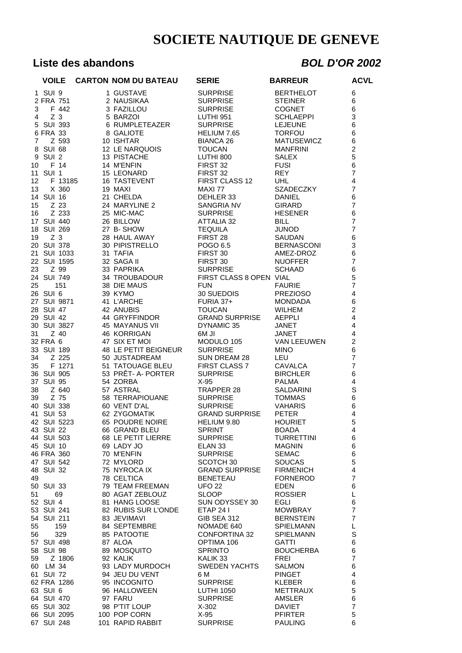## **Liste des abandons** *BOL D'OR 2002*

|                | <b>VOILE</b>             |               | <b>CARTON NOM DU BATEAU</b>     | <b>SERIE</b>                           | <b>BARREUR</b>                       | <b>ACVL</b>                               |
|----------------|--------------------------|---------------|---------------------------------|----------------------------------------|--------------------------------------|-------------------------------------------|
|                | 1 SUI 9                  |               | 1 GUSTAVE                       | <b>SURPRISE</b>                        | <b>BERTHELOT</b>                     | 6                                         |
|                | 2 FRA 751                |               | 2 NAUSIKAA                      | <b>SURPRISE</b>                        | <b>STEINER</b>                       | 6                                         |
| 3              |                          | F 442         | 3 FAZILLOU                      | <b>SURPRISE</b>                        | <b>COGNET</b>                        | $6\phantom{1}6$                           |
| 4              | Z <sub>3</sub>           |               | 5 BARZOI                        | LUTHI 951                              | <b>SCHLAEPPI</b>                     | 3                                         |
|                | 5 SUI 393                |               | 6 RUMPLETEAZER                  | <b>SURPRISE</b>                        | <b>LEJEUNE</b>                       | 6                                         |
|                | 6 FRA 33                 |               | 8 GALIOTE                       | HELIUM 7.65                            | <b>TORFOU</b>                        | 6                                         |
| $\overline{7}$ | 8 SUI 68                 | Z 593         | 10 ISHTAR<br>12 LE NARQUOIS     | <b>BIANCA 26</b><br><b>TOUCAN</b>      | <b>MATUSEWICZ</b><br><b>MANFRINI</b> | 6<br>$\overline{c}$                       |
| 9              | SUI <sub>2</sub>         |               | 13 PISTACHE                     | LUTHI 800                              | <b>SALEX</b>                         | 5                                         |
| 10             | F 14                     |               | 14 M'ENFIN                      | FIRST 32                               | <b>FUSI</b>                          | 6                                         |
| 11             | SUI <sub>1</sub>         |               | 15 LEONARD                      | FIRST 32                               | <b>REY</b>                           | $\overline{7}$                            |
| 12             |                          | F 13185       | <b>16 TASTEVENT</b>             | FIRST CLASS 12                         | UHL.                                 | $\overline{\mathbf{4}}$                   |
| 13             |                          | X 360         | 19 MAXI                         | MAXI 77                                | SZADECZKY                            | $\overline{7}$                            |
|                | 14 SUI 16                |               | 21 CHELDA                       | DEHLER 33                              | <b>DANIEL</b>                        | 6                                         |
| 15             |                          | Z 23          | 24 MARYLINE 2                   | SANGRIA NV                             | <b>GIRARD</b>                        | $\overline{7}$                            |
| 16             |                          | Z 233         | 25 MIC-MAC                      | <b>SURPRISE</b>                        | <b>HESENER</b>                       | 6                                         |
|                | 17 SUI 440<br>18 SUI 269 |               | 26 BILLOW<br>27 B-SHOW          | <b>ATTALIA 32</b><br><b>TEQUILA</b>    | <b>BILL</b><br><b>JUNOD</b>          | $\overline{7}$<br>$\overline{7}$          |
| 19             | Z <sub>3</sub>           |               | 28 HAUL AWAY                    | FIRST 28                               | SAUDAN                               | $\,6$                                     |
|                | 20 SUI 378               |               | 30 PIPISTRELLO                  | POGO 6.5                               | <b>BERNASCONI</b>                    | 3                                         |
|                | 21 SUI 1033              |               | 31 TAFIA                        | FIRST 30                               | AMEZ-DROZ                            | 6                                         |
|                | 22 SUI 1595              |               | 32 SAGA II                      | FIRST 30                               | <b>NUOFFER</b>                       | $\overline{7}$                            |
| 23             |                          | Z 99          | 33 PAPRIKA                      | <b>SURPRISE</b>                        | <b>SCHAAD</b>                        | $\,$ 6 $\,$                               |
|                | 24 SUI 749               |               | 34 TROUBADOUR                   | FIRST CLASS 8 OPEN VIAL                |                                      | 5                                         |
| 25             |                          | 151           | 38 DIE MAUS                     | <b>FUN</b>                             | <b>FAURIE</b>                        | $\overline{7}$                            |
|                | 26 SUI 6                 |               | 39 KYMO                         | 30 SUEDOIS                             | <b>PREZIOSO</b>                      | $\overline{\mathbf{4}}$                   |
|                | 27 SUI 9871              |               | 41 L'ARCHE                      | FURIA 37+                              | <b>MONDADA</b>                       | 6                                         |
|                | 28 SUI 47                |               | 42 ANUBIS<br>44 GRYFFINDOR      | <b>TOUCAN</b><br><b>GRAND SURPRISE</b> | <b>WILHEM</b><br>AEPPLI              | $\overline{c}$<br>$\overline{\mathbf{4}}$ |
|                | 29 SUI 42<br>30 SUI 3827 |               | <b>45 MAYANUS VII</b>           | DYNAMIC 35                             | JANET                                | $\overline{\mathbf{4}}$                   |
| 31             |                          | Z 40          | <b>46 KORRIGAN</b>              | 6M JI                                  | JANET                                | $\overline{\mathbf{4}}$                   |
|                | 32 FRA 6                 |               | 47 SIX ET MOI                   | MODULO 105                             | VAN LEEUWEN                          | $\overline{c}$                            |
|                | 33 SUI 189               |               | 48 LE PETIT BEIGNEUR            | <b>SURPRISE</b>                        | <b>MINO</b>                          | 6                                         |
| 34             |                          | Z 225         | 50 JUSTADREAM                   | SUN DREAM 28                           | LEU                                  | $\overline{7}$                            |
| 35             |                          | F 1271        | 51 TATOUAGE BLEU                | FIRST CLASS 7                          | CAVALCA                              | $\overline{7}$                            |
|                | 36 SUI 905               |               | 53 PRÊT- A- PORTER              | <b>SURPRISE</b>                        | <b>BIRCHLER</b>                      | 6                                         |
| 37             | <b>SUI 95</b>            |               | 54 ZORBA                        | $X-95$                                 | <b>PALMA</b>                         | $\overline{\mathbf{4}}$                   |
| 38             |                          | Z 640<br>Z 75 | 57 ASTRAL                       | TRAPPER 28                             | SALDARINI                            | $\mathbf S$                               |
| 39             | 40 SUI 338               |               | 58 TERRAPIOUANE<br>60 VENT D'AL | <b>SURPRISE</b><br><b>SURPRISE</b>     | <b>TOMMAS</b><br><b>VAHARIS</b>      | 6<br>6                                    |
|                | 41 SUI 53                |               | 62 ZYGOMATIK                    | <b>GRAND SURPRISE</b>                  | <b>PETER</b>                         | $\overline{4}$                            |
|                | 42 SUI 5223              |               | 65 POUDRE NOIRE                 | HELIUM 9.80                            | <b>HOURIET</b>                       | $\sqrt{5}$                                |
|                | 43 SUI 22                |               | 66 GRAND BLEU                   | <b>SPRINT</b>                          | <b>BOADA</b>                         | 4                                         |
|                | 44 SUI 503               |               | 68 LE PETIT LIERRE              | <b>SURPRISE</b>                        | <b>TURRETTINI</b>                    | 6                                         |
|                | 45 SUI 10                |               | 69 LADY JO                      | ELAN <sub>33</sub>                     | <b>MAGNIN</b>                        | 6                                         |
|                | 46 FRA 360               |               | 70 M'ENFIN                      | <b>SURPRISE</b>                        | <b>SEMAC</b>                         | 6                                         |
|                | 47 SUI 542               |               | 72 MYLORD                       | SCOTCH 30                              | <b>SOUCAS</b>                        | 5                                         |
|                | 48 SUI 32                |               | 75 NYROCA IX<br>78 CELTICA      | <b>GRAND SURPRISE</b>                  | <b>FIRMENICH</b><br><b>FORNEROD</b>  | $\overline{\mathbf{4}}$<br>$\overline{7}$ |
| 49             | 50 SUI 33                |               | 79 TEAM FREEMAN                 | <b>BENETEAU</b><br><b>UFO 22</b>       | <b>EDEN</b>                          | 6                                         |
| 51             |                          | 69            | 80 AGAT ZEBLOUZ                 | <b>SLOOP</b>                           | <b>ROSSIER</b>                       | L                                         |
|                | 52 SUI 4                 |               | 81 HANG LOOSE                   | SUN ODYSSEY 30                         | EGLI                                 | 6                                         |
|                | 53 SUI 241               |               | 82 RUBIS SUR L'ONDE             | <b>ETAP 241</b>                        | <b>MOWBRAY</b>                       | $\overline{7}$                            |
|                | 54 SUI 211               |               | 83 JEVIMAVI                     | <b>GIB SEA 312</b>                     | <b>BERNSTEIN</b>                     | $\overline{7}$                            |
| 55             |                          | 159           | 84 SEPTEMBRE                    | NOMADE 640                             | <b>SPIELMANN</b>                     | L                                         |
| 56             |                          | 329           | 85 PATOOTIE                     | <b>CONFORTINA 32</b>                   | <b>SPIELMANN</b>                     | S                                         |
|                | 57 SUI 498               |               | 87 ALOA                         | OPTIMA 106                             | <b>GATTI</b>                         | 6                                         |
|                | 58 SUI 98                |               | 89 MOSQUITO                     | <b>SPRINTO</b>                         | <b>BOUCHERBA</b>                     | 6                                         |
| 59             | 60 LM 34                 | Z 1806        | 92 KALIK<br>93 LADY MURDOCH     | KALIK 33<br><b>SWEDEN YACHTS</b>       | FREI<br><b>SALMON</b>                | $\overline{7}$<br>$\,6$                   |
|                | 61 SUI 72                |               | 94 JEU DU VENT                  | 6 M                                    | <b>PINGET</b>                        | 4                                         |
|                | 62 FRA 1286              |               | 95 INCOGNITO                    | <b>SURPRISE</b>                        | <b>KLEBER</b>                        | 6                                         |
|                | 63 SUI 6                 |               | 96 HALLOWEEN                    | <b>LUTHI 1050</b>                      | <b>METTRAUX</b>                      | 5                                         |
|                | 64 SUI 470               |               | 97 FARU                         | <b>SURPRISE</b>                        | AMSLER                               | 6                                         |
|                | 65 SUI 302               |               | 98 P'TIT LOUP                   | $X-302$                                | <b>DAVIET</b>                        | $\overline{7}$                            |
|                | 66 SUI 2095              |               | 100 POP CORN                    | X-95                                   | <b>PFIRTER</b>                       | 5                                         |
|                | 67 SUI 248               |               | 101 RAPID RABBIT                | <b>SURPRISE</b>                        | <b>PAULING</b>                       | 6                                         |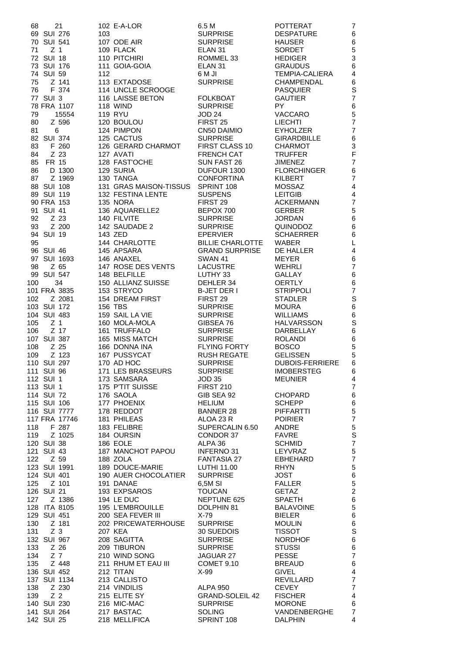| 68         | 21                      |     | 102 E-A-LOR                        | 6.5 M                             | <b>POTTERAT</b>                     | 7                              |
|------------|-------------------------|-----|------------------------------------|-----------------------------------|-------------------------------------|--------------------------------|
|            | 69 SUI 276              | 103 |                                    | <b>SURPRISE</b>                   | <b>DESPATURE</b>                    | 6                              |
|            | 70 SUI 541              |     | 107 ODE AIR                        | <b>SURPRISE</b>                   | <b>HAUSER</b>                       | 6                              |
| 71         | Z 1                     |     | 109 FLACK                          | ELAN <sub>31</sub>                | <b>SORDET</b>                       | $\mathbf 5$                    |
|            | 72 SUI 18<br>73 SUI 176 |     | 110 PITCHIRI<br>111 GOIA-GOIA      | ROMMEL 33<br>ELAN <sub>31</sub>   | <b>HEDIGER</b><br><b>GRAUDUS</b>    | $\ensuremath{\mathsf{3}}$<br>6 |
|            | 74 SUI 59               | 112 |                                    | 6 M JI                            | <b>TEMPIA-CALIERA</b>               | $\overline{\mathbf{4}}$        |
| 75         | Z 141                   |     | 113 EXTADOSE                       | <b>SURPRISE</b>                   | <b>CHAMPENDAL</b>                   | $\,6$                          |
| 76         | F 374                   |     | 114 UNCLE SCROOGE                  |                                   | <b>PASQUIER</b>                     | S                              |
|            | 77 SUI 3                |     | 116 LAISSE BETON                   | <b>FOLKBOAT</b>                   | <b>GAUTIER</b>                      | $\overline{7}$                 |
|            | 78 FRA 1107             |     | 118 WIND                           | <b>SURPRISE</b>                   | PY                                  | 6                              |
| 79         | 15554                   |     | <b>119 RYU</b>                     | <b>JOD 24</b>                     | <b>VACCARO</b>                      | $\mathbf 5$                    |
| 80         | Z 596                   |     | 120 BOULOU                         | FIRST <sub>25</sub>               | <b>LIECHTI</b>                      | $\overline{7}$                 |
| 81         | 6                       |     | 124 PIMPON                         | CN50 DAIMIO                       | <b>EYHOLZER</b>                     | $\overline{7}$                 |
|            | 82 SUI 374              |     | 125 CACTUS                         | <b>SURPRISE</b>                   | <b>GIRARDBILLE</b>                  | 6                              |
| 83         | F 260                   |     | 126 GERARD CHARMOT                 | FIRST CLASS 10                    | <b>CHARMOT</b>                      | 3                              |
| 84         | Z 23                    |     | 127 AVATI                          | <b>FRENCH CAT</b>                 | <b>TRUFFER</b>                      | F                              |
| 85         | FR 15                   |     | 128 FAST'OCHE                      | SUN FAST 26                       | <b>JIMENEZ</b>                      | $\overline{7}$                 |
| 86<br>87   | D 1300<br>Z 1969        |     | 129 SURIA<br>130 TANGA             | DUFOUR 1300<br><b>CONFORTINA</b>  | <b>FLORCHINGER</b><br>KILBERT       | 6<br>$\overline{7}$            |
|            | 88 SUI 108              |     | 131 GRAS MAISON-TISSUS             | SPRINT 108                        | <b>MOSSAZ</b>                       | $\overline{4}$                 |
|            | 89 SUI 119              |     | 132 FESTINA LENTE                  | <b>SUSPENS</b>                    | <b>LEITGIB</b>                      | 4                              |
|            | 90 FRA 153              |     | 135 NORA                           | FIRST 29                          | <b>ACKERMANN</b>                    | $\overline{7}$                 |
|            | 91 SUI 41               |     | 136 AQUARELLE2                     | BEPOX 700                         | <b>GERBER</b>                       | 5                              |
| 92         | Z 23                    |     | 140 FILVITE                        | <b>SURPRISE</b>                   | <b>JORDAN</b>                       | 6                              |
| 93         | Z 200                   |     | 142 SAUDADE 2                      | <b>SURPRISE</b>                   | QUINODOZ                            | 6                              |
|            | 94 SUI 19               |     | 143 ZED                            | <b>EPERVIER</b>                   | <b>SCHAERRER</b>                    | 6                              |
| 95         |                         |     | 144 CHARLOTTE                      | <b>BILLIE CHARLOTTE</b>           | <b>WABER</b>                        | L                              |
|            | 96 SUI 46               |     | 145 APSARA                         | <b>GRAND SURPRISE</b>             | DE HALLER                           | 4                              |
|            | 97 SUI 1693             |     | 146 ANAXEL                         | <b>SWAN 41</b>                    | <b>MEYER</b>                        | $\,6$                          |
| 98         | Z 65                    |     | 147 ROSE DES VENTS                 | <b>LACUSTRE</b>                   | <b>WEHRLI</b>                       | $\overline{7}$                 |
| 100        | 99 SUI 547<br>34        |     | 148 BELFILLE<br>150 ALLIANZ SUISSE | LUTHY 33<br>DEHLER 34             | <b>GALLAY</b><br><b>OERTLY</b>      | 6<br>6                         |
|            | 101 FRA 3835            |     | 153 STRYCO                         | <b>B-JET DER I</b>                | <b>STRIPPOLI</b>                    | $\boldsymbol{7}$               |
| 102        | Z 2081                  |     | 154 DREAM FIRST                    | FIRST 29                          | <b>STADLER</b>                      | $\mathbb S$                    |
|            | 103 SUI 172             |     | 156 TBS                            | <b>SURPRISE</b>                   | <b>MOURA</b>                        | $\,6$                          |
|            | 104 SUI 483             |     | 159 SAIL LA VIE                    | <b>SURPRISE</b>                   | <b>WILLIAMS</b>                     | $\,6$                          |
| 105        | Z <sub>1</sub>          |     | 160 MOLA-MOLA                      | GIBSEA 76                         | <b>HALVARSSON</b>                   | $\mathbb S$                    |
| 106        | $Z$ 17                  |     | 161 TRUFFALO                       | <b>SURPRISE</b>                   | DARBELLAY                           | 6                              |
|            | 107 SUI 387             |     | 165 MISS MATCH                     | <b>SURPRISE</b>                   | <b>ROLANDI</b>                      | $\,6$                          |
| 108        | Z 25                    |     | 166 DONNA INA                      | <b>FLYING FORTY</b>               | <b>BOSCO</b>                        | 5                              |
| 109        | Z 123                   |     | 167 PUSSYCAT                       | <b>RUSH REGATE</b>                | <b>GELISSEN</b>                     | 5                              |
|            | 110 SUI 297             |     | 170 AD HOC                         | <b>SURPRISE</b>                   | <b>DUBOIS-FERRIERE</b>              | 6                              |
|            | 111 SUI 96<br>112 SUI 1 |     | 171 LES BRASSEURS<br>173 SAMSARA   | SURPRISE<br><b>JOD 35</b>         | <b>IMOBERSIEG</b><br><b>MEUNIER</b> | 6<br>$\overline{4}$            |
|            | 113 SUI 1               |     | 175 P'TIT SUISSE                   | <b>FIRST 210</b>                  |                                     | $\overline{7}$                 |
|            | 114 SUI 72              |     | 176 SAOLA                          | GIB SEA 92                        | <b>CHOPARD</b>                      | 6                              |
|            | 115 SUI 106             |     | 177 PHOENIX                        | <b>HELIUM</b>                     | <b>SCHEPP</b>                       | $\,6$                          |
|            | 116 SUI 7777            |     | 178 REDDOT                         | <b>BANNER 28</b>                  | <b>PIFFARTTI</b>                    | $\,$ 5 $\,$                    |
|            | 117 FRA 17746           |     | 181 PHILEAS                        | ALOA 23 R                         | <b>POIRIER</b>                      | $\boldsymbol{7}$               |
| 118        | F 287                   |     | 183 FELIBRE                        | SUPERCALIN 6.50                   | ANDRE                               | $\,$ 5 $\,$                    |
| 119        | Z 1025                  |     | 184 OURSIN                         | CONDOR 37                         | <b>FAVRE</b>                        | $\mathsf S$                    |
|            | 120 SUI 38              |     | 186 EOLE                           | ALPA 36                           | <b>SCHMID</b>                       | $\overline{7}$                 |
|            | 121 SUI 43              |     | 187 MANCHOT PAPOU                  | <b>INFERNO 31</b>                 | LEYVRAZ                             | $\mathbf 5$                    |
| 122        | Z 59<br>123 SUI 1991    |     | 188 ZOLA<br>189 DOUCE-MARIE        | <b>FANTASIA 27</b><br>LUTHI 11.00 | <b>EBHEHARD</b><br><b>RHYN</b>      | $\overline{7}$<br>$\,$ 5 $\,$  |
|            | 124 SUI 401             |     | 190 AUER CHOCOLATIER               | <b>SURPRISE</b>                   | JOST                                | 6                              |
| 125        | Z 101                   |     | 191 DANAE                          | 6,5M SI                           | <b>FALLER</b>                       | 5                              |
|            | 126 SUI 21              |     | 193 EXPSAROS                       | <b>TOUCAN</b>                     | <b>GETAZ</b>                        | $\overline{2}$                 |
| 127        | Z 1386                  |     | 194 LE DUC                         | NEPTUNE 625                       | <b>SPAETH</b>                       | $\,6$                          |
| 128        | ITA 8105                |     | 195 L'EMBROUILLE                   | DOLPHIN 81                        | <b>BALAVOINE</b>                    | 5                              |
|            | 129 SUI 451             |     | 200 SEA FEVER III                  | X-79                              | <b>BIELER</b>                       | $\,6\,$                        |
| 130        | Z 181                   |     | 202 PRICEWATERHOUSE                | <b>SURPRISE</b>                   | <b>MOULIN</b>                       | $\,6$                          |
| 131        | Z <sub>3</sub>          |     | <b>207 KEA</b>                     | 30 SUEDOIS                        | <b>TISSOT</b>                       | $\mathbf S$                    |
|            | 132 SUI 967             |     | 208 SAGITTA                        | <b>SURPRISE</b>                   | <b>NORDHOF</b>                      | $\,6$<br>$\,6\,$               |
| 133<br>134 | Z 26<br>Z 7             |     | 209 TIBURON<br>210 WIND SONG       | <b>SURPRISE</b><br>JAGUAR 27      | <b>STUSSI</b><br><b>PESSE</b>       | $\overline{7}$                 |
| 135        | Z 448                   |     | 211 RHUM ET EAU III                | <b>COMET 9.10</b>                 | <b>BREAUD</b>                       | 6                              |
|            | 136 SUI 452             |     | 212 TITAN                          | X-99                              | <b>GIVEL</b>                        | 4                              |
|            | 137 SUI 1134            |     | 213 CALLISTO                       |                                   | REVILLARD                           | $\overline{7}$                 |
| 138        | Z 230                   |     | 214 VINDILIS                       | ALPA 950                          | <b>CEVEY</b>                        | $\overline{7}$                 |
| 139        | Z <sub>2</sub>          |     | 215 ELITE SY                       | <b>GRAND-SOLEIL 42</b>            | <b>FISCHER</b>                      | 4                              |
|            | 140 SUI 230             |     | 216 MIC-MAC                        | <b>SURPRISE</b>                   | <b>MORONE</b>                       | 6                              |
|            | 141 SUI 264             |     | 217 BASTAC                         | <b>SOLING</b>                     | VANDENBERGHE                        | $\overline{7}$                 |
|            | 142 SUI 25              |     | 218 MELLIFICA                      | SPRINT 108                        | <b>DALPHIN</b>                      | $\overline{4}$                 |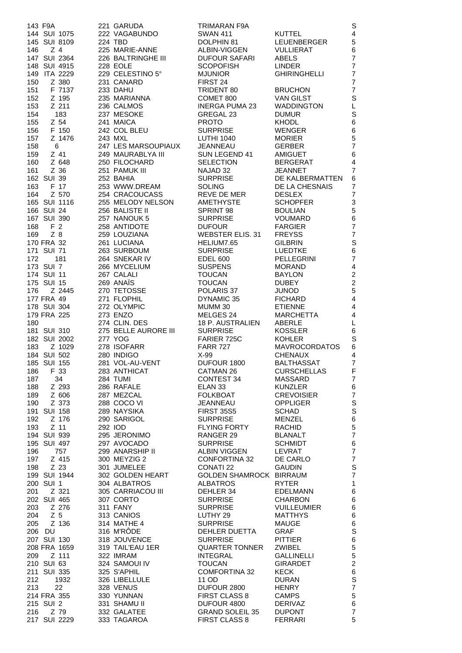|            | 143 F9A                        | 221 GARUDA                        | <b>TRIMARAN F9A</b>                      |                                    | S                                |
|------------|--------------------------------|-----------------------------------|------------------------------------------|------------------------------------|----------------------------------|
|            | 144 SUI 1075                   | 222 VAGABUNDO                     | <b>SWAN 411</b>                          | <b>KUTTEL</b>                      | 4                                |
| 146        | 145 SUI 8109<br>Z <sub>4</sub> | 224 TBD<br>225 MARIE-ANNE         | DOLPHIN 81<br>ALBIN-VIGGEN               | <b>LEUENBERGER</b><br>VULLIERAT    | 5<br>6                           |
|            | 147 SUI 2364                   | 226 BALTRINGHE III                | <b>DUFOUR SAFARI</b>                     | ABELS                              | $\overline{7}$                   |
|            | 148 SUI 4915                   | 228 EOLE                          | <b>SCOPOFISH</b>                         | <b>LINDER</b>                      | $\overline{7}$                   |
|            | 149 ITA 2229                   | 229 CELESTINO 5°                  | <b>MJUNIOR</b>                           | <b>GHIRINGHELLI</b>                | $\overline{7}$                   |
| 150        | Z 380                          | 231 CANARD                        | FIRST 24                                 |                                    | $\overline{7}$                   |
| 151        | F 7137                         | 233 DAHU                          | TRIDENT 80                               | <b>BRUCHON</b>                     | $\overline{7}$                   |
| 152        | Z 195                          | 235 MARIANNA                      | COMET 800                                | <b>VAN GILST</b>                   | $\mathbf S$                      |
| 153        | Z 211                          | 236 CALMOS                        | <b>INERGA PUMA 23</b>                    | <b>WADDINGTON</b>                  | L                                |
| 154<br>155 | 183<br>Z 54                    | 237 MESOKE<br>241 MAICA           | GREGAL 23<br><b>PROTO</b>                | <b>DUMUR</b><br><b>KHODL</b>       | $\mathbb S$<br>6                 |
| 156        | F 150                          | 242 COL BLEU                      | <b>SURPRISE</b>                          | <b>WENGER</b>                      | 6                                |
| 157        | Z 1476                         | 243 MXL                           | <b>LUTHI 1040</b>                        | <b>MORIER</b>                      | 5                                |
| 158        | 6                              | 247 LES MARSOUPIAUX               | JEANNEAU                                 | <b>GERBER</b>                      | $\overline{7}$                   |
| 159        | Z 41                           | 249 MAURABLYA III                 | SUN LEGEND 41                            | <b>AMIGUET</b>                     | 6                                |
| 160        | Z 648                          | 250 FILOCHARD                     | <b>SELECTION</b>                         | <b>BERGERAT</b>                    | $\overline{\mathbf{4}}$          |
| 161        | Z 36                           | 251 PAMUK III                     | NAJAD 32                                 | <b>JEANNET</b>                     | $\overline{7}$                   |
| 163        | 162 SUI 39<br>F 17             | 252 BAHIA<br>253 WWW.DREAM        | <b>SURPRISE</b><br><b>SOLING</b>         | DE KALBERMATTEN<br>DE LA CHESNAIS  | 6<br>$\overline{7}$              |
| 164        | Z 570                          | 254 CRACOUCASS                    | REVE DE MER                              | <b>DESLEX</b>                      | $\overline{7}$                   |
|            | 165 SUI 1116                   | 255 MELODY NELSON                 | AMETHYSTE                                | <b>SCHOPFER</b>                    | 3                                |
|            | 166 SUI 24                     | 256 BALISTE II                    | SPRINT 98                                | <b>BOULIAN</b>                     | 5                                |
|            | 167 SUI 390                    | 257 NANOUK 5                      | <b>SURPRISE</b>                          | <b>VOUMARD</b>                     | 6                                |
| 168        | F 2                            | 258 ANTIDOTE                      | <b>DUFOUR</b>                            | <b>FARGIER</b>                     | $\overline{7}$                   |
| 169        | $Z$ 8                          | 259 LOUZIANA                      | <b>WEBSTER ELIS, 31</b>                  | <b>FREYSS</b>                      | $\overline{7}$                   |
|            | 170 FRA 32<br>171 SUI 71       | 261 LUCIANA<br>263 SURBOUM        | HELIUM7.65<br><b>SURPRISE</b>            | <b>GILBRIN</b><br>LUEDTKE          | $\mathbf S$<br>6                 |
| 172        | 181                            | 264 SNEKAR IV                     | <b>EDEL 600</b>                          | <b>PELLEGRINI</b>                  | $\overline{7}$                   |
|            | 173 SUI 7                      | 266 MYCELIUM                      | <b>SUSPENS</b>                           | <b>MORAND</b>                      | $\overline{\mathbf{4}}$          |
|            | 174 SUI 11                     | 267 CALALI                        | <b>TOUCAN</b>                            | <b>BAYLON</b>                      | $\boldsymbol{2}$                 |
|            | 175 SUI 15                     | 269 ANAIS                         | <b>TOUCAN</b>                            | <b>DUBEY</b>                       | $\overline{c}$                   |
| 176        | Z 2445                         | 270 TETOSSE                       | POLARIS 37                               | <b>JUNOD</b>                       | 5                                |
|            | 177 FRA 49                     | 271 FLOPHIL                       | DYNAMIC 35                               | <b>FICHARD</b>                     | 4                                |
|            | 178 SUI 304<br>179 FRA 225     | 272 OLYMPIC<br>273 ENZO           | MUMM 30<br>MELGES 24                     | <b>ETIENNE</b><br><b>MARCHETTA</b> | 4<br>4                           |
| 180        |                                | 274 CLIN. DES                     | 18 P. AUSTRALIEN                         | ABERLE                             | L                                |
|            | 181 SUI 310                    | 275 BELLE AURORE III              | <b>SURPRISE</b>                          | <b>KOSSLER</b>                     | 6                                |
|            | 182 SUI 2002                   | 277 YOG                           | FARIER 725C                              | <b>KOHLER</b>                      | $\mathbf S$                      |
| 183        | Z 1029                         | 278 ISOFARR                       | <b>FARR 727</b>                          | <b>MAVROCORDATOS</b>               | 6                                |
|            | 184 SUI 502                    | 280 INDIGO                        | $X-99$                                   | <b>CHENAUX</b>                     | 4                                |
|            | 185 SUI 155                    | 281 VOL-AU-VENT                   | DUFOUR 1800                              | <b>BALTHASSAT</b>                  | $\overline{7}$                   |
| 187        | 186 F 33<br>34                 | 283 ANTHICAT<br>284 TUMI          | CATMAN 26<br><b>CONTEST 34</b>           | <b>CURSCHELLAS</b><br>MASSARD      | F<br>$\overline{7}$              |
| 188        | Z 293                          | 286 RAFALE                        | ELAN <sub>33</sub>                       | KUNZLER                            | 6                                |
| 189        | Z 606                          | 287 MEZCAL                        | <b>FOLKBOAT</b>                          | <b>CREVOISIER</b>                  | $\overline{7}$                   |
| 190        | Z 373                          | 288 COCO VI                       | JEANNEAU                                 | <b>OPPLIGER</b>                    | $\mathsf S$                      |
|            | 191 SUI 158                    | 289 NAYSIKA                       | <b>FIRST 35S5</b>                        | <b>SCHAD</b>                       | $\mathsf S$                      |
| 192        | Z 176                          | 290 SARIGOL                       | <b>SURPRISE</b>                          | <b>MENZEL</b>                      | 6                                |
| 193        | Z 11<br>194 SUI 939            | 292 IOD<br>295 JERONIMO           | <b>FLYING FORTY</b><br>RANGER 29         | <b>RACHID</b><br><b>BLANALT</b>    | $\overline{5}$<br>$\overline{7}$ |
|            | 195 SUI 497                    | 297 AVOCADO                       | <b>SURPRISE</b>                          | <b>SCHMIDT</b>                     | 6                                |
| 196        | 757                            | 299 ANARSHIP II                   | ALBIN VIGGEN                             | LEVRAT                             | $\overline{7}$                   |
| 197        | Z 415                          | 300 MEYZIG 2                      | <b>CONFORTINA 32</b>                     | DE CARLO                           | $\overline{7}$                   |
| 198        | Z 23                           | 301 JUMELEE                       | <b>CONATI 22</b>                         | <b>GAUDIN</b>                      | $\mathbf S$                      |
|            | 199 SUI 1944                   | 302 GOLDEN HEART                  | GOLDEN SHAMROCK BIRRAUM                  |                                    | $\overline{7}$                   |
| 201        | 200 SUI 1<br>Z 321             | 304 ALBATROS<br>305 CARRIACOU III | ALBATROS<br>DEHLER 34                    | <b>RYTER</b><br>EDELMANN           | $\mathbf{1}$<br>6                |
|            | 202 SUI 465                    | 307 CORTO                         | <b>SURPRISE</b>                          | <b>CHARBON</b>                     | 6                                |
| 203        | Z 276                          | 311 FANY                          | <b>SURPRISE</b>                          | <b>VUILLEUMIER</b>                 | 6                                |
| 204        | Z <sub>5</sub>                 | 313 CANIOS                        | LUTHY 29                                 | <b>MATTHYS</b>                     | 6                                |
| 205        | Z 136                          | 314 MATHE 4                       | <b>SURPRISE</b>                          | MAUGE                              | 6                                |
|            | 206 DU                         | 316 M'RODE                        | DEHLER DUETTA                            | <b>GRAF</b>                        | $\mathbf S$                      |
|            | 207 SUI 130                    | 318 JOUVENCE                      | <b>SURPRISE</b>                          | <b>PITTIER</b>                     | $\,6\,$                          |
| 209        | 208 FRA 1659<br>Z 111          | 319 TAIL'EAU 1ER<br>322 IMRAM     | <b>QUARTER TONNER</b><br><b>INTEGRAL</b> | ZWIBEL<br><b>GALLINELLI</b>        | 5<br>5                           |
|            | 210 SUI 63                     | 324 SAMOUI IV                     | <b>TOUCAN</b>                            | <b>GIRARDET</b>                    | $\overline{a}$                   |
|            | 211 SUI 335                    | 325 S'APHIL                       | <b>COMFORTINA 32</b>                     | <b>KECK</b>                        | $\,6\,$                          |
| 212        | 1932                           | 326 LIBELLULE                     | 11 OD                                    | <b>DURAN</b>                       | $\mathbf S$                      |
| 213        | 22                             | 328 VENUS                         | DUFOUR 2800                              | <b>HENRY</b>                       | $\overline{7}$                   |
|            | 214 FRA 355                    | 330 YUNNAN                        | <b>FIRST CLASS 8</b>                     | <b>CAMPS</b>                       | 5                                |
|            | 215 SUI 2                      | 331 SHAMU II                      | DUFOUR 4800                              | <b>DERIVAZ</b>                     | 6<br>$\overline{7}$              |
| 216        | Z 79<br>217 SUI 2229           | 332 GALATEE<br>333 TAGAROA        | <b>GRAND SOLEIL 35</b><br>FIRST CLASS 8  | <b>DUPONT</b><br><b>FERRARI</b>    | 5                                |
|            |                                |                                   |                                          |                                    |                                  |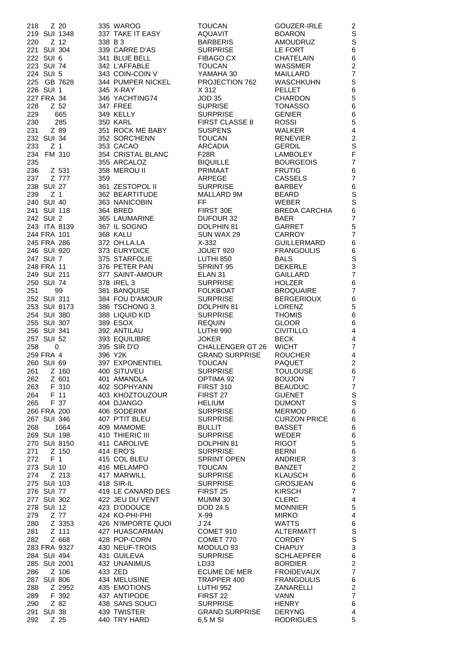| 218<br>Z 20           |                    |                         |                      |                         |
|-----------------------|--------------------|-------------------------|----------------------|-------------------------|
|                       | 335 WAROG          | <b>TOUCAN</b>           | GOUZER-IRLE          | 2                       |
| 219 SUI 1348          | 337 TAKE IT EASY   | <b>AQUAVIT</b>          | <b>BOARON</b>        | $\mathbb S$             |
| 220<br>Z 12           | 338 B 3            | <b>BARBERIS</b>         | <b>AMOUDRUZ</b>      | $\mathbb S$             |
| 221 SUI 304           | 339 CARRE D'AS     | <b>SURPRISE</b>         | LE FORT              | 6                       |
| 222 SUI 6             | 341 BLUE BELL      | <b>FIBAGO CX</b>        | <b>CHATELAIN</b>     | $\,6$                   |
|                       |                    |                         |                      |                         |
| 223 SUI 74            | 342 L'AFFABLE      | <b>TOUCAN</b>           | <b>WASSMER</b>       | $\overline{c}$          |
| 224 SUI 5             | 343 COIN-COIN V    | YAMAHA 30               | MAILLARD             | $\overline{7}$          |
| 225 GB 7628           | 344 PUMPER NICKEL  | PROJECTION 762          | <b>WASCHKUHN</b>     | 5                       |
| 226 SUI 1             | 345 X-RAY          | X 312                   | <b>PELLET</b>        | $\,6$                   |
| 227 FRA 34            | 346 YACHTING74     | <b>JOD 35</b>           | <b>CHARDON</b>       | 5                       |
| 228<br>Z 52           | 347 FREE           | <b>SUPRISE</b>          | <b>TONASSO</b>       | 6                       |
| 229<br>665            | 349 KELLY          | <b>SURPRISE</b>         | <b>GENIER</b>        | $\,6$                   |
| 230<br>285            | 350 KARL           | <b>FIRST CLASSE 8</b>   | <b>ROSSI</b>         | 5                       |
| 231<br>Z 89           | 351 ROCK ME BABY   | <b>SUSPENS</b>          | <b>WALKER</b>        | 4                       |
|                       |                    |                         |                      | $\overline{c}$          |
| 232 SUI 34            | 352 SORC'HENN      | <b>TOUCAN</b>           | <b>RENEVIER</b>      |                         |
| 233<br>Z <sub>1</sub> | 353 CACAO          | <b>ARCADIA</b>          | <b>GERDIL</b>        | S                       |
| 234 FM 310            | 354 CRISTAL BLANC  | <b>F28R</b>             | <b>LAMBOLEY</b>      | $\mathsf F$             |
| 235                   | 355 ARCALOZ        | <b>BIQUILLE</b>         | <b>BOURGEOIS</b>     | $\overline{7}$          |
| 236<br>Z 531          | 358 MEROU II       | PRIMAAT                 | <b>FRUTIG</b>        | 6                       |
| 237<br>Z 777          | 359                | <b>ARPEGE</b>           | <b>CASSELS</b>       | $\overline{7}$          |
| 238 SUI 27            | 361 ZESTOPOL II    | <b>SURPRISE</b>         | <b>BARBEY</b>        | 6                       |
| 239<br>Z <sub>1</sub> | 362 BEARTITUDE     | MALLARD 9M              | <b>BEARD</b>         | S                       |
| 240 SUI 40            | 363 NANICOBIN      | FF                      | <b>WEBER</b>         | S                       |
| 241 SUI 118           | 364 BRED           | FIRST 30E               | <b>BREDA CARCHIA</b> | 6                       |
| 242 SUI 2             |                    | DUFOUR 32               | <b>BAER</b>          | $\overline{7}$          |
|                       | 365 LAUMARINE      |                         |                      |                         |
| 243 ITA 8139          | 367 IL SOGNO       | DOLPHIN 81              | <b>GARRET</b>        | 5                       |
| 244 FRA 101           | 368 KALU           | SUN WAX 29              | <b>CARROY</b>        | $\overline{7}$          |
| 245 FRA 286           | 372 OH.LA.LA       | $X-332$                 | <b>GUILLERMARD</b>   | 6                       |
| 246 SUI 920           | 373 EURYDICE       | JOUET 920               | <b>FRANGOULIS</b>    | 6                       |
| 247 SUI 7             | 375 STARFOLIE      | LUTHI 850               | <b>BALS</b>          | S                       |
| 248 FRA 11            | 376 PETER PAN      | SPRINT 95               | <b>DEKERLE</b>       | 3                       |
| 249 SUI 211           | 377 SAINT-AMOUR    | ELAN <sub>31</sub>      | GAILLARD             | $\overline{7}$          |
| 250 SUI 74            | 378 IREL 3         | <b>SURPRISE</b>         | <b>HOLZER</b>        | $\,6$                   |
| 99<br>251             | 381 BANQUISE       | <b>FOLKBOAT</b>         | <b>BROQUAIRE</b>     | $\overline{7}$          |
| 252 SUI 311           | 384 FOU D'AMOUR    | <b>SURPRISE</b>         | <b>BERGERIOUX</b>    |                         |
|                       |                    |                         |                      | 6                       |
| 253 SUI 8173          | 386 TSCHONG 3      | DOLPHIN 81              | <b>LORENZ</b>        | 5                       |
| 254 SUI 380           | 388 LIQUID KID     | <b>SURPRISE</b>         | <b>THOMIS</b>        | 6                       |
| 255 SUI 307           | 389 ESOX           | <b>REQUIN</b>           | <b>GLOOR</b>         | 6                       |
| 256 SUI 341           | 392 ANTILAU        | LUTHI 990               | <b>CIVITILLO</b>     | 4                       |
| 257 SUI 52            | 393 EQUILIBRE      | <b>JOKER</b>            | <b>BECK</b>          | 4                       |
| 258<br>0              | 395 SIR D'O        | <b>CHALLENGER GT 26</b> | <b>WICHT</b>         | $\overline{7}$          |
|                       |                    | <b>GRAND SURPRISE</b>   | <b>ROUCHER</b>       | 4                       |
|                       |                    |                         |                      |                         |
| 259 FRA 4             | 396 Y2K            |                         |                      |                         |
| 260 SUI 69            | 397 EXPONENTIEL    | <b>TOUCAN</b>           | <b>PAQUET</b>        | $\overline{c}$          |
| 261<br>Z 160          | 400 SITUVEU        | <b>SURPRISE</b>         | TOULOUSE             | 6                       |
| 262<br>Z 601          | 401 AMANDLA        | OPTIMA 92               | <b>BOUJON</b>        | $\overline{7}$          |
| F 310<br>263          | 402 SOPHYANN       | <b>FIRST 310</b>        | <b>BEAUDUC</b>       | $\overline{7}$          |
| 264<br>F 11           | 403 KHOZTOUZOUR    | FIRST 27                | GUENET               | $\mathbb S$             |
| 265<br>F 37           | 404 DJANGO         | <b>HELIUM</b>           | <b>DUMONT</b>        | S                       |
| 266 FRA 200           | 406 SODERIM        | <b>SURPRISE</b>         | <b>MERMOD</b>        | 6                       |
| 267 SUI 346           | 407 P'TIT BLEU     | <b>SURPRISE</b>         | <b>CURZON PRICE</b>  | 6                       |
| 268<br>1664           | 409 MAMOME         | <b>BULLIT</b>           | <b>BASSET</b>        | 6                       |
| 269 SUI 198           | 410 THIERIC III    | <b>SURPRISE</b>         | WEDER                |                         |
|                       |                    |                         |                      | 6                       |
| 270 SUI 8150          | 411 CAROLIVE       | DOLPHIN 81              | <b>RIGOT</b>         | 5                       |
| 271<br>Z 150          | 414 ERO'S          | <b>SURPRISE</b>         | <b>BERNI</b>         | 6                       |
| 272<br>F <sub>1</sub> | 415 COL BLEU       | <b>SPRINT OPEN</b>      | <b>ANDRIER</b>       | 3                       |
| 273 SUI 10            | 416 MELAMPO        | <b>TOUCAN</b>           | <b>BANZET</b>        | $\overline{c}$          |
| Z 213<br>274          | 417 MARWILL        | <b>SURPRISE</b>         | <b>KLAUSCH</b>       | 6                       |
| 275 SUI 103           | 418 SIR-IL         | <b>SURPRISE</b>         | <b>GROSJEAN</b>      | 6                       |
| 276 SUI 77            | 419 LE CANARD DES  | FIRST 25                | <b>KIRSCH</b>        | $\overline{7}$          |
| 277 SUI 302           | 422 JEU DU VENT    | MUMM 30                 | <b>CLERC</b>         | $\overline{4}$          |
| 278 SUI 12            | 423 D'ODOUCE       | DOD 24.5                | <b>MONNIER</b>       | 5                       |
| Z 77<br>279           | 424 KO-PHI-PHI     | X-99                    | <b>MIRKO</b>         | 4                       |
|                       | 426 N'IMPORTE QUOI | J 24                    | <b>WATTS</b>         |                         |
| Z 3353<br>280         |                    |                         |                      | 6                       |
| Z 111<br>281          | 427 HUASCARMAN     | COMET 910               | <b>ALTERMATT</b>     | $\mathbf S$             |
| 282<br>Z 668          | 428 POP-CORN       | COMET 770               | <b>CORDEY</b>        | S                       |
| 283 FRA 9327          | 430 NEUF-TROIS     | MODULO 93               | <b>CHAPUY</b>        | 3                       |
| 284 SUI 494           | 431 GUILEVA        | <b>SURPRISE</b>         | <b>SCHLAEPFER</b>    | 6                       |
| 285 SUI 2001          | 432 UNANIMUS       | LD <sub>33</sub>        | <b>BORDIER</b>       | $\overline{\mathbf{c}}$ |
| 286<br>Z 106          | 433 ZED            | <b>ECUME DE MER</b>     | <b>FROIDEVAUX</b>    | $\overline{7}$          |
| 287 SUI 806           | 434 MELUSINE       | TRAPPER 400             | <b>FRANGOULIS</b>    | 6                       |
| 288<br>Z 2952         | 435 EMOTIONS       | <b>LUTHI 952</b>        | ZANARELLI            | $\overline{c}$          |
| F 392<br>289          | 437 ANTIPODE       | FIRST <sub>22</sub>     | <b>VANN</b>          | $\overline{7}$          |
| 290<br>Z 82           | 438 SANS SOUCI     | <b>SURPRISE</b>         | <b>HENRY</b>         | 6                       |
| 291 SUI 38            | 439 TWISTER        | <b>GRAND SURPRISE</b>   | <b>DERYNG</b>        | 4                       |